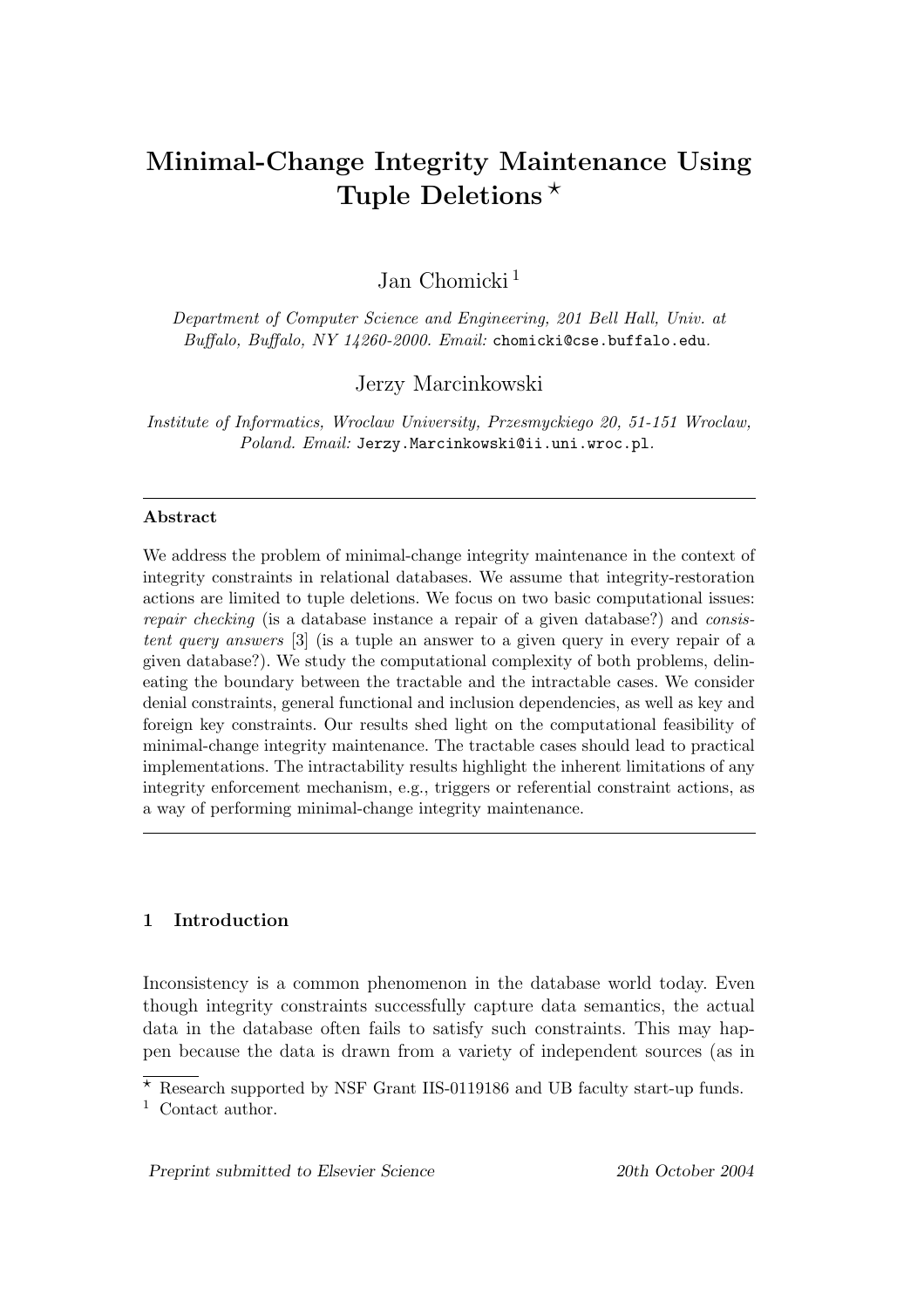# Minimal-Change Integrity Maintenance Using Tuple Deletions  $\star$

Jan Chomicki<sup>1</sup>

Department of Computer Science and Engineering, 201 Bell Hall, Univ. at Buffalo, Buffalo, NY 14260-2000. Email: chomicki@cse.buffalo.edu.

Jerzy Marcinkowski

Institute of Informatics, Wroclaw University, Przesmyckiego 20, 51-151 Wroclaw, Poland. Email: Jerzy.Marcinkowski@ii.uni.wroc.pl.

## Abstract

We address the problem of minimal-change integrity maintenance in the context of integrity constraints in relational databases. We assume that integrity-restoration actions are limited to tuple deletions. We focus on two basic computational issues: repair checking (is a database instance a repair of a given database?) and consistent query answers [3] (is a tuple an answer to a given query in every repair of a given database?). We study the computational complexity of both problems, delineating the boundary between the tractable and the intractable cases. We consider denial constraints, general functional and inclusion dependencies, as well as key and foreign key constraints. Our results shed light on the computational feasibility of minimal-change integrity maintenance. The tractable cases should lead to practical implementations. The intractability results highlight the inherent limitations of any integrity enforcement mechanism, e.g., triggers or referential constraint actions, as a way of performing minimal-change integrity maintenance.

# 1 Introduction

Inconsistency is a common phenomenon in the database world today. Even though integrity constraints successfully capture data semantics, the actual data in the database often fails to satisfy such constraints. This may happen because the data is drawn from a variety of independent sources (as in

 $\overline{\star}$  Research supported by NSF Grant IIS-0119186 and UB faculty start-up funds.

<sup>1</sup> Contact author.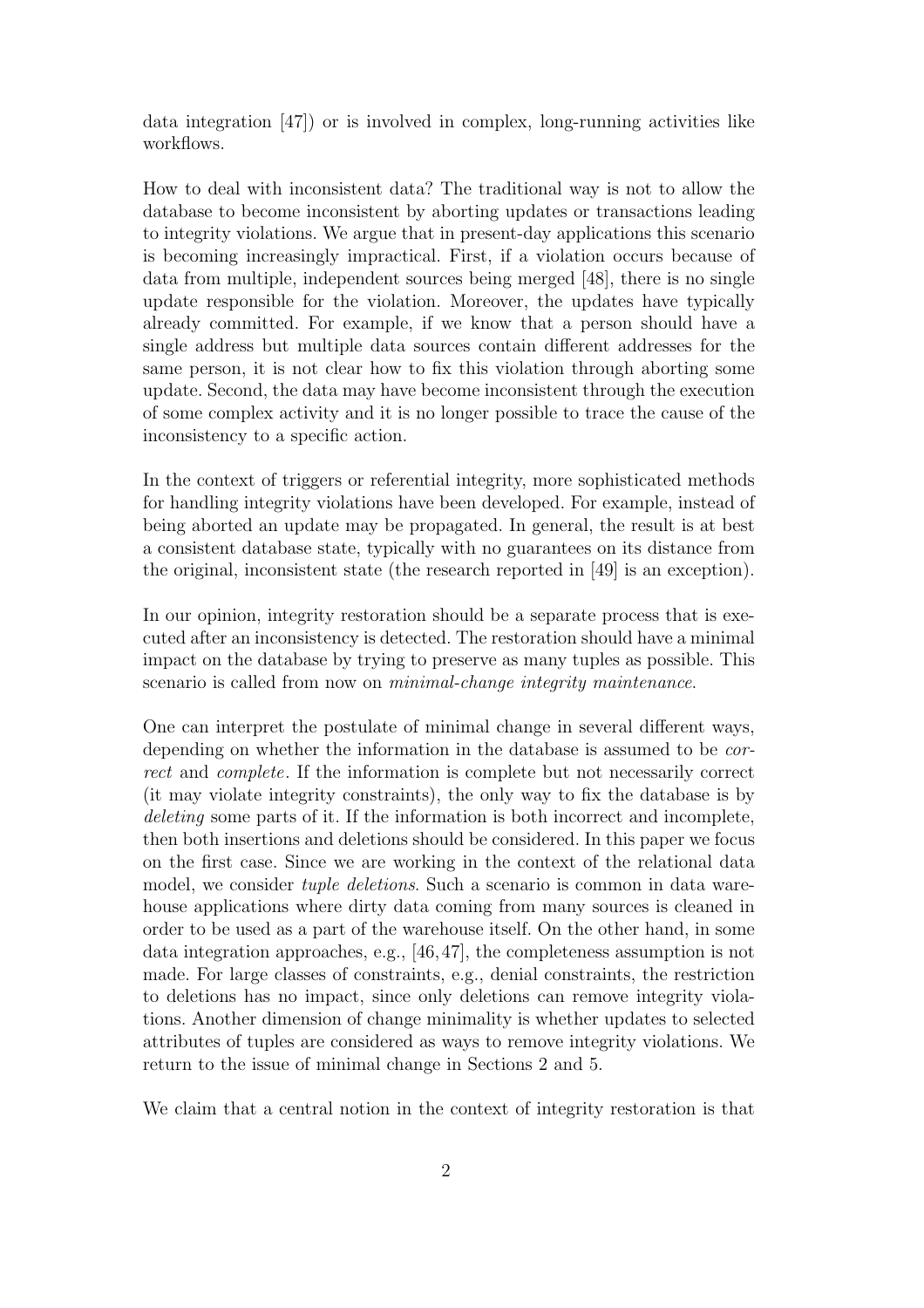data integration [47]) or is involved in complex, long-running activities like workflows.

How to deal with inconsistent data? The traditional way is not to allow the database to become inconsistent by aborting updates or transactions leading to integrity violations. We argue that in present-day applications this scenario is becoming increasingly impractical. First, if a violation occurs because of data from multiple, independent sources being merged [48], there is no single update responsible for the violation. Moreover, the updates have typically already committed. For example, if we know that a person should have a single address but multiple data sources contain different addresses for the same person, it is not clear how to fix this violation through aborting some update. Second, the data may have become inconsistent through the execution of some complex activity and it is no longer possible to trace the cause of the inconsistency to a specific action.

In the context of triggers or referential integrity, more sophisticated methods for handling integrity violations have been developed. For example, instead of being aborted an update may be propagated. In general, the result is at best a consistent database state, typically with no guarantees on its distance from the original, inconsistent state (the research reported in [49] is an exception).

In our opinion, integrity restoration should be a separate process that is executed after an inconsistency is detected. The restoration should have a minimal impact on the database by trying to preserve as many tuples as possible. This scenario is called from now on *minimal-change integrity maintenance*.

One can interpret the postulate of minimal change in several different ways, depending on whether the information in the database is assumed to be correct and complete. If the information is complete but not necessarily correct (it may violate integrity constraints), the only way to fix the database is by deleting some parts of it. If the information is both incorrect and incomplete, then both insertions and deletions should be considered. In this paper we focus on the first case. Since we are working in the context of the relational data model, we consider *tuple deletions*. Such a scenario is common in data warehouse applications where dirty data coming from many sources is cleaned in order to be used as a part of the warehouse itself. On the other hand, in some data integration approaches, e.g., [46,47], the completeness assumption is not made. For large classes of constraints, e.g., denial constraints, the restriction to deletions has no impact, since only deletions can remove integrity violations. Another dimension of change minimality is whether updates to selected attributes of tuples are considered as ways to remove integrity violations. We return to the issue of minimal change in Sections 2 and 5.

We claim that a central notion in the context of integrity restoration is that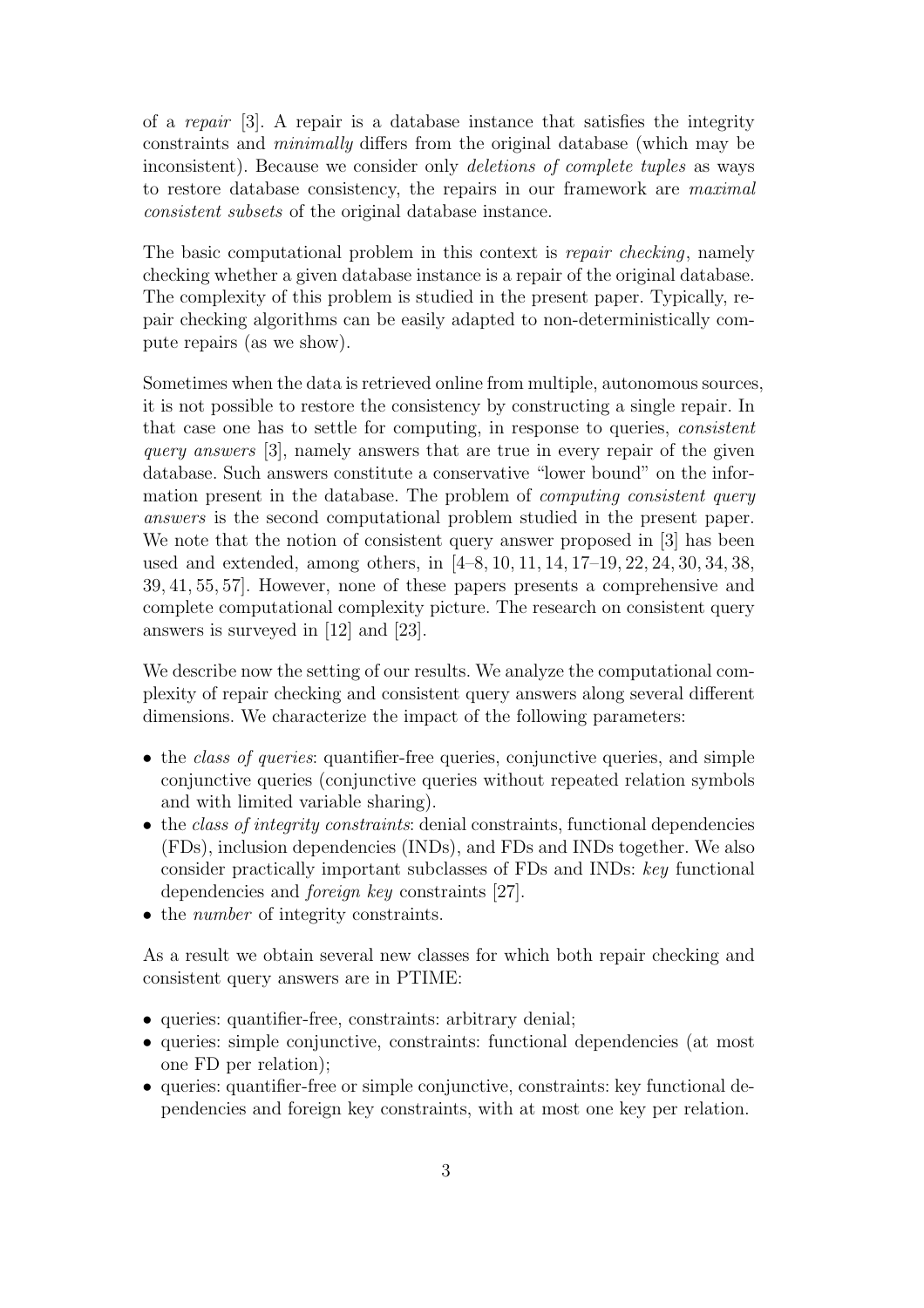of a repair [3]. A repair is a database instance that satisfies the integrity constraints and minimally differs from the original database (which may be inconsistent). Because we consider only deletions of complete tuples as ways to restore database consistency, the repairs in our framework are maximal consistent subsets of the original database instance.

The basic computational problem in this context is *repair checking*, namely checking whether a given database instance is a repair of the original database. The complexity of this problem is studied in the present paper. Typically, repair checking algorithms can be easily adapted to non-deterministically compute repairs (as we show).

Sometimes when the data is retrieved online from multiple, autonomous sources, it is not possible to restore the consistency by constructing a single repair. In that case one has to settle for computing, in response to queries, consistent query answers [3], namely answers that are true in every repair of the given database. Such answers constitute a conservative "lower bound" on the information present in the database. The problem of computing consistent query answers is the second computational problem studied in the present paper. We note that the notion of consistent query answer proposed in [3] has been used and extended, among others, in [4–8, 10, 11, 14, 17–19, 22, 24, 30, 34, 38, 39, 41, 55, 57]. However, none of these papers presents a comprehensive and complete computational complexity picture. The research on consistent query answers is surveyed in [12] and [23].

We describe now the setting of our results. We analyze the computational complexity of repair checking and consistent query answers along several different dimensions. We characterize the impact of the following parameters:

- the *class of queries*: quantifier-free queries, conjunctive queries, and simple conjunctive queries (conjunctive queries without repeated relation symbols and with limited variable sharing).
- the class of integrity constraints: denial constraints, functional dependencies (FDs), inclusion dependencies (INDs), and FDs and INDs together. We also consider practically important subclasses of FDs and INDs: key functional dependencies and foreign key constraints [27].
- the *number* of integrity constraints.

As a result we obtain several new classes for which both repair checking and consistent query answers are in PTIME:

- queries: quantifier-free, constraints: arbitrary denial;
- queries: simple conjunctive, constraints: functional dependencies (at most one FD per relation);
- queries: quantifier-free or simple conjunctive, constraints: key functional dependencies and foreign key constraints, with at most one key per relation.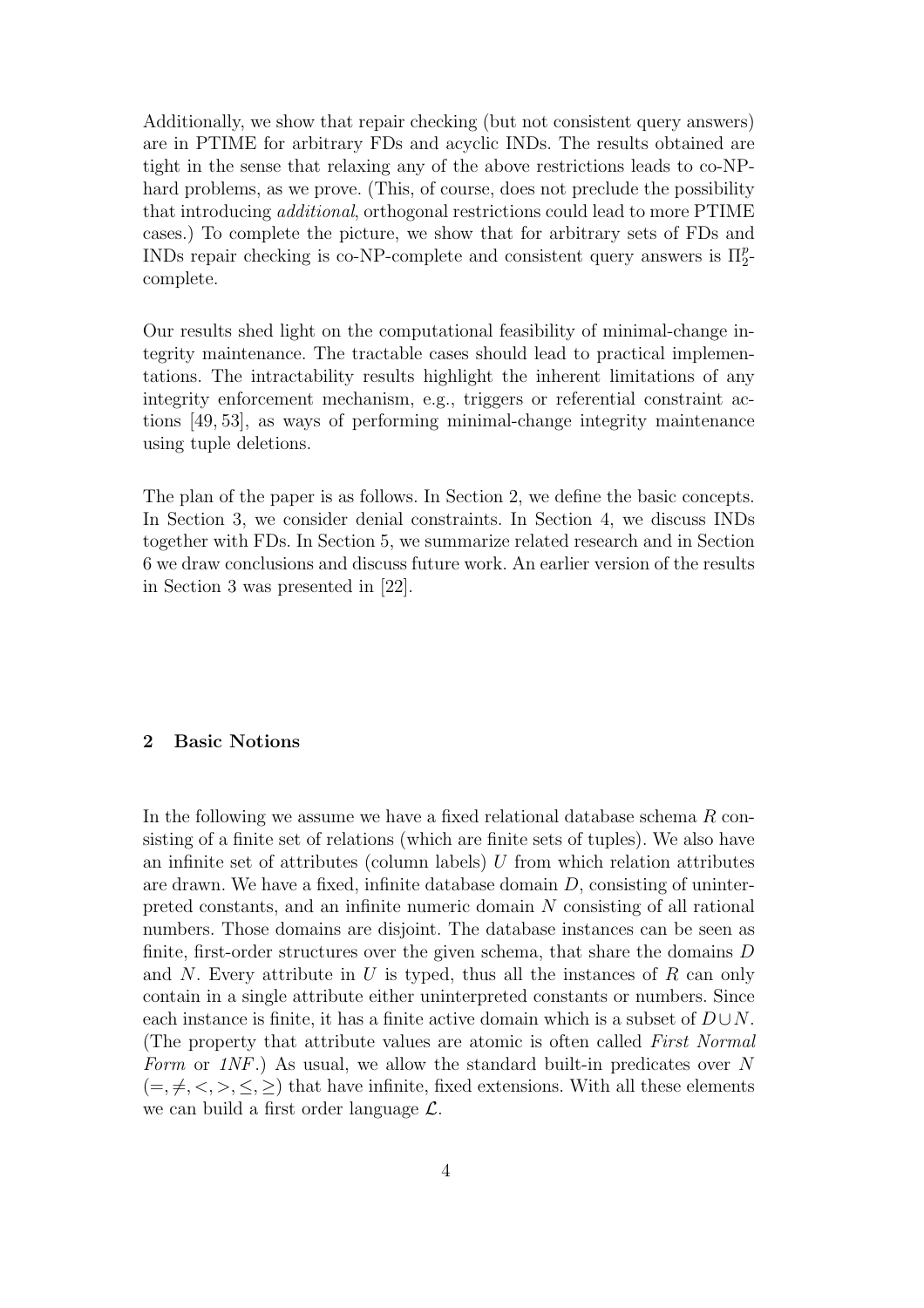Additionally, we show that repair checking (but not consistent query answers) are in PTIME for arbitrary FDs and acyclic INDs. The results obtained are tight in the sense that relaxing any of the above restrictions leads to co-NPhard problems, as we prove. (This, of course, does not preclude the possibility that introducing additional, orthogonal restrictions could lead to more PTIME cases.) To complete the picture, we show that for arbitrary sets of FDs and INDs repair checking is co-NP-complete and consistent query answers is  $\Pi_2^p$  $\frac{p}{2}$ complete.

Our results shed light on the computational feasibility of minimal-change integrity maintenance. The tractable cases should lead to practical implementations. The intractability results highlight the inherent limitations of any integrity enforcement mechanism, e.g., triggers or referential constraint actions [49, 53], as ways of performing minimal-change integrity maintenance using tuple deletions.

The plan of the paper is as follows. In Section 2, we define the basic concepts. In Section 3, we consider denial constraints. In Section 4, we discuss INDs together with FDs. In Section 5, we summarize related research and in Section 6 we draw conclusions and discuss future work. An earlier version of the results in Section 3 was presented in [22].

# 2 Basic Notions

In the following we assume we have a fixed relational database schema R consisting of a finite set of relations (which are finite sets of tuples). We also have an infinite set of attributes (column labels)  $U$  from which relation attributes are drawn. We have a fixed, infinite database domain D, consisting of uninterpreted constants, and an infinite numeric domain N consisting of all rational numbers. Those domains are disjoint. The database instances can be seen as finite, first-order structures over the given schema, that share the domains D and N. Every attribute in U is typed, thus all the instances of R can only contain in a single attribute either uninterpreted constants or numbers. Since each instance is finite, it has a finite active domain which is a subset of  $D \cup N$ . (The property that attribute values are atomic is often called First Normal Form or  $1NF$ .) As usual, we allow the standard built-in predicates over N  $(=,\neq,<,\geq,\leq,\geq)$  that have infinite, fixed extensions. With all these elements we can build a first order language L.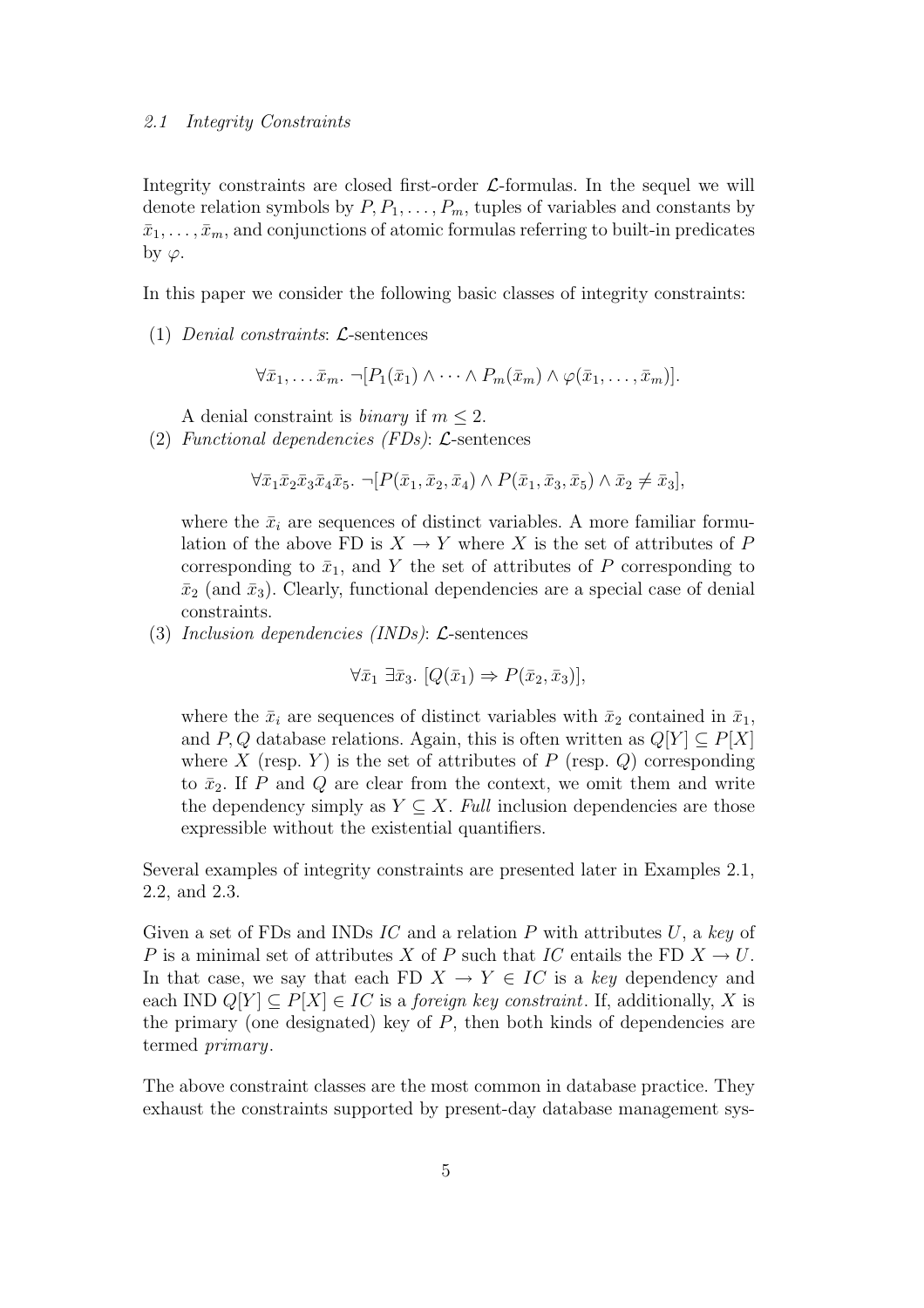#### 2.1 Integrity Constraints

Integrity constraints are closed first-order  $\mathcal{L}$ -formulas. In the sequel we will denote relation symbols by  $P, P_1, \ldots, P_m$ , tuples of variables and constants by  $\bar{x}_1, \ldots, \bar{x}_m$ , and conjunctions of atomic formulas referring to built-in predicates by  $\varphi$ .

In this paper we consider the following basic classes of integrity constraints:

(1) Denial constraints: L-sentences

 $\forall \bar{x}_1, \ldots \bar{x}_m$ .  $\neg [P_1(\bar{x}_1) \wedge \cdots \wedge P_m(\bar{x}_m) \wedge \varphi(\bar{x}_1, \ldots, \bar{x}_m)].$ 

A denial constraint is *binary* if  $m < 2$ .

(2) Functional dependencies (FDs): L-sentences

 $\forall \bar{x}_1 \bar{x}_2 \bar{x}_3 \bar{x}_4 \bar{x}_5.$   $\neg [P(\bar{x}_1, \bar{x}_2, \bar{x}_4) \wedge P(\bar{x}_1, \bar{x}_3, \bar{x}_5) \wedge \bar{x}_2 \neq \bar{x}_3],$ 

where the  $\bar{x}_i$  are sequences of distinct variables. A more familiar formulation of the above FD is  $X \to Y$  where X is the set of attributes of P corresponding to  $\bar{x}_1$ , and Y the set of attributes of P corresponding to  $\bar{x}_2$  (and  $\bar{x}_3$ ). Clearly, functional dependencies are a special case of denial constraints.

(3) Inclusion dependencies  $(INDs)$ :  $\mathcal{L}\text{-sentences}$ 

$$
\forall \bar{x}_1 \ \exists \bar{x}_3. \ [Q(\bar{x}_1) \Rightarrow P(\bar{x}_2, \bar{x}_3)],
$$

where the  $\bar{x}_i$  are sequences of distinct variables with  $\bar{x}_2$  contained in  $\bar{x}_1$ , and P, Q database relations. Again, this is often written as  $Q[Y] \subset P[X]$ where X (resp. Y) is the set of attributes of P (resp. Q) corresponding to  $\bar{x}_2$ . If P and Q are clear from the context, we omit them and write the dependency simply as  $Y \subseteq X$ . Full inclusion dependencies are those expressible without the existential quantifiers.

Several examples of integrity constraints are presented later in Examples 2.1, 2.2, and 2.3.

Given a set of FDs and INDs IC and a relation P with attributes  $U$ , a key of P is a minimal set of attributes X of P such that IC entails the FD  $X \to U$ . In that case, we say that each FD  $X \to Y \in IC$  is a key dependency and each IND  $Q[Y] \subset P[X] \in IC$  is a *foreign key constraint*. If, additionally, X is the primary (one designated) key of  $P$ , then both kinds of dependencies are termed primary.

The above constraint classes are the most common in database practice. They exhaust the constraints supported by present-day database management sys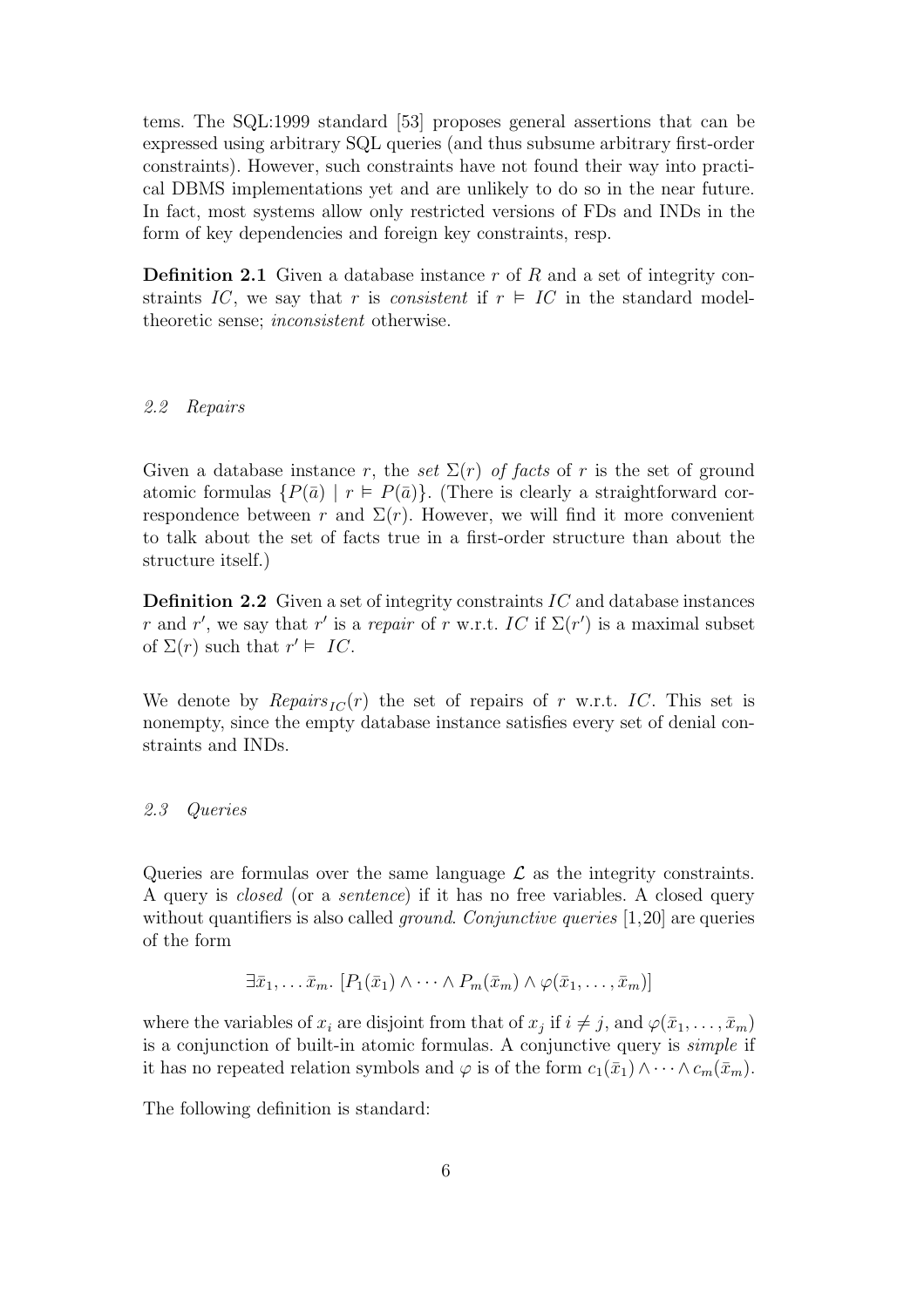tems. The SQL:1999 standard [53] proposes general assertions that can be expressed using arbitrary SQL queries (and thus subsume arbitrary first-order constraints). However, such constraints have not found their way into practical DBMS implementations yet and are unlikely to do so in the near future. In fact, most systems allow only restricted versions of FDs and INDs in the form of key dependencies and foreign key constraints, resp.

**Definition 2.1** Given a database instance  $r$  of  $R$  and a set of integrity constraints IC, we say that r is consistent if  $r \in IC$  in the standard modeltheoretic sense; inconsistent otherwise.

#### 2.2 Repairs

Given a database instance r, the set  $\Sigma(r)$  of facts of r is the set of ground atomic formulas  $\{P(\bar{a}) | r \in P(\bar{a})\}$ . (There is clearly a straightforward correspondence between r and  $\Sigma(r)$ . However, we will find it more convenient to talk about the set of facts true in a first-order structure than about the structure itself.)

**Definition 2.2** Given a set of integrity constraints  $IC$  and database instances r and r', we say that r' is a repair of r w.r.t. IC if  $\Sigma(r')$  is a maximal subset of  $\Sigma(r)$  such that  $r' \vDash IC$ .

We denote by  $\text{Repairs}_{IC}(r)$  the set of repairs of r w.r.t. IC. This set is nonempty, since the empty database instance satisfies every set of denial constraints and INDs.

#### 2.3 Queries

Queries are formulas over the same language  $\mathcal L$  as the integrity constraints. A query is closed (or a sentence) if it has no free variables. A closed query without quantifiers is also called *ground. Conjunctive queries*  $[1,20]$  are queries of the form

$$
\exists \bar{x}_1, \ldots \bar{x}_m. \ [P_1(\bar{x}_1) \wedge \cdots \wedge P_m(\bar{x}_m) \wedge \varphi(\bar{x}_1, \ldots, \bar{x}_m)]
$$

where the variables of  $x_i$  are disjoint from that of  $x_j$  if  $i \neq j$ , and  $\varphi(\bar{x}_1, \ldots, \bar{x}_m)$ is a conjunction of built-in atomic formulas. A conjunctive query is simple if it has no repeated relation symbols and  $\varphi$  is of the form  $c_1(\bar{x}_1) \wedge \cdots \wedge c_m(\bar{x}_m)$ .

The following definition is standard: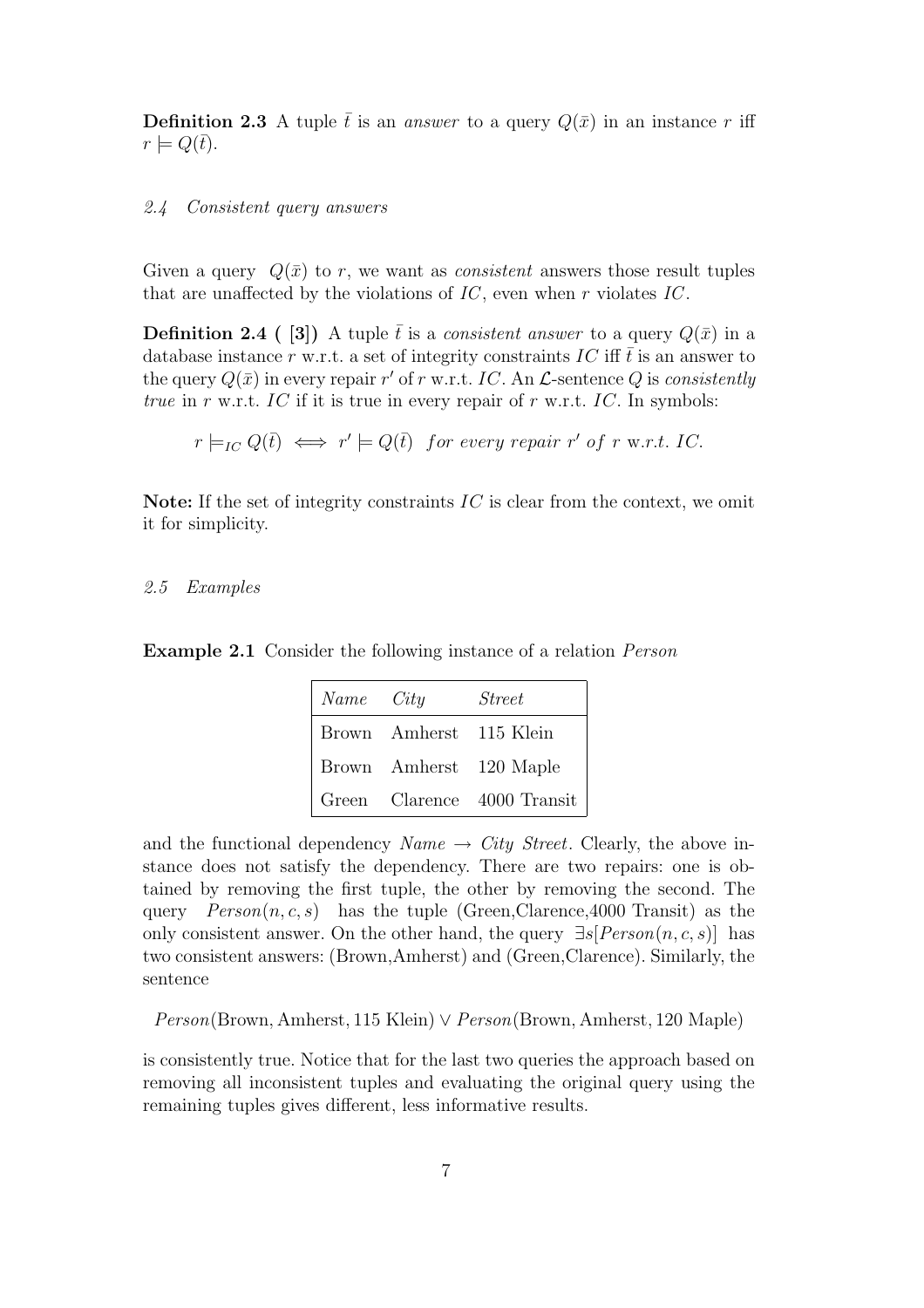**Definition 2.3** A tuple  $\bar{t}$  is an answer to a query  $Q(\bar{x})$  in an instance r iff  $r \models Q(\bar{t}).$ 

#### 2.4 Consistent query answers

Given a query  $Q(\bar{x})$  to r, we want as *consistent* answers those result tuples that are unaffected by the violations of  $IC$ , even when r violates  $IC$ .

**Definition 2.4** ( [3]) A tuple  $\bar{t}$  is a *consistent answer* to a query  $Q(\bar{x})$  in a database instance r w.r.t. a set of integrity constraints IC iff  $\bar{t}$  is an answer to the query  $Q(\bar{x})$  in every repair r' of r w.r.t. IC. An  $\mathcal{L}$ -sentence Q is consistently true in r w.r.t. IC if it is true in every repair of r w.r.t. IC. In symbols:

 $r \models_{IC} Q(\bar{t}) \iff r' \models Q(\bar{t})$  for every repair  $r'$  of r w.r.t. IC.

Note: If the set of integrity constraints  $IC$  is clear from the context, we omit it for simplicity.

#### 2.5 Examples

Example 2.1 Consider the following instance of a relation Person

| Name City |                         | <i>Street</i>               |
|-----------|-------------------------|-----------------------------|
|           | Brown Amherst 115 Klein |                             |
|           |                         | Brown Amherst 120 Maple     |
|           |                         | Green Clarence 4000 Transit |

and the functional dependency  $Name \rightarrow City Street$ . Clearly, the above instance does not satisfy the dependency. There are two repairs: one is obtained by removing the first tuple, the other by removing the second. The query  $Person(n, c, s)$  has the tuple (Green,Clarence,4000 Transit) as the only consistent answer. On the other hand, the query  $\exists s[Person(n, c, s)]$  has two consistent answers: (Brown,Amherst) and (Green,Clarence). Similarly, the sentence

Person(Brown, Amherst, 115 Klein) ∨ Person(Brown, Amherst, 120 Maple)

is consistently true. Notice that for the last two queries the approach based on removing all inconsistent tuples and evaluating the original query using the remaining tuples gives different, less informative results.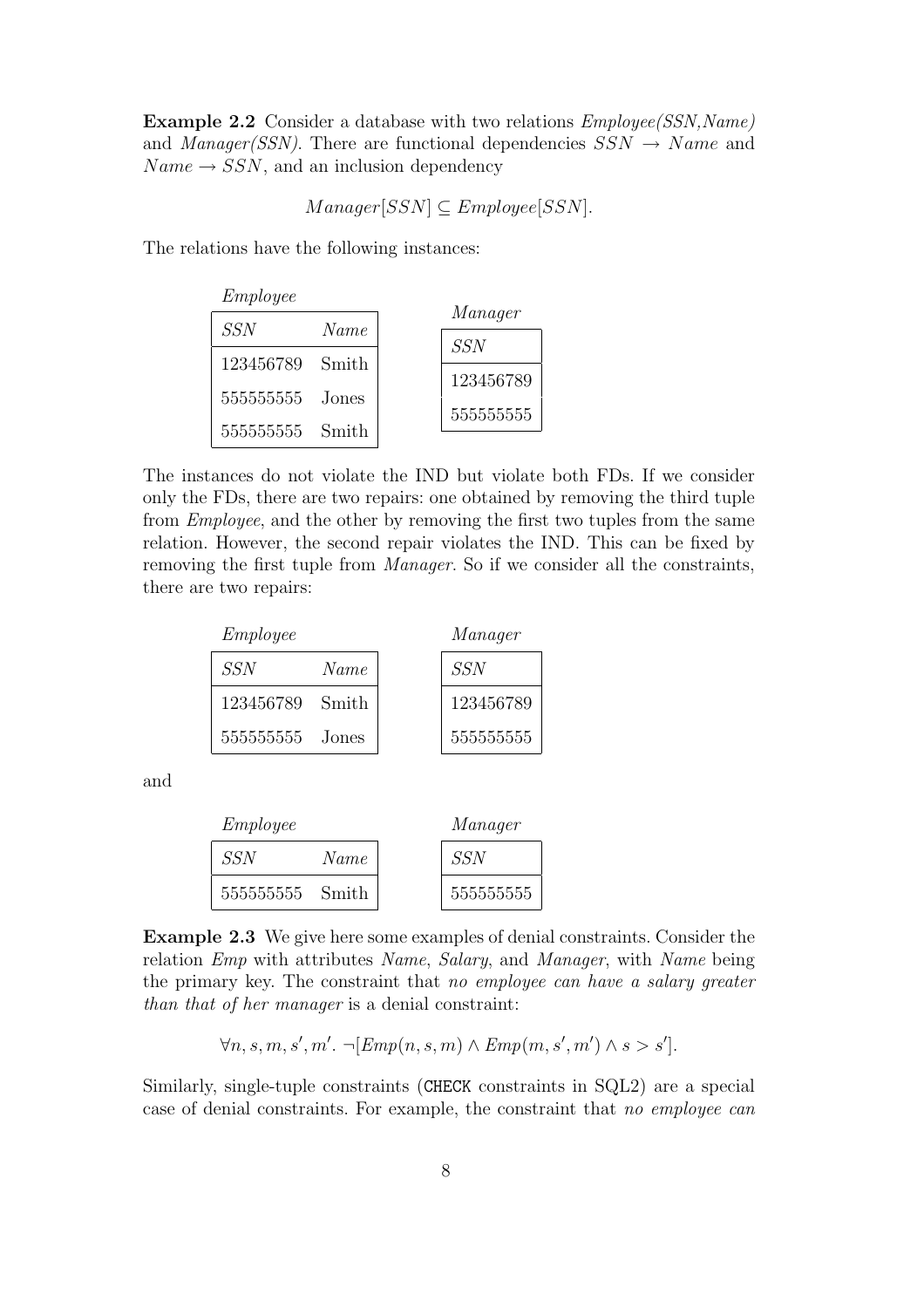Example 2.2 Consider a database with two relations  $Employee(SSNName)$ and *Manager(SSN)*. There are functional dependencies  $SSN \rightarrow Name$  and  $Name \rightarrow SSN$ , and an inclusion dependency

$$
Manager[SSN] \subseteq Employee[SSN].
$$

The relations have the following instances:

| Employee   |       |            |
|------------|-------|------------|
| $SSN$      | Name  | Manager    |
| 123456789  | Smith | <i>SSN</i> |
| 5555555555 | Jones | 123456789  |
| 5555555555 | Smith | 5555555555 |

The instances do not violate the IND but violate both FDs. If we consider only the FDs, there are two repairs: one obtained by removing the third tuple from Employee, and the other by removing the first two tuples from the same relation. However, the second repair violates the IND. This can be fixed by removing the first tuple from Manager. So if we consider all the constraints, there are two repairs:

| Employee        |      | Manager    |
|-----------------|------|------------|
| <i>SSN</i>      | Name | <i>SSN</i> |
| 123456789 Smith |      | 123456789  |
| 555555555 Jones |      | 5555555555 |

and

| Employee        |      | Manager    |
|-----------------|------|------------|
| <i>SSN</i>      | Name | <b>SSN</b> |
| 555555555 Smith |      | 5555555555 |

Example 2.3 We give here some examples of denial constraints. Consider the relation Emp with attributes Name, Salary, and Manager, with Name being the primary key. The constraint that no employee can have a salary greater than that of her manager is a denial constraint:

$$
\forall n, s, m, s', m'. \neg [Emp(n, s, m) \land Emp(m, s', m') \land s > s'].
$$

Similarly, single-tuple constraints (CHECK constraints in SQL2) are a special case of denial constraints. For example, the constraint that no employee can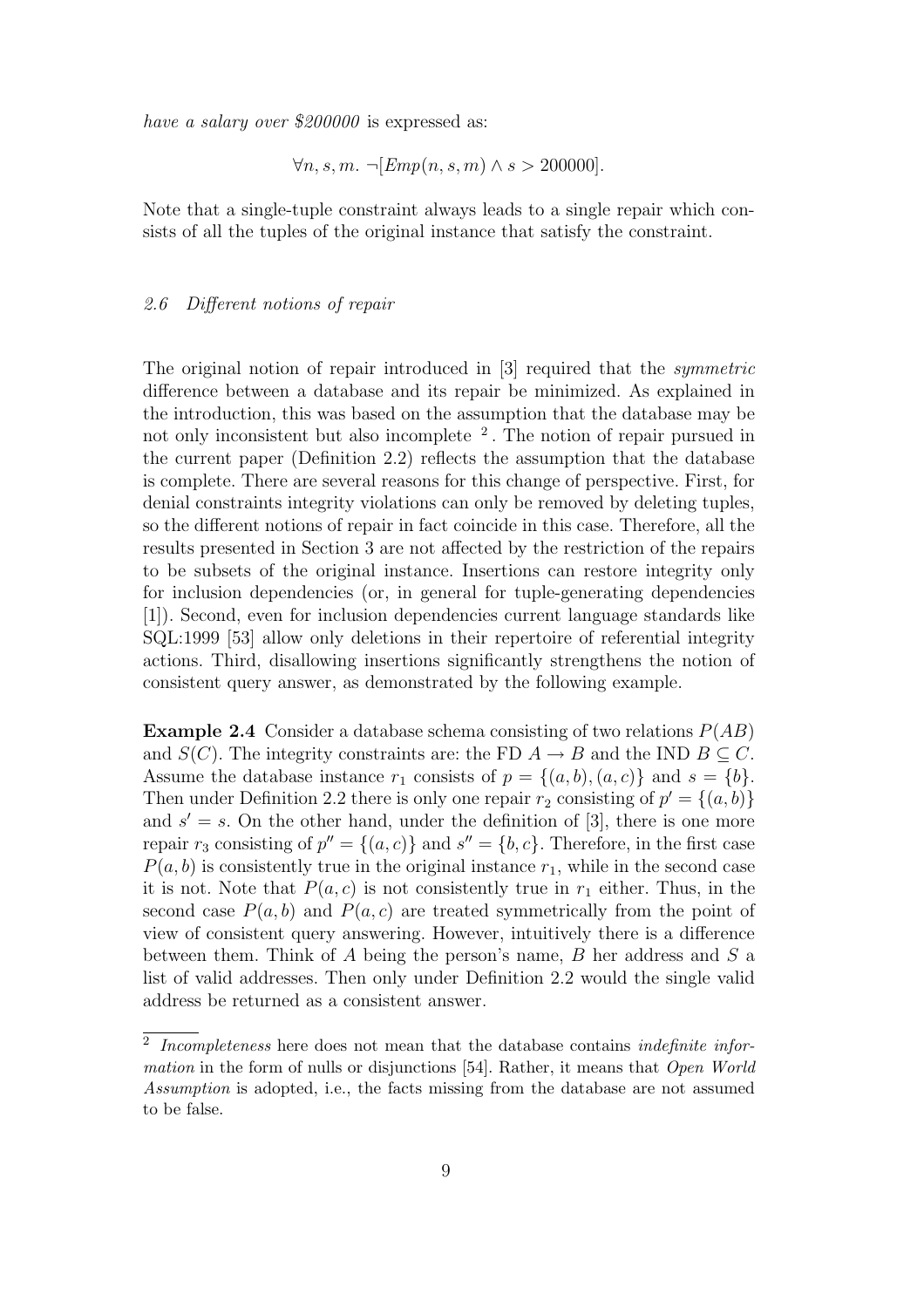have a salary over \$200000 is expressed as:

$$
\forall n, s, m. \ \neg [Emp(n, s, m) \land s > 200000].
$$

Note that a single-tuple constraint always leads to a single repair which consists of all the tuples of the original instance that satisfy the constraint.

# 2.6 Different notions of repair

The original notion of repair introduced in [3] required that the symmetric difference between a database and its repair be minimized. As explained in the introduction, this was based on the assumption that the database may be not only inconsistent but also incomplete <sup>2</sup>. The notion of repair pursued in the current paper (Definition 2.2) reflects the assumption that the database is complete. There are several reasons for this change of perspective. First, for denial constraints integrity violations can only be removed by deleting tuples, so the different notions of repair in fact coincide in this case. Therefore, all the results presented in Section 3 are not affected by the restriction of the repairs to be subsets of the original instance. Insertions can restore integrity only for inclusion dependencies (or, in general for tuple-generating dependencies [1]). Second, even for inclusion dependencies current language standards like SQL:1999 [53] allow only deletions in their repertoire of referential integrity actions. Third, disallowing insertions significantly strengthens the notion of consistent query answer, as demonstrated by the following example.

**Example 2.4** Consider a database schema consisting of two relations  $P(AB)$ and  $S(C)$ . The integrity constraints are: the FD  $A \rightarrow B$  and the IND  $B \subseteq C$ . Assume the database instance  $r_1$  consists of  $p = \{(a, b), (a, c)\}\$  and  $s = \{b\}.$ Then under Definition 2.2 there is only one repair  $r_2$  consisting of  $p' = \{(a, b)\}\$ and  $s' = s$ . On the other hand, under the definition of [3], there is one more repair  $r_3$  consisting of  $p'' = \{(a, c)\}\$ and  $s'' = \{b, c\}$ . Therefore, in the first case  $P(a, b)$  is consistently true in the original instance  $r<sub>1</sub>$ , while in the second case it is not. Note that  $P(a, c)$  is not consistently true in  $r_1$  either. Thus, in the second case  $P(a, b)$  and  $P(a, c)$  are treated symmetrically from the point of view of consistent query answering. However, intuitively there is a difference between them. Think of  $A$  being the person's name,  $B$  her address and  $S$  a list of valid addresses. Then only under Definition 2.2 would the single valid address be returned as a consistent answer.

 $2$  Incompleteness here does not mean that the database contains indefinite information in the form of nulls or disjunctions [54]. Rather, it means that *Open World* Assumption is adopted, i.e., the facts missing from the database are not assumed to be false.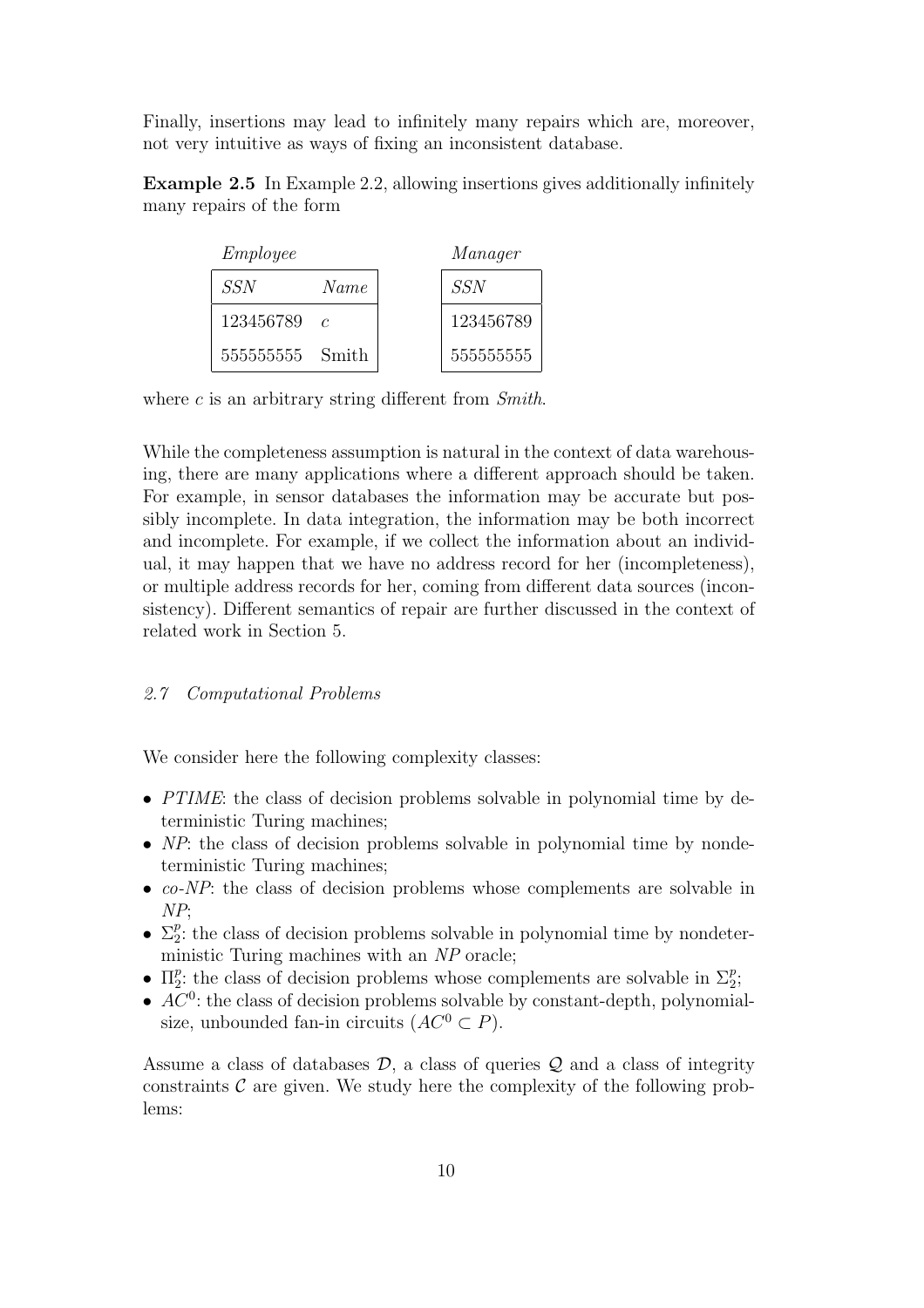Finally, insertions may lead to infinitely many repairs which are, moreover, not very intuitive as ways of fixing an inconsistent database.

Example 2.5 In Example 2.2, allowing insertions gives additionally infinitely many repairs of the form

| Employee        |               | Manager |            |
|-----------------|---------------|---------|------------|
| <b>SSN</b>      | Name          |         | SSN        |
| 123456789       | $\mathcal{C}$ |         | 123456789  |
| 555555555 Smith |               |         | 5555555555 |

where  $c$  is an arbitrary string different from  $Smith$ .

While the completeness assumption is natural in the context of data warehousing, there are many applications where a different approach should be taken. For example, in sensor databases the information may be accurate but possibly incomplete. In data integration, the information may be both incorrect and incomplete. For example, if we collect the information about an individual, it may happen that we have no address record for her (incompleteness), or multiple address records for her, coming from different data sources (inconsistency). Different semantics of repair are further discussed in the context of related work in Section 5.

## 2.7 Computational Problems

We consider here the following complexity classes:

- PTIME: the class of decision problems solvable in polynomial time by deterministic Turing machines;
- NP: the class of decision problems solvable in polynomial time by nondeterministic Turing machines;
- co-NP: the class of decision problems whose complements are solvable in NP;
- $\Sigma_2^p$  $_{2}^{p}$ : the class of decision problems solvable in polynomial time by nondeterministic Turing machines with an NP oracle;
- $\bullet$   $\Pi_2^p$ <sup>*p*</sup>: the class of decision problems whose complements are solvable in  $\Sigma_2^p$  $\frac{p}{2}$
- $\bullet$   $AC^0$ : the class of decision problems solvable by constant-depth, polynomialsize, unbounded fan-in circuits  $(AC^0 \subset P)$ .

Assume a class of databases  $\mathcal{D}$ , a class of queries  $\mathcal{Q}$  and a class of integrity constraints  $\mathcal C$  are given. We study here the complexity of the following problems: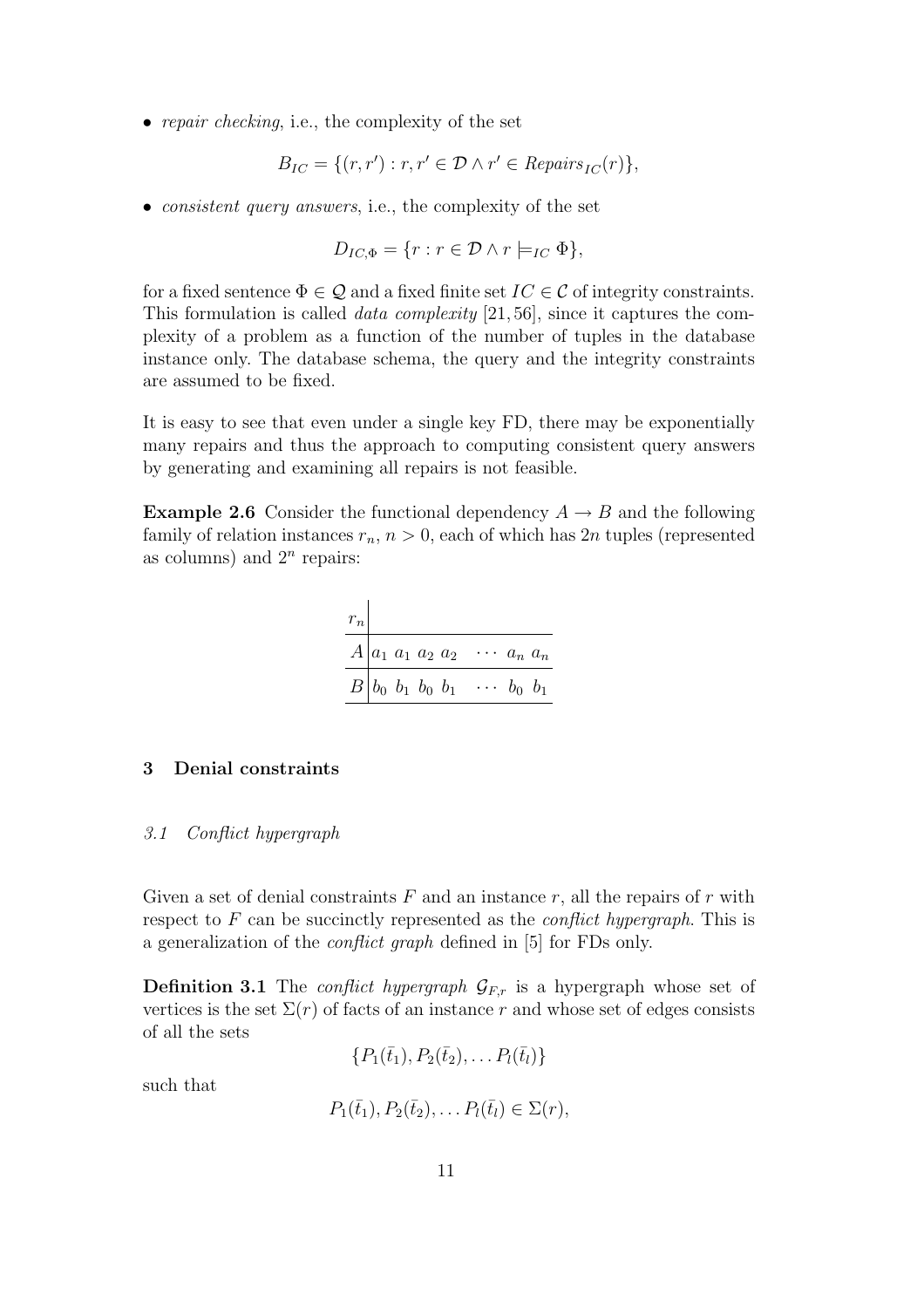• repair checking, i.e., the complexity of the set

$$
B_{IC} = \{(r, r') : r, r' \in \mathcal{D} \land r' \in \mathit{Repairs}_{IC}(r)\},\
$$

• *consistent query answers, i.e., the complexity of the set* 

$$
D_{IC,\Phi} = \{r : r \in \mathcal{D} \land r \models_{IC} \Phi\},\
$$

for a fixed sentence  $\Phi \in \mathcal{Q}$  and a fixed finite set  $IC \in \mathcal{C}$  of integrity constraints. This formulation is called data complexity [21, 56], since it captures the complexity of a problem as a function of the number of tuples in the database instance only. The database schema, the query and the integrity constraints are assumed to be fixed.

It is easy to see that even under a single key FD, there may be exponentially many repairs and thus the approach to computing consistent query answers by generating and examining all repairs is not feasible.

**Example 2.6** Consider the functional dependency  $A \rightarrow B$  and the following family of relation instances  $r_n$ ,  $n > 0$ , each of which has 2n tuples (represented as columns) and  $2<sup>n</sup>$  repairs:

| $\boldsymbol{r}_n$ |                                    |                      |
|--------------------|------------------------------------|----------------------|
|                    | $A a_1 a_1 a_2 a_2$                | $\cdots$ $a_n$ $a_n$ |
|                    | $B b_0 b_1 b_0 b_1 \cdots b_0 b_1$ |                      |

# 3 Denial constraints

#### 3.1 Conflict hypergraph

Given a set of denial constraints  $F$  and an instance  $r$ , all the repairs of  $r$  with respect to  $F$  can be succinctly represented as the *conflict hypergraph*. This is a generalization of the conflict graph defined in [5] for FDs only.

**Definition 3.1** The *conflict hypergraph*  $\mathcal{G}_{F,r}$  is a hypergraph whose set of vertices is the set  $\Sigma(r)$  of facts of an instance r and whose set of edges consists of all the sets

 ${P_1(\bar{t}_1), P_2(\bar{t}_2), \ldots P_l(\bar{t}_l)}$ 

such that

 $P_1(\bar{t}_1), P_2(\bar{t}_2), \ldots P_l(\bar{t}_l) \in \Sigma(r),$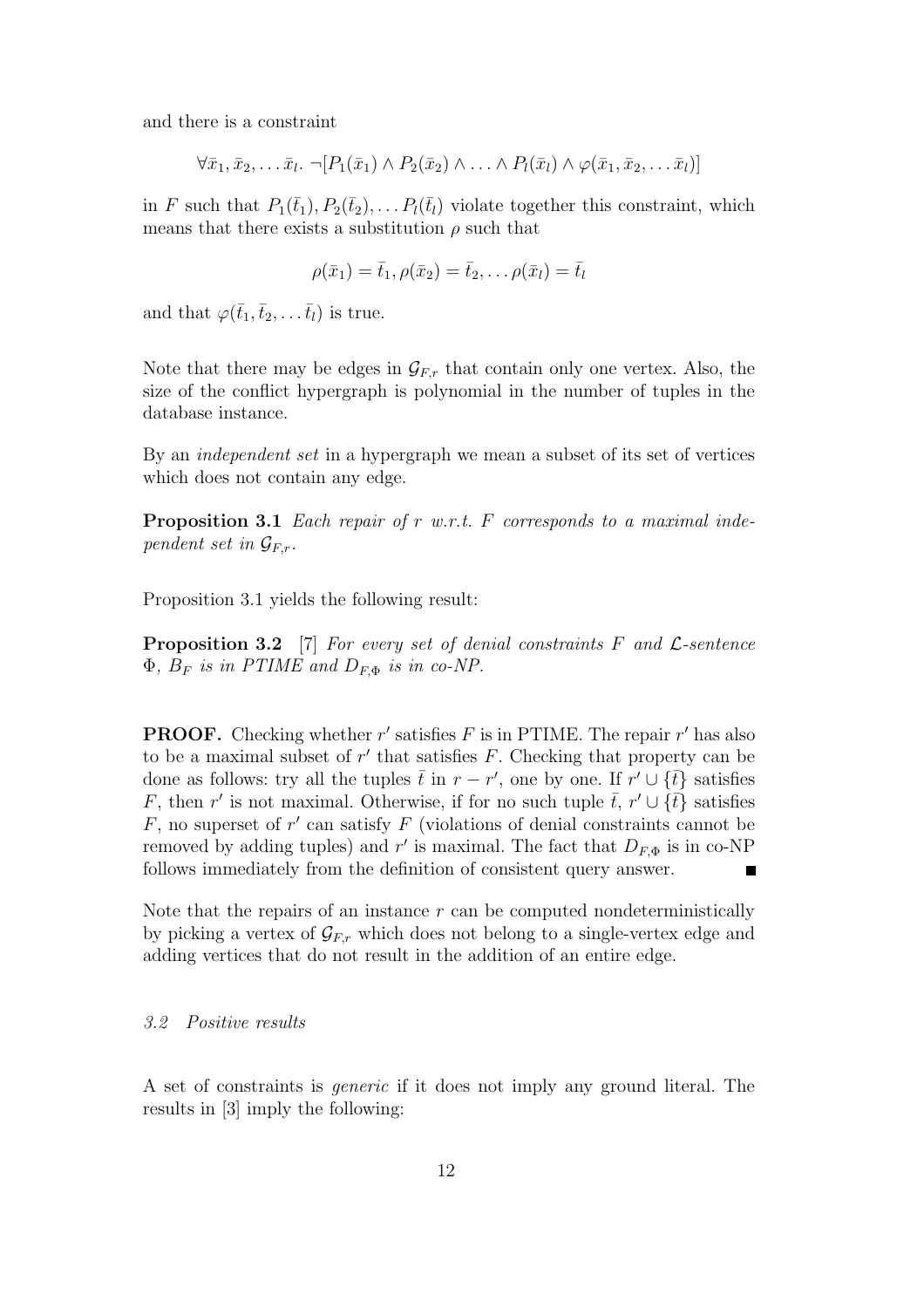and there is a constraint

$$
\forall \bar{x}_1, \bar{x}_2, \ldots \bar{x}_l. \neg [P_1(\bar{x}_1) \land P_2(\bar{x}_2) \land \ldots \land P_l(\bar{x}_l) \land \varphi(\bar{x}_1, \bar{x}_2, \ldots \bar{x}_l)]
$$

in F such that  $P_1(\bar{t}_1), P_2(\bar{t}_2), \ldots P_l(\bar{t}_l)$  violate together this constraint, which means that there exists a substitution  $\rho$  such that

$$
\rho(\bar{x}_1) = \bar{t}_1, \rho(\bar{x}_2) = \bar{t}_2, \dots \rho(\bar{x}_l) = \bar{t}_l
$$

and that  $\varphi(\bar{t}_1,\bar{t}_2,\ldots,\bar{t}_l)$  is true.

Note that there may be edges in  $\mathcal{G}_{F,r}$  that contain only one vertex. Also, the size of the conflict hypergraph is polynomial in the number of tuples in the database instance.

By an independent set in a hypergraph we mean a subset of its set of vertices which does not contain any edge.

**Proposition 3.1** Each repair of r w.r.t. F corresponds to a maximal independent set in  $\mathcal{G}_{F,r}$ .

Proposition 3.1 yields the following result:

**Proposition 3.2** [7] For every set of denial constraints  $F$  and  $\mathcal{L}$ -sentence  $\Phi$ ,  $B_F$  is in PTIME and  $D_{F,\Phi}$  is in co-NP.

**PROOF.** Checking whether  $r'$  satisfies  $F$  is in PTIME. The repair  $r'$  has also to be a maximal subset of  $r'$  that satisfies  $F$ . Checking that property can be done as follows: try all the tuples  $\bar{t}$  in  $r - r'$ , one by one. If  $r' \cup \{\bar{t}\}\$  satisfies F, then r' is not maximal. Otherwise, if for no such tuple  $\bar{t}$ , r'  $\cup \{\bar{t}\}$  satisfies  $F$ , no superset of  $r'$  can satisfy  $F$  (violations of denial constraints cannot be removed by adding tuples) and  $r'$  is maximal. The fact that  $D_{F,\Phi}$  is in co-NP follows immediately from the definition of consistent query answer.  $\blacksquare$ 

Note that the repairs of an instance  $r$  can be computed nondeterministically by picking a vertex of  $\mathcal{G}_{F,r}$  which does not belong to a single-vertex edge and adding vertices that do not result in the addition of an entire edge.

#### 3.2 Positive results

A set of constraints is generic if it does not imply any ground literal. The results in [3] imply the following: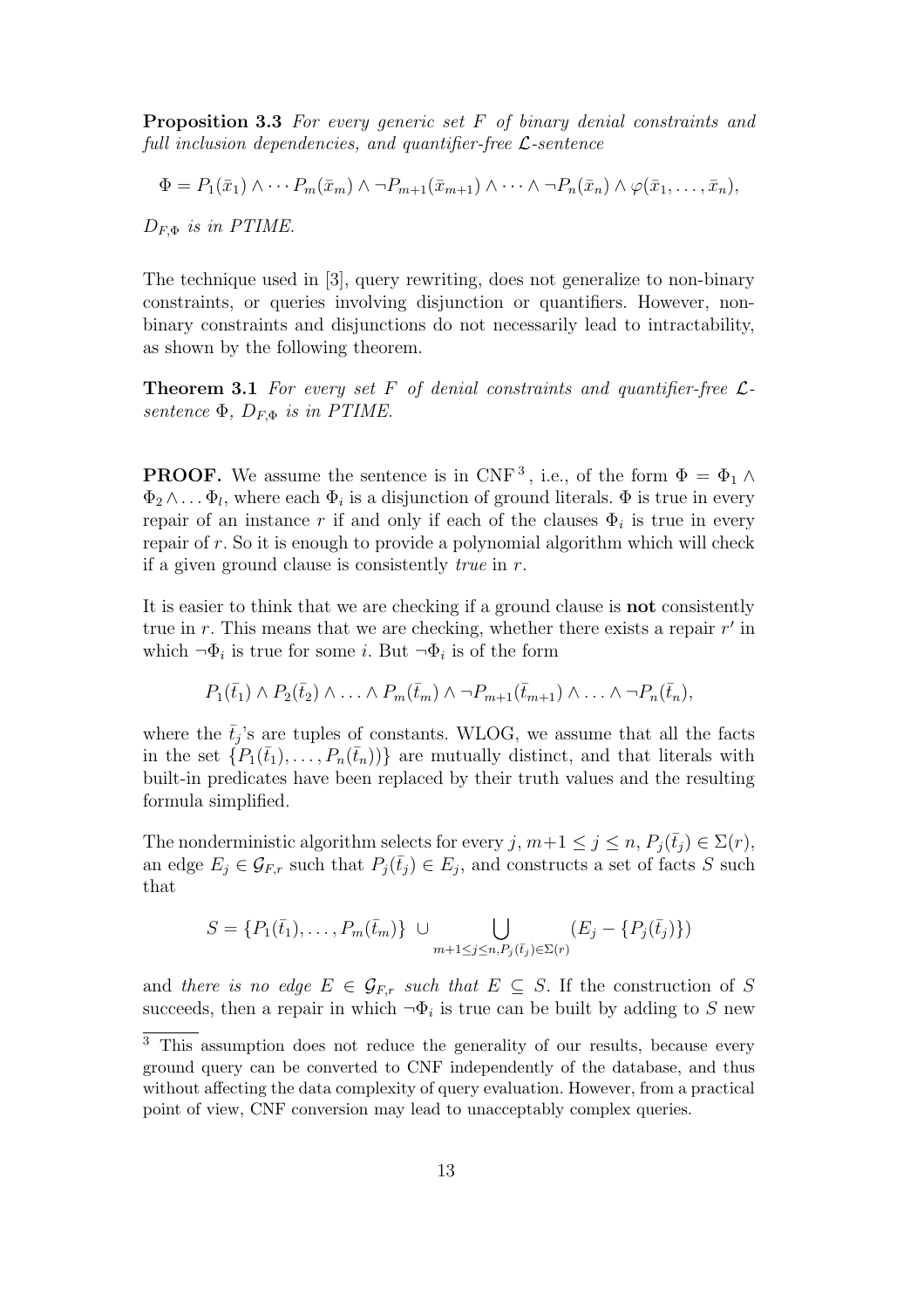Proposition 3.3 For every generic set F of binary denial constraints and full inclusion dependencies, and quantifier-free  $\mathcal{L}$ -sentence

$$
\Phi = P_1(\bar{x}_1) \wedge \cdots P_m(\bar{x}_m) \wedge \neg P_{m+1}(\bar{x}_{m+1}) \wedge \cdots \wedge \neg P_n(\bar{x}_n) \wedge \varphi(\bar{x}_1, \ldots, \bar{x}_n),
$$

 $D_{F,\Phi}$  is in PTIME.

The technique used in [3], query rewriting, does not generalize to non-binary constraints, or queries involving disjunction or quantifiers. However, nonbinary constraints and disjunctions do not necessarily lead to intractability, as shown by the following theorem.

**Theorem 3.1** For every set F of denial constraints and quantifier-free  $\mathcal{L}$ sentence  $\Phi$ ,  $D_{F,\Phi}$  is in PTIME.

**PROOF.** We assume the sentence is in CNF<sup>3</sup>, i.e., of the form  $\Phi = \Phi_1 \wedge$  $\Phi_2 \wedge \dots \Phi_l$ , where each  $\Phi_i$  is a disjunction of ground literals.  $\Phi$  is true in every repair of an instance r if and only if each of the clauses  $\Phi_i$  is true in every repair of r. So it is enough to provide a polynomial algorithm which will check if a given ground clause is consistently *true* in  $r$ .

It is easier to think that we are checking if a ground clause is not consistently true in  $r$ . This means that we are checking, whether there exists a repair  $r'$  in which  $\neg \Phi_i$  is true for some *i*. But  $\neg \Phi_i$  is of the form

$$
P_1(\bar{t}_1) \wedge P_2(\bar{t}_2) \wedge \ldots \wedge P_m(\bar{t}_m) \wedge \neg P_{m+1}(\bar{t}_{m+1}) \wedge \ldots \wedge \neg P_n(\bar{t}_n),
$$

where the  $\bar{t}_j$ 's are tuples of constants. WLOG, we assume that all the facts in the set  $\{P_1(\bar{t}_1), \ldots, P_n(\bar{t}_n)\}\$  are mutually distinct, and that literals with built-in predicates have been replaced by their truth values and the resulting formula simplified.

The nonderministic algorithm selects for every j,  $m+1 \leq j \leq n$ ,  $P_i(\bar{t}_i) \in \Sigma(r)$ , an edge  $E_j \in \mathcal{G}_{F,r}$  such that  $P_j(\bar{t}_j) \in E_j$ , and constructs a set of facts S such that

$$
S = \{P_1(\bar{t}_1), \dots, P_m(\bar{t}_m)\} \cup \bigcup_{m+1 \leq j \leq n, P_j(\bar{t}_j) \in \Sigma(r)} (E_j - \{P_j(\bar{t}_j)\})
$$

and there is no edge  $E \in \mathcal{G}_{F,r}$  such that  $E \subseteq S$ . If the construction of S succeeds, then a repair in which  $\neg \Phi_i$  is true can be built by adding to S new

<sup>&</sup>lt;sup>3</sup> This assumption does not reduce the generality of our results, because every ground query can be converted to CNF independently of the database, and thus without affecting the data complexity of query evaluation. However, from a practical point of view, CNF conversion may lead to unacceptably complex queries.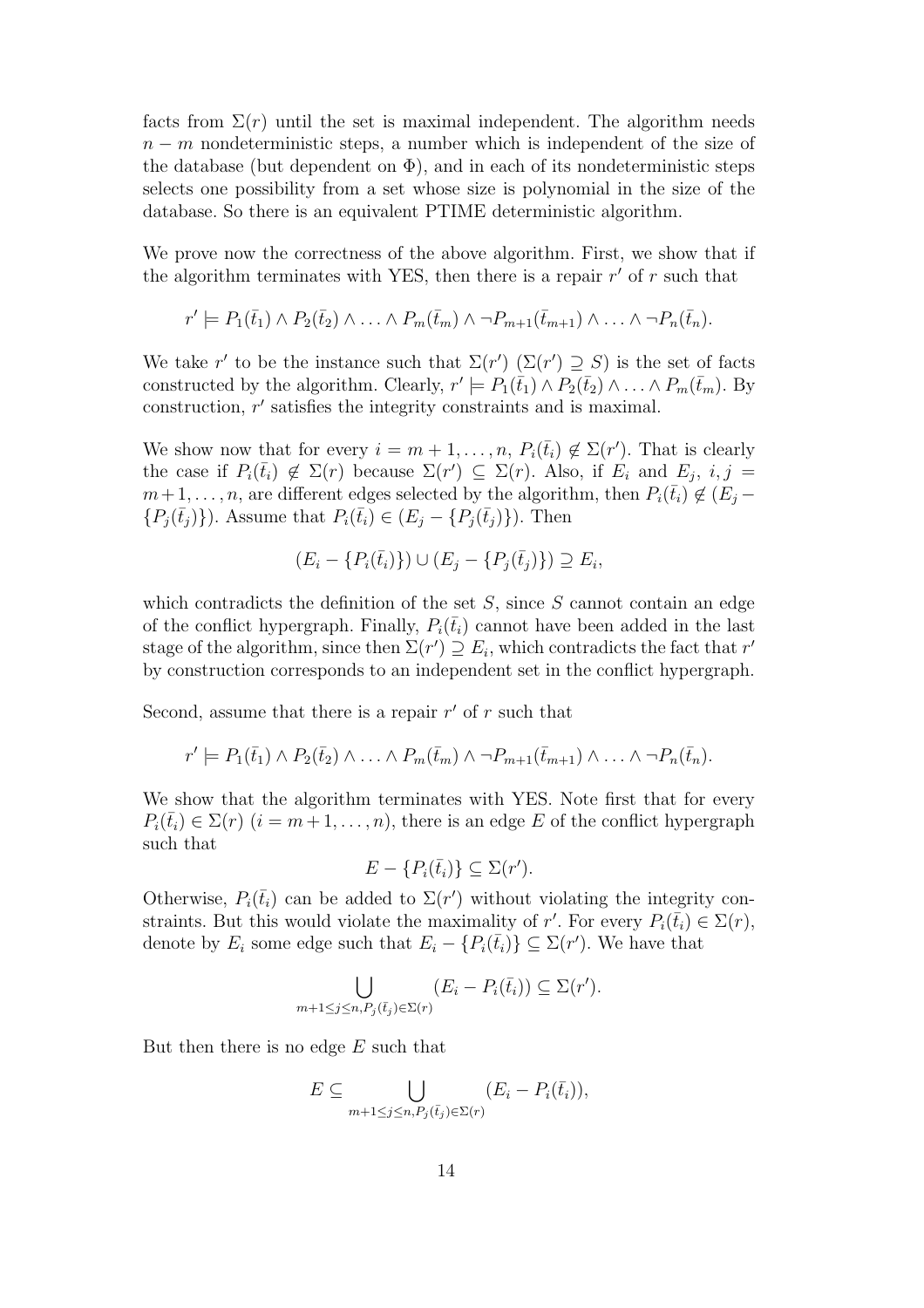facts from  $\Sigma(r)$  until the set is maximal independent. The algorithm needs  $n - m$  nondeterministic steps, a number which is independent of the size of the database (but dependent on  $\Phi$ ), and in each of its nondeterministic steps selects one possibility from a set whose size is polynomial in the size of the database. So there is an equivalent PTIME deterministic algorithm.

We prove now the correctness of the above algorithm. First, we show that if the algorithm terminates with YES, then there is a repair  $r'$  of  $r$  such that

$$
r' \models P_1(\bar{t}_1) \land P_2(\bar{t}_2) \land \ldots \land P_m(\bar{t}_m) \land \neg P_{m+1}(\bar{t}_{m+1}) \land \ldots \land \neg P_n(\bar{t}_n).
$$

We take r' to be the instance such that  $\Sigma(r')$   $(\Sigma(r') \supseteq S)$  is the set of facts constructed by the algorithm. Clearly,  $r' \models P_1(\bar{t}_1) \land P_2(\bar{t}_2) \land \ldots \land P_m(\bar{t}_m)$ . By construction,  $r'$  satisfies the integrity constraints and is maximal.

We show now that for every  $i = m + 1, \ldots, n$ ,  $P_i(\bar{t}_i) \notin \Sigma(r')$ . That is clearly the case if  $P_i(\bar{t}_i) \notin \Sigma(r)$  because  $\Sigma(r') \subseteq \Sigma(r)$ . Also, if  $E_i$  and  $E_j$ ,  $i, j =$  $m+1, \ldots, n$ , are different edges selected by the algorithm, then  $P_i(\bar{t}_i) \notin (E_i \{P_i(\bar{t}_i)\}\)$ . Assume that  $P_i(\bar{t}_i) \in (E_j - \{P_j(\bar{t}_j)\})$ . Then

$$
(E_i - \{P_i(\bar{t}_i)\}) \cup (E_j - \{P_j(\bar{t}_j)\}) \supseteq E_i,
$$

which contradicts the definition of the set  $S$ , since  $S$  cannot contain an edge of the conflict hypergraph. Finally,  $P_i(\bar{t}_i)$  cannot have been added in the last stage of the algorithm, since then  $\Sigma(r') \supseteq E_i$ , which contradicts the fact that  $r'$ by construction corresponds to an independent set in the conflict hypergraph.

Second, assume that there is a repair  $r'$  of r such that

$$
r' \models P_1(\bar{t}_1) \land P_2(\bar{t}_2) \land \ldots \land P_m(\bar{t}_m) \land \neg P_{m+1}(\bar{t}_{m+1}) \land \ldots \land \neg P_n(\bar{t}_n).
$$

We show that the algorithm terminates with YES. Note first that for every  $P_i(\bar{t}_i) \in \Sigma(r)$   $(i = m+1, \ldots, n)$ , there is an edge E of the conflict hypergraph such that

$$
E - \{P_i(\bar{t}_i)\} \subseteq \Sigma(r').
$$

Otherwise,  $P_i(\bar{t}_i)$  can be added to  $\Sigma(r')$  without violating the integrity constraints. But this would violate the maximality of r'. For every  $P_i(\bar{t}_i) \in \Sigma(r)$ , denote by  $E_i$  some edge such that  $E_i - \{P_i(\bar{t}_i)\} \subseteq \Sigma(r')$ . We have that

$$
\bigcup_{m+1 \leq j \leq n, P_j(\bar{t}_j) \in \Sigma(r)} (E_i - P_i(\bar{t}_i)) \subseteq \Sigma(r').
$$

But then there is no edge  $E$  such that

$$
E \subseteq \bigcup_{m+1 \leq j \leq n, P_j(\bar{t}_j) \in \Sigma(r)} (E_i - P_i(\bar{t}_i)),
$$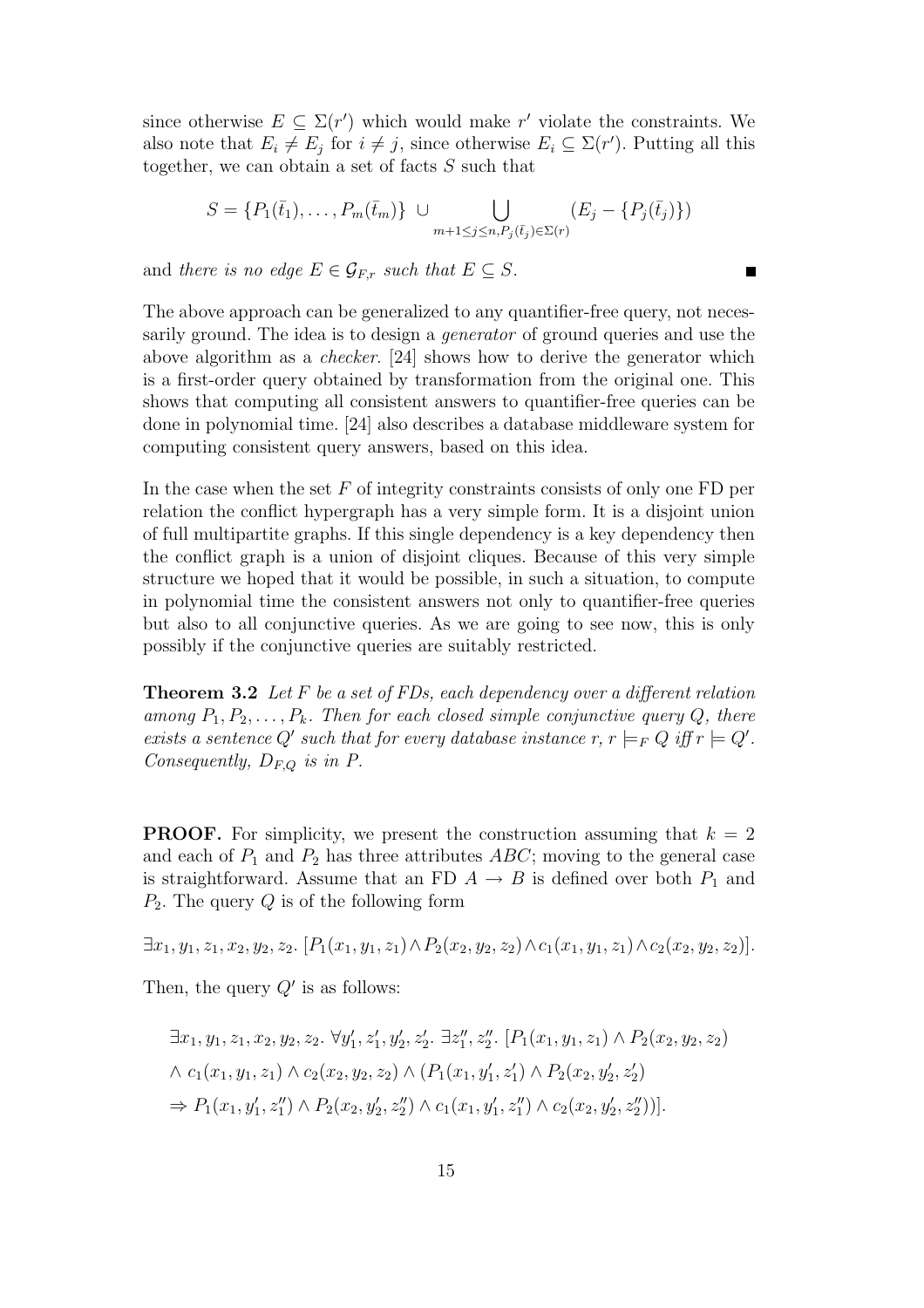since otherwise  $E \subseteq \Sigma(r')$  which would make r' violate the constraints. We also note that  $E_i \neq E_j$  for  $i \neq j$ , since otherwise  $E_i \subseteq \Sigma(r')$ . Putting all this together, we can obtain a set of facts S such that

$$
S = \{P_1(\bar{t}_1), \dots, P_m(\bar{t}_m)\} \cup \bigcup_{m+1 \leq j \leq n, P_j(\bar{t}_j) \in \Sigma(r)} (E_j - \{P_j(\bar{t}_j)\})
$$

 $\blacksquare$ 

and there is no edge  $E \in \mathcal{G}_{E,r}$  such that  $E \subset S$ .

The above approach can be generalized to any quantifier-free query, not necessarily ground. The idea is to design a generator of ground queries and use the above algorithm as a checker. [24] shows how to derive the generator which is a first-order query obtained by transformation from the original one. This shows that computing all consistent answers to quantifier-free queries can be done in polynomial time. [24] also describes a database middleware system for computing consistent query answers, based on this idea.

In the case when the set  $F$  of integrity constraints consists of only one  $FD$  per relation the conflict hypergraph has a very simple form. It is a disjoint union of full multipartite graphs. If this single dependency is a key dependency then the conflict graph is a union of disjoint cliques. Because of this very simple structure we hoped that it would be possible, in such a situation, to compute in polynomial time the consistent answers not only to quantifier-free queries but also to all conjunctive queries. As we are going to see now, this is only possibly if the conjunctive queries are suitably restricted.

**Theorem 3.2** Let F be a set of FDs, each dependency over a different relation among  $P_1, P_2, \ldots, P_k$ . Then for each closed simple conjunctive query Q, there exists a sentence Q' such that for every database instance  $r, r \models_F Q$  iff  $r \models Q'$ . Consequently,  $D_{F,Q}$  is in P.

**PROOF.** For simplicity, we present the construction assuming that  $k = 2$ and each of  $P_1$  and  $P_2$  has three attributes ABC; moving to the general case is straightforward. Assume that an FD  $A \rightarrow B$  is defined over both  $P_1$  and  $P_2$ . The query Q is of the following form

 $\exists x_1, y_1, z_1, x_2, y_2, z_2$ .  $[P_1(x_1, y_1, z_1) \wedge P_2(x_2, y_2, z_2) \wedge c_1(x_1, y_1, z_1) \wedge c_2(x_2, y_2, z_2)].$ 

Then, the query  $Q'$  is as follows:

$$
\exists x_1, y_1, z_1, x_2, y_2, z_2. \ \forall y'_1, z'_1, y'_2, z'_2. \ \exists z''_1, z''_2. \ [P_1(x_1, y_1, z_1) \land P_2(x_2, y_2, z_2) \land c_1(x_1, y_1, z_1) \land c_2(x_2, y_2, z_2) \land (P_1(x_1, y'_1, z'_1) \land P_2(x_2, y'_2, z'_2) \Rightarrow P_1(x_1, y'_1, z''_1) \land P_2(x_2, y'_2, z''_2) \land c_1(x_1, y'_1, z''_1) \land c_2(x_2, y'_2, z''_2))].
$$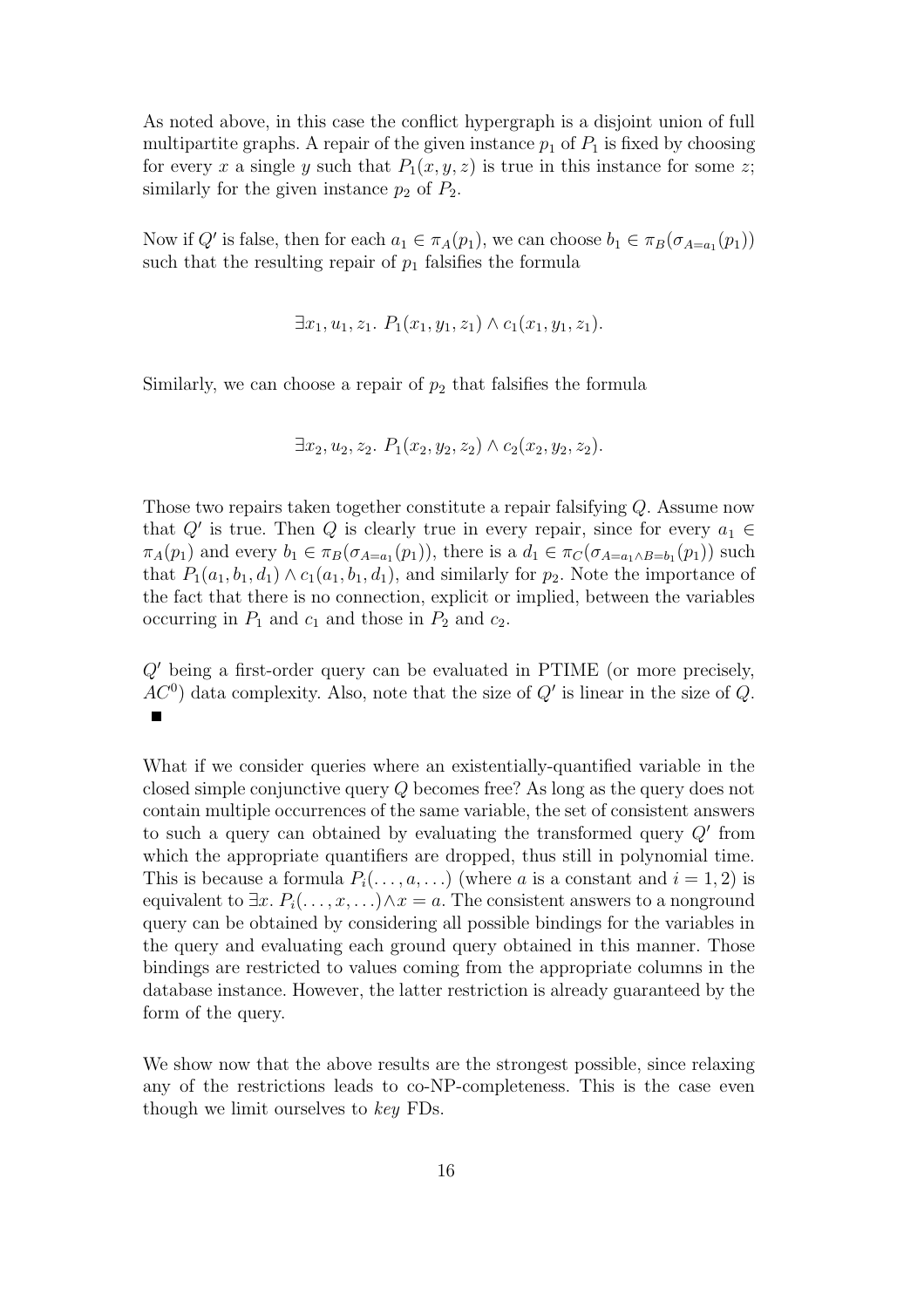As noted above, in this case the conflict hypergraph is a disjoint union of full multipartite graphs. A repair of the given instance  $p_1$  of  $P_1$  is fixed by choosing for every x a single y such that  $P_1(x, y, z)$  is true in this instance for some z; similarly for the given instance  $p_2$  of  $P_2$ .

Now if Q' is false, then for each  $a_1 \in \pi_A(p_1)$ , we can choose  $b_1 \in \pi_B(\sigma_{A=a_1}(p_1))$ such that the resulting repair of  $p_1$  falsifies the formula

$$
\exists x_1, u_1, z_1. P_1(x_1, y_1, z_1) \wedge c_1(x_1, y_1, z_1).
$$

Similarly, we can choose a repair of  $p_2$  that falsifies the formula

$$
\exists x_2, u_2, z_2. P_1(x_2, y_2, z_2) \land c_2(x_2, y_2, z_2).
$$

Those two repairs taken together constitute a repair falsifying Q. Assume now that  $Q'$  is true. Then  $Q$  is clearly true in every repair, since for every  $a_1 \in$  $\pi_A(p_1)$  and every  $b_1 \in \pi_B(\sigma_{A=a_1}(p_1))$ , there is a  $d_1 \in \pi_C(\sigma_{A=a_1 \wedge B=b_1}(p_1))$  such that  $P_1(a_1, b_1, d_1) \wedge c_1(a_1, b_1, d_1)$ , and similarly for  $p_2$ . Note the importance of the fact that there is no connection, explicit or implied, between the variables occurring in  $P_1$  and  $c_1$  and those in  $P_2$  and  $c_2$ .

 $Q'$  being a first-order query can be evaluated in PTIME (or more precisely,  $AC<sup>0</sup>$ ) data complexity. Also, note that the size of  $Q'$  is linear in the size of  $Q$ .  $\blacksquare$ 

What if we consider queries where an existentially-quantified variable in the closed simple conjunctive query Q becomes free? As long as the query does not contain multiple occurrences of the same variable, the set of consistent answers to such a query can obtained by evaluating the transformed query  $Q'$  from which the appropriate quantifiers are dropped, thus still in polynomial time. This is because a formula  $P_i(\ldots, a, \ldots)$  (where a is a constant and  $i = 1, 2$ ) is equivalent to  $\exists x. P_i(\ldots, x, \ldots) \wedge x = a$ . The consistent answers to a nonground query can be obtained by considering all possible bindings for the variables in the query and evaluating each ground query obtained in this manner. Those bindings are restricted to values coming from the appropriate columns in the database instance. However, the latter restriction is already guaranteed by the form of the query.

We show now that the above results are the strongest possible, since relaxing any of the restrictions leads to co-NP-completeness. This is the case even though we limit ourselves to key FDs.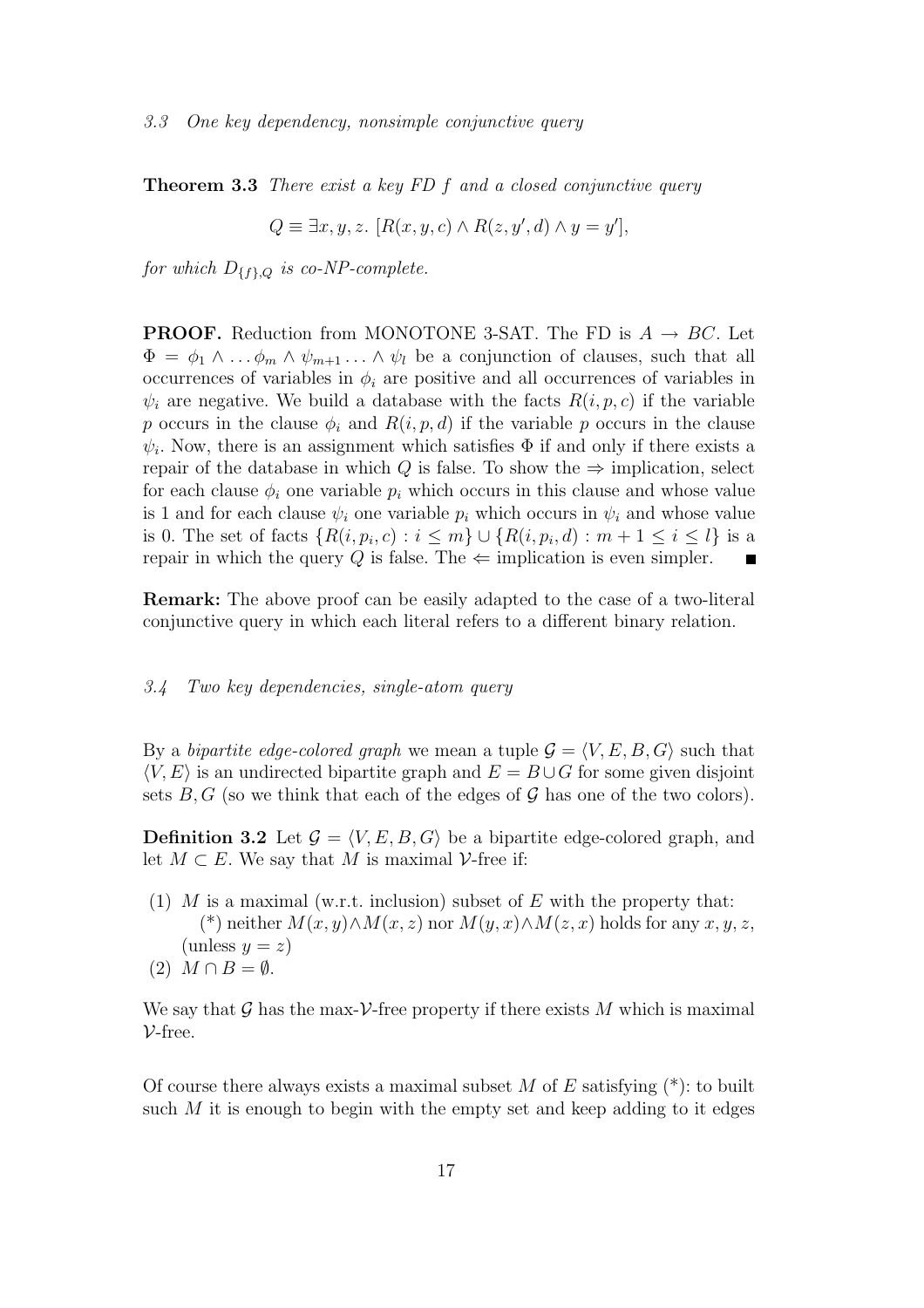Theorem 3.3 There exist a key FD f and a closed conjunctive query

$$
Q \equiv \exists x, y, z. \ [R(x, y, c) \land R(z, y', d) \land y = y'],
$$

for which  $D_{\{f\},Q}$  is co-NP-complete.

**PROOF.** Reduction from MONOTONE 3-SAT. The FD is  $A \rightarrow BC$ . Let  $\Phi = \phi_1 \wedge \ldots \phi_m \wedge \psi_{m+1} \ldots \wedge \psi_l$  be a conjunction of clauses, such that all occurrences of variables in  $\phi_i$  are positive and all occurrences of variables in  $\psi_i$  are negative. We build a database with the facts  $R(i, p, c)$  if the variable p occurs in the clause  $\phi_i$  and  $R(i, p, d)$  if the variable p occurs in the clause  $\psi_i$ . Now, there is an assignment which satisfies  $\Phi$  if and only if there exists a repair of the database in which Q is false. To show the  $\Rightarrow$  implication, select for each clause  $\phi_i$  one variable  $p_i$  which occurs in this clause and whose value is 1 and for each clause  $\psi_i$  one variable  $p_i$  which occurs in  $\psi_i$  and whose value is 0. The set of facts  $\{R(i, p_i, c) : i \leq m\} \cup \{R(i, p_i, d) : m + 1 \leq i \leq l\}$  is a repair in which the query Q is false. The  $\Leftarrow$  implication is even simpler.  $\blacksquare$ 

Remark: The above proof can be easily adapted to the case of a two-literal conjunctive query in which each literal refers to a different binary relation.

#### 3.4 Two key dependencies, single-atom query

By a bipartite edge-colored graph we mean a tuple  $\mathcal{G} = \langle V, E, B, G \rangle$  such that  $\langle V, E \rangle$  is an undirected bipartite graph and  $E = B \cup G$  for some given disjoint sets  $B, G$  (so we think that each of the edges of  $G$  has one of the two colors).

**Definition 3.2** Let  $\mathcal{G} = \langle V, E, B, G \rangle$  be a bipartite edge-colored graph, and let  $M \subset E$ . We say that M is maximal V-free if:

- (1) M is a maximal (w.r.t. inclusion) subset of E with the property that: (\*) neither  $M(x, y) \wedge M(x, z)$  nor  $M(y, x) \wedge M(z, x)$  holds for any  $x, y, z$ , (unless  $y = z$ )
- $(2)$   $M \cap B = \emptyset$ .

We say that G has the max- $V$ -free property if there exists M which is maximal  $V$ -free.

Of course there always exists a maximal subset M of E satisfying  $(*)$ : to built such  $M$  it is enough to begin with the empty set and keep adding to it edges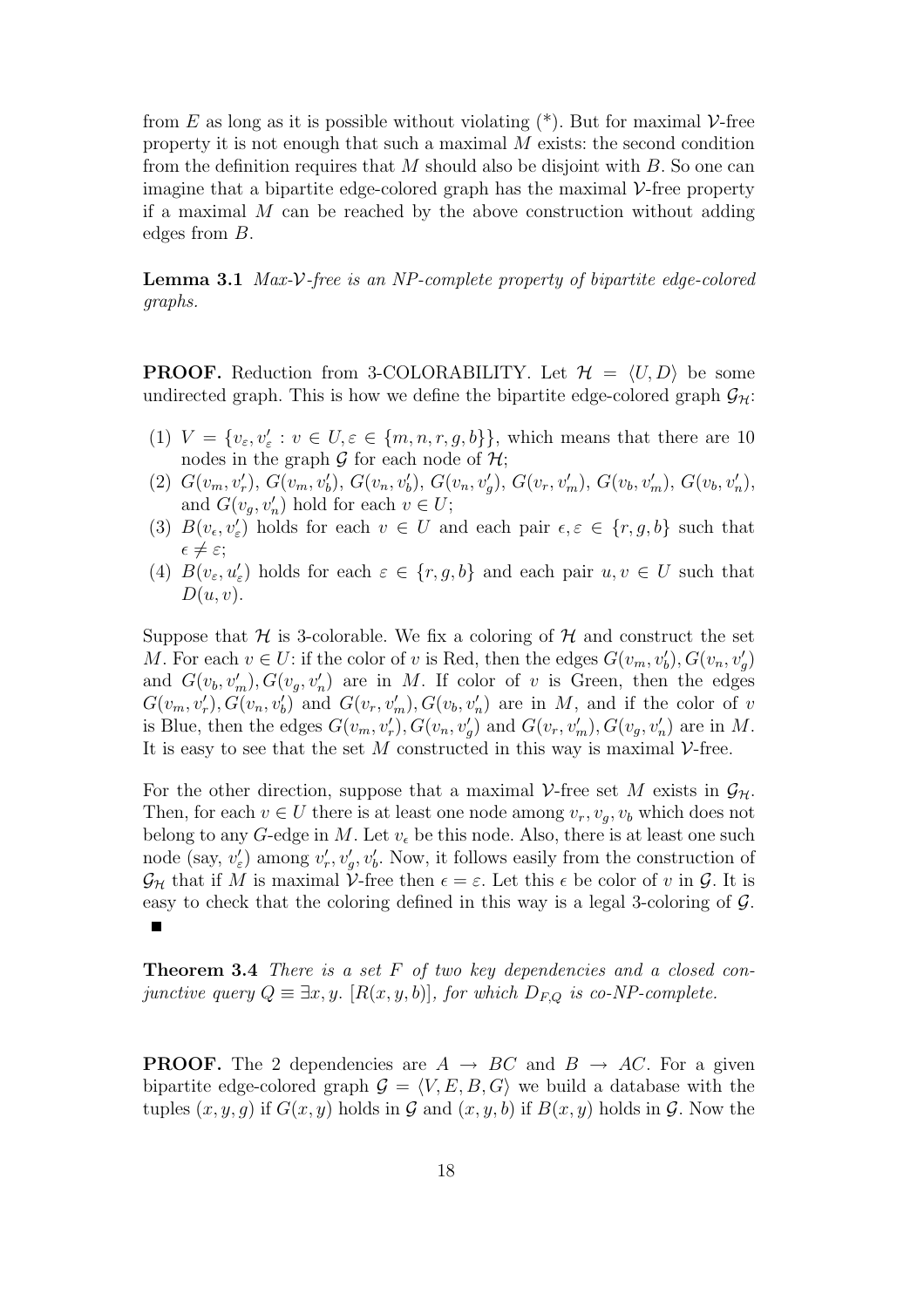from E as long as it is possible without violating  $(*)$ . But for maximal  $\mathcal V$ -free property it is not enough that such a maximal  $M$  exists: the second condition from the definition requires that  $M$  should also be disjoint with  $B$ . So one can imagine that a bipartite edge-colored graph has the maximal  $\mathcal V$ -free property if a maximal  $M$  can be reached by the above construction without adding edges from B.

Lemma 3.1 Max-V-free is an NP-complete property of bipartite edge-colored graphs.

**PROOF.** Reduction from 3-COLORABILITY. Let  $\mathcal{H} = \langle U, D \rangle$  be some undirected graph. This is how we define the bipartite edge-colored graph  $\mathcal{G}_{H}$ :

- (1)  $V = \{v_{\varepsilon}, v_{\varepsilon}': v \in U, \varepsilon \in \{m, n, r, g, b\}\}\,$ , which means that there are 10 nodes in the graph  $\mathcal G$  for each node of  $\mathcal H$ ;
- (2)  $G(v_m, v'_r)$ ,  $G(v_m, v'_b)$ ,  $G(v_n, v'_b)$ ,  $G(v_n, v'_g)$ ,  $G(v_r, v'_m)$ ,  $G(v_b, v'_m)$ ,  $G(v_b, v'_n)$ , and  $G(v_g, v'_n)$  hold for each  $v \in U$ ;
- (3)  $B(v_\epsilon, v'_\epsilon)$  holds for each  $v \in U$  and each pair  $\epsilon, \epsilon \in \{r, g, b\}$  such that  $\epsilon \neq \varepsilon;$
- (4)  $B(v_{\varepsilon}, u'_{\varepsilon})$  holds for each  $\varepsilon \in \{r, g, b\}$  and each pair  $u, v \in U$  such that  $D(u, v)$ .

Suppose that  $H$  is 3-colorable. We fix a coloring of  $H$  and construct the set M. For each  $v \in U$ : if the color of v is Red, then the edges  $G(v_m, v'_b)$ ,  $G(v_n, v'_g)$ and  $G(v_b, v'_m), G(v_g, v'_n)$  are in M. If color of v is Green, then the edges  $G(v_m, v'_r), G(v_n, v'_b)$  and  $G(v_r, v'_m), G(v_b, v'_n)$  are in M, and if the color of v is Blue, then the edges  $G(v_m, v'_r)$ ,  $G(v_n, v'_g)$  and  $G(v_r, v'_m)$ ,  $G(v_g, v'_n)$  are in M. It is easy to see that the set M constructed in this way is maximal  $\mathcal{V}\text{-free}$ .

For the other direction, suppose that a maximal V-free set M exists in  $\mathcal{G}_{\mathcal{H}}$ . Then, for each  $v \in U$  there is at least one node among  $v_r, v_q, v_b$  which does not belong to any G-edge in M. Let  $v_{\epsilon}$  be this node. Also, there is at least one such node (say,  $v'_{\varepsilon}$ ) among  $v'_{r}$ ,  $v'_{g}$ ,  $v'_{b}$ . Now, it follows easily from the construction of  $\mathcal{G}_{\mathcal{H}}$  that if M is maximal V-free then  $\epsilon = \varepsilon$ . Let this  $\epsilon$  be color of v in  $\mathcal{G}$ . It is easy to check that the coloring defined in this way is a legal 3-coloring of G.  $\blacksquare$ 

**Theorem 3.4** There is a set  $F$  of two key dependencies and a closed conjunctive query  $Q \equiv \exists x, y$ . [ $R(x, y, b)$ ], for which  $D_{F,Q}$  is co-NP-complete.

**PROOF.** The 2 dependencies are  $A \rightarrow BC$  and  $B \rightarrow AC$ . For a given bipartite edge-colored graph  $G = \langle V, E, B, G \rangle$  we build a database with the tuples  $(x, y, g)$  if  $G(x, y)$  holds in  $\mathcal G$  and  $(x, y, b)$  if  $B(x, y)$  holds in  $\mathcal G$ . Now the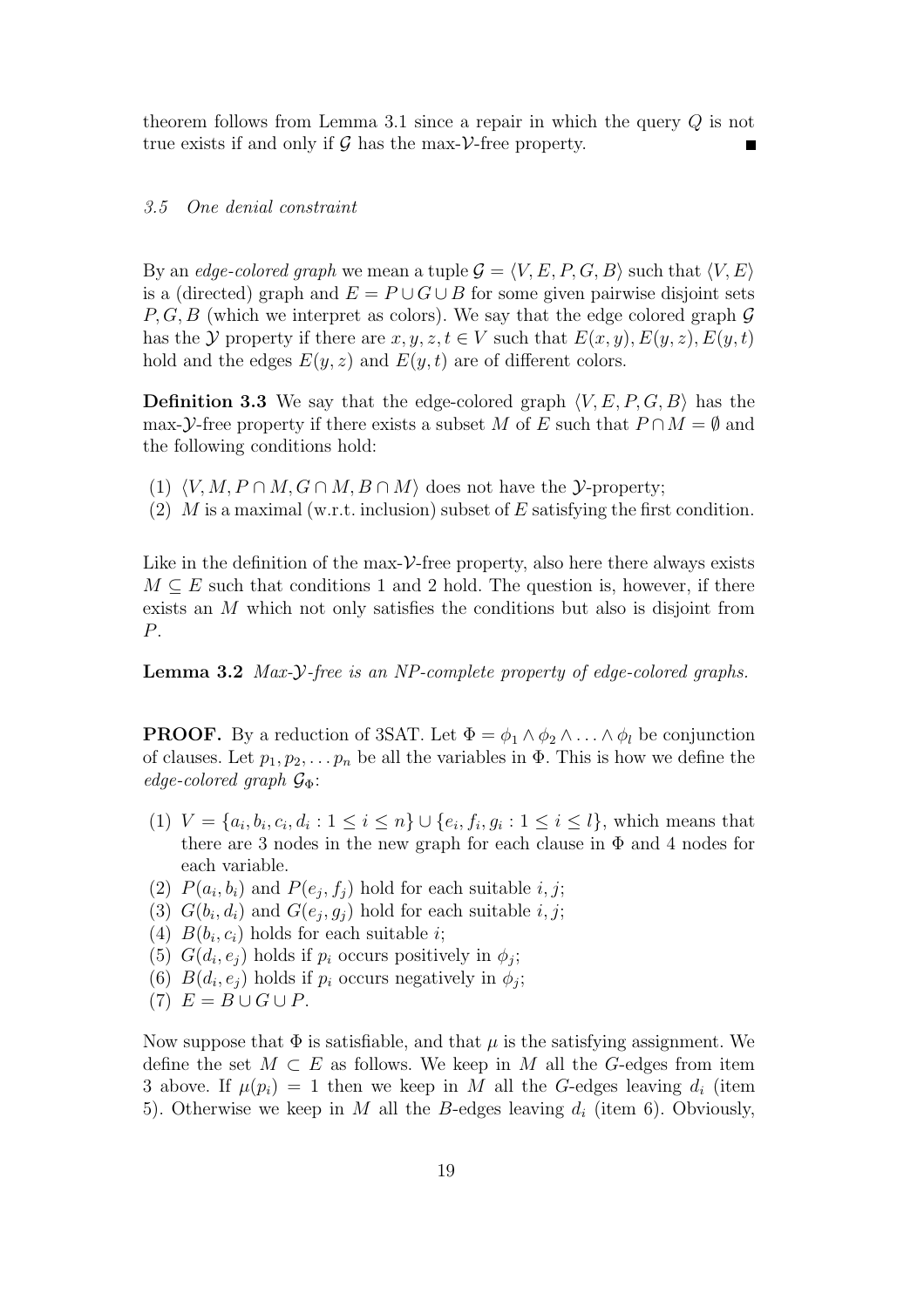theorem follows from Lemma 3.1 since a repair in which the query Q is not true exists if and only if  $\mathcal G$  has the max- $\mathcal V$ -free property.

## 3.5 One denial constraint

By an edge-colored graph we mean a tuple  $\mathcal{G} = \langle V, E, P, G, B \rangle$  such that  $\langle V, E \rangle$ is a (directed) graph and  $E = P \cup G \cup B$  for some given pairwise disjoint sets  $P, G, B$  (which we interpret as colors). We say that the edge colored graph  $G$ has the Y property if there are  $x, y, z, t \in V$  such that  $E(x, y), E(y, z), E(y, t)$ hold and the edges  $E(y, z)$  and  $E(y, t)$  are of different colors.

**Definition 3.3** We say that the edge-colored graph  $\langle V, E, P, G, B \rangle$  has the max-Y-free property if there exists a subset M of E such that  $P \cap M = \emptyset$  and the following conditions hold:

- (1)  $\langle V, M, P \cap M, G \cap M, B \cap M \rangle$  does not have the *Y*-property;
- (2) M is a maximal (w.r.t. inclusion) subset of E satisfying the first condition.

Like in the definition of the max- $\nu$ -free property, also here there always exists  $M \subseteq E$  such that conditions 1 and 2 hold. The question is, however, if there exists an M which not only satisfies the conditions but also is disjoint from P.

Lemma 3.2 Max-Y-free is an NP-complete property of edge-colored graphs.

**PROOF.** By a reduction of 3SAT. Let  $\Phi = \phi_1 \wedge \phi_2 \wedge \ldots \wedge \phi_l$  be conjunction of clauses. Let  $p_1, p_2, \ldots, p_n$  be all the variables in  $\Phi$ . This is how we define the edge-colored graph  $\mathcal{G}_{\Phi}$ :

- (1)  $V = \{a_i, b_i, c_i, d_i : 1 \leq i \leq n\} \cup \{e_i, f_i, g_i : 1 \leq i \leq l\}$ , which means that there are 3 nodes in the new graph for each clause in  $\Phi$  and 4 nodes for each variable.
- (2)  $P(a_i, b_i)$  and  $P(e_j, f_j)$  hold for each suitable i, j;
- (3)  $G(b_i, d_i)$  and  $G(e_j, g_j)$  hold for each suitable  $i, j$ ;
- (4)  $B(b_i, c_i)$  holds for each suitable *i*;
- (5)  $G(d_i, e_j)$  holds if  $p_i$  occurs positively in  $\phi_j$ ;
- (6)  $B(d_i, e_j)$  holds if  $p_i$  occurs negatively in  $\phi_j$ ;
- (7)  $E = B \cup G \cup P$ .

Now suppose that  $\Phi$  is satisfiable, and that  $\mu$  is the satisfying assignment. We define the set  $M \subset E$  as follows. We keep in M all the G-edges from item 3 above. If  $\mu(p_i) = 1$  then we keep in M all the G-edges leaving  $d_i$  (item 5). Otherwise we keep in M all the B-edges leaving  $d_i$  (item 6). Obviously,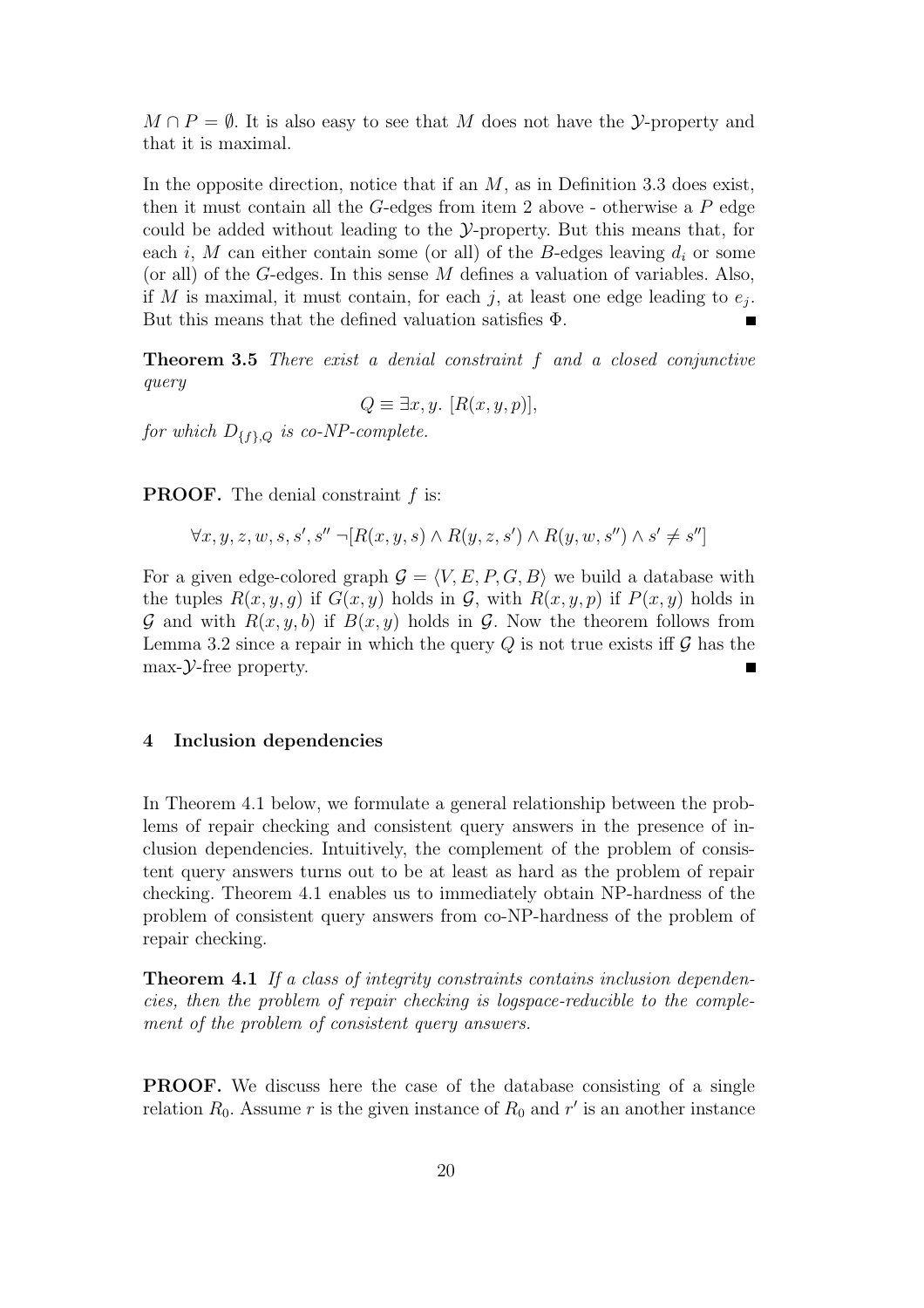$M \cap P = \emptyset$ . It is also easy to see that M does not have the *Y*-property and that it is maximal.

In the opposite direction, notice that if an  $M$ , as in Definition 3.3 does exist, then it must contain all the  $G$ -edges from item 2 above - otherwise a  $P$  edge could be added without leading to the Y-property. But this means that, for each i, M can either contain some (or all) of the B-edges leaving  $d_i$  or some (or all) of the G-edges. In this sense M defines a valuation of variables. Also, if M is maximal, it must contain, for each j, at least one edge leading to  $e_j$ . But this means that the defined valuation satisfies Φ.

Theorem 3.5 There exist a denial constraint f and a closed conjunctive query

 $Q \equiv \exists x, y. \; [R(x, y, p)],$ 

for which  $D_{\{f\},Q}$  is co-NP-complete.

**PROOF.** The denial constraint  $f$  is:

$$
\forall x, y, z, w, s, s', s'' \neg [R(x, y, s) \land R(y, z, s') \land R(y, w, s'') \land s' \neq s'']
$$

For a given edge-colored graph  $G = \langle V, E, P, G, B \rangle$  we build a database with the tuples  $R(x, y, g)$  if  $G(x, y)$  holds in  $\mathcal G$ , with  $R(x, y, p)$  if  $P(x, y)$  holds in G and with  $R(x, y, b)$  if  $B(x, y)$  holds in G. Now the theorem follows from Lemma 3.2 since a repair in which the query  $Q$  is not true exists iff  $\mathcal G$  has the  $max-*y*$ -free property.

## 4 Inclusion dependencies

In Theorem 4.1 below, we formulate a general relationship between the problems of repair checking and consistent query answers in the presence of inclusion dependencies. Intuitively, the complement of the problem of consistent query answers turns out to be at least as hard as the problem of repair checking. Theorem 4.1 enables us to immediately obtain NP-hardness of the problem of consistent query answers from co-NP-hardness of the problem of repair checking.

Theorem 4.1 If a class of integrity constraints contains inclusion dependencies, then the problem of repair checking is logspace-reducible to the complement of the problem of consistent query answers.

PROOF. We discuss here the case of the database consisting of a single relation  $R_0$ . Assume r is the given instance of  $R_0$  and r' is an another instance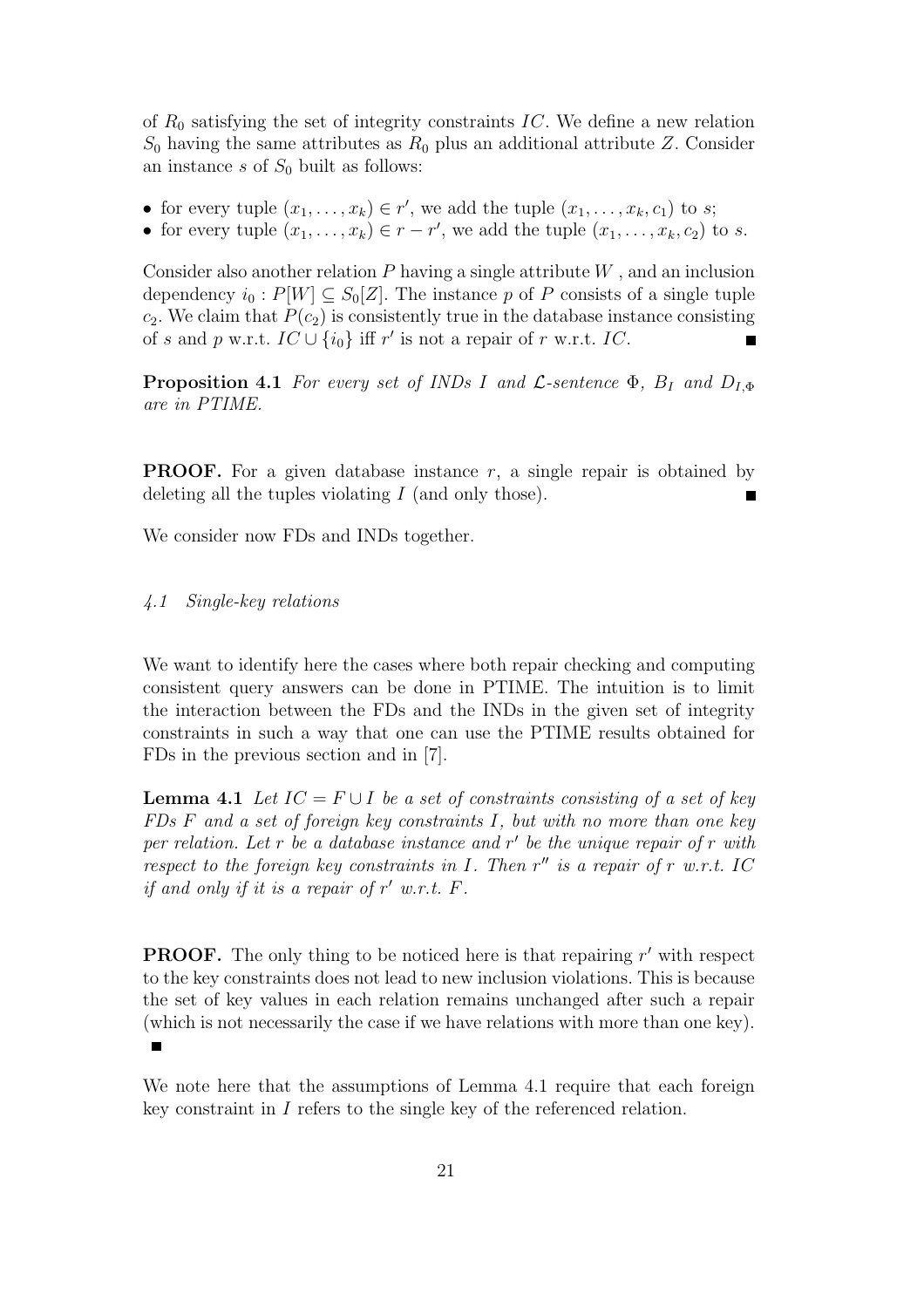of  $R_0$  satisfying the set of integrity constraints IC. We define a new relation  $S_0$  having the same attributes as  $R_0$  plus an additional attribute Z. Consider an instance s of  $S_0$  built as follows:

- for every tuple  $(x_1, \ldots, x_k) \in r'$ , we add the tuple  $(x_1, \ldots, x_k, c_1)$  to s;
- for every tuple  $(x_1, \ldots, x_k) \in r r'$ , we add the tuple  $(x_1, \ldots, x_k, c_2)$  to s.

Consider also another relation  $P$  having a single attribute  $W$ , and an inclusion dependency  $i_0 : P[W] \subseteq S_0[Z]$ . The instance p of P consists of a single tuple  $c_2$ . We claim that  $P(c_2)$  is consistently true in the database instance consisting of s and p w.r.t.  $IC \cup \{i_0\}$  iff r' is not a repair of r w.r.t. IC.

**Proposition 4.1** For every set of INDs I and  $\mathcal{L}$ -sentence  $\Phi$ ,  $B_I$  and  $D_{I,\Phi}$ are in PTIME.

**PROOF.** For a given database instance  $r$ , a single repair is obtained by deleting all the tuples violating  $I$  (and only those).

We consider now FDs and INDs together.

## 4.1 Single-key relations

We want to identify here the cases where both repair checking and computing consistent query answers can be done in PTIME. The intuition is to limit the interaction between the FDs and the INDs in the given set of integrity constraints in such a way that one can use the PTIME results obtained for FDs in the previous section and in [7].

**Lemma 4.1** Let  $IC = F \cup I$  be a set of constraints consisting of a set of key FDs  $F$  and a set of foreign key constraints I, but with no more than one key per relation. Let  $r$  be a database instance and  $r'$  be the unique repair of  $r$  with respect to the foreign key constraints in  $I$ . Then  $r''$  is a repair of  $r$  w.r.t. IC if and only if it is a repair of  $r'$  w.r.t.  $F$ .

**PROOF.** The only thing to be noticed here is that repairing  $r'$  with respect to the key constraints does not lead to new inclusion violations. This is because the set of key values in each relation remains unchanged after such a repair (which is not necessarily the case if we have relations with more than one key).  $\blacksquare$ 

We note here that the assumptions of Lemma 4.1 require that each foreign key constraint in I refers to the single key of the referenced relation.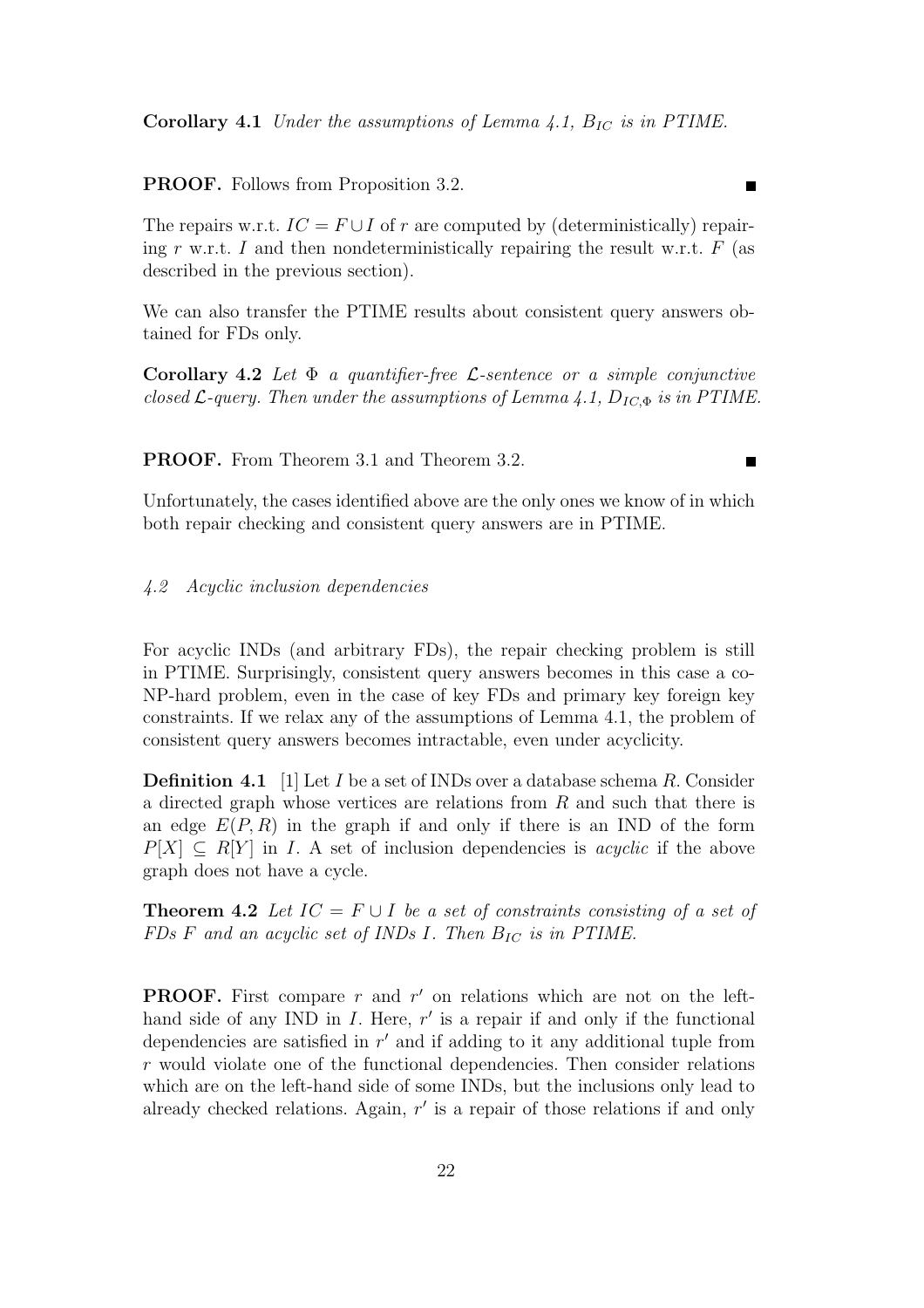PROOF. Follows from Proposition 3.2.

The repairs w.r.t.  $IC = F \cup I$  of r are computed by (deterministically) repairing r w.r.t. I and then nondeterministically repairing the result w.r.t.  $F$  (as described in the previous section).

We can also transfer the PTIME results about consistent query answers obtained for FDs only.

Corollary 4.2 Let  $\Phi$  a quantifier-free *L*-sentence or a simple conjunctive closed  $\mathcal{L}$ -query. Then under the assumptions of Lemma 4.1,  $D_{IC, \Phi}$  is in PTIME.

PROOF. From Theorem 3.1 and Theorem 3.2.

Unfortunately, the cases identified above are the only ones we know of in which both repair checking and consistent query answers are in PTIME.

#### 4.2 Acyclic inclusion dependencies

For acyclic INDs (and arbitrary FDs), the repair checking problem is still in PTIME. Surprisingly, consistent query answers becomes in this case a co-NP-hard problem, even in the case of key FDs and primary key foreign key constraints. If we relax any of the assumptions of Lemma 4.1, the problem of consistent query answers becomes intractable, even under acyclicity.

**Definition 4.1** [1] Let I be a set of INDs over a database schema R. Consider a directed graph whose vertices are relations from R and such that there is an edge  $E(P, R)$  in the graph if and only if there is an IND of the form  $P[X] \subseteq R[Y]$  in I. A set of inclusion dependencies is *acyclic* if the above graph does not have a cycle.

**Theorem 4.2** Let  $IC = F \cup I$  be a set of constraints consisting of a set of FDs F and an acyclic set of INDs I. Then  $B_{IC}$  is in PTIME.

**PROOF.** First compare  $r$  and  $r'$  on relations which are not on the lefthand side of any IND in  $I$ . Here,  $r'$  is a repair if and only if the functional dependencies are satisfied in  $r'$  and if adding to it any additional tuple from r would violate one of the functional dependencies. Then consider relations which are on the left-hand side of some INDs, but the inclusions only lead to already checked relations. Again,  $r'$  is a repair of those relations if and only

г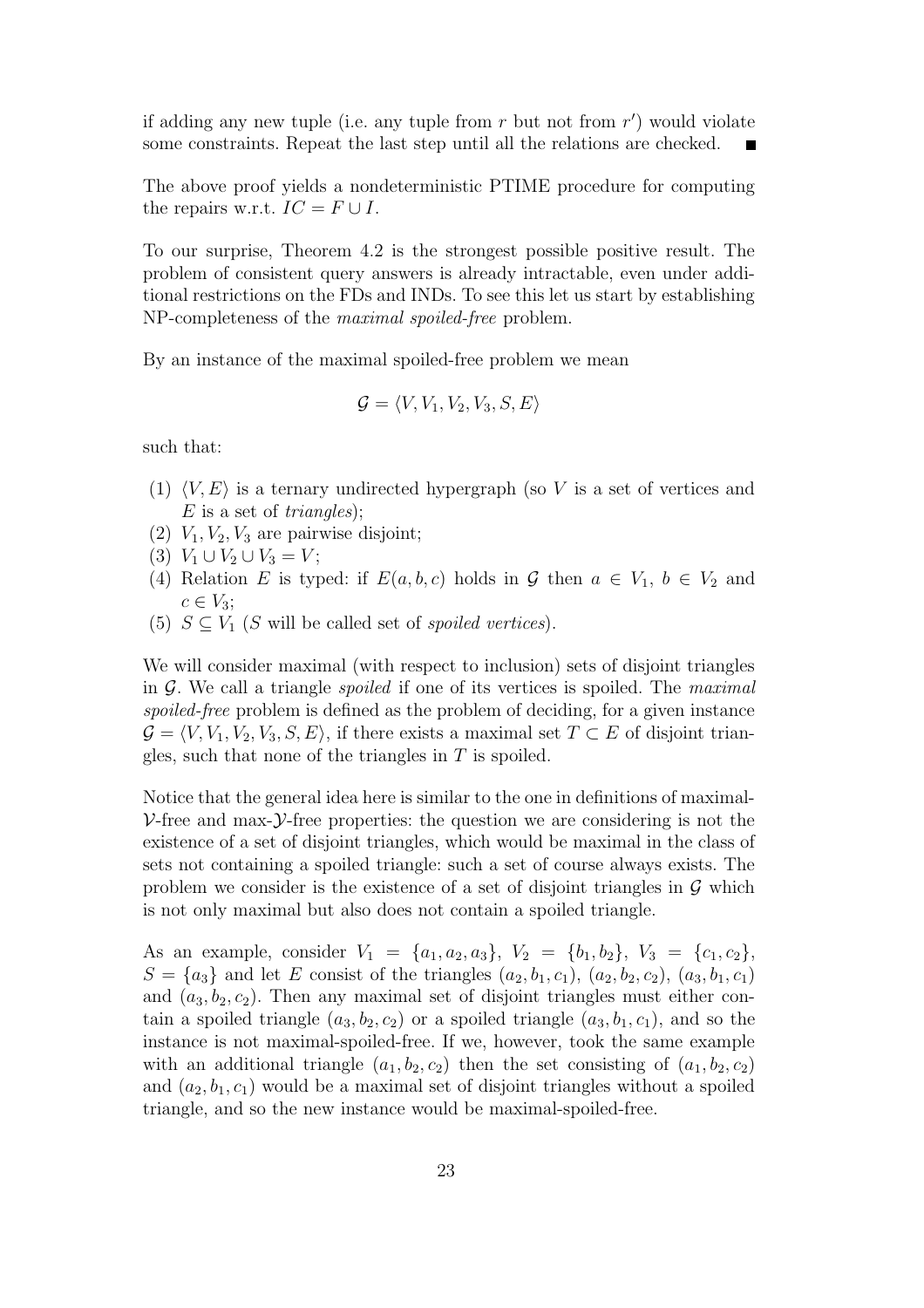if adding any new tuple (i.e. any tuple from  $r$  but not from  $r'$ ) would violate some constraints. Repeat the last step until all the relations are checked.

The above proof yields a nondeterministic PTIME procedure for computing the repairs w.r.t.  $IC = F \cup I$ .

To our surprise, Theorem 4.2 is the strongest possible positive result. The problem of consistent query answers is already intractable, even under additional restrictions on the FDs and INDs. To see this let us start by establishing NP-completeness of the maximal spoiled-free problem.

By an instance of the maximal spoiled-free problem we mean

$$
\mathcal{G} = \langle V, V_1, V_2, V_3, S, E \rangle
$$

such that:

- (1)  $\langle V, E \rangle$  is a ternary undirected hypergraph (so V is a set of vertices and  $E$  is a set of *triangles*);
- (2)  $V_1, V_2, V_3$  are pairwise disjoint;
- (3)  $V_1 \cup V_2 \cup V_3 = V;$
- (4) Relation E is typed: if  $E(a, b, c)$  holds in G then  $a \in V_1$ ,  $b \in V_2$  and  $c \in V_3$ ;
- (5)  $S \subseteq V_1$  (S will be called set of *spoiled vertices*).

We will consider maximal (with respect to inclusion) sets of disjoint triangles in  $G$ . We call a triangle *spoiled* if one of its vertices is spoiled. The *maximal* spoiled-free problem is defined as the problem of deciding, for a given instance  $G = \langle V, V_1, V_2, V_3, S, E \rangle$ , if there exists a maximal set  $T \subset E$  of disjoint triangles, such that none of the triangles in  $T$  is spoiled.

Notice that the general idea here is similar to the one in definitions of maximal- $\nu$ -free and max- $\nu$ -free properties: the question we are considering is not the existence of a set of disjoint triangles, which would be maximal in the class of sets not containing a spoiled triangle: such a set of course always exists. The problem we consider is the existence of a set of disjoint triangles in  $\mathcal G$  which is not only maximal but also does not contain a spoiled triangle.

As an example, consider  $V_1 = \{a_1, a_2, a_3\}, V_2 = \{b_1, b_2\}, V_3 = \{c_1, c_2\},$  $S = \{a_3\}$  and let E consist of the triangles  $(a_2, b_1, c_1), (a_2, b_2, c_2), (a_3, b_1, c_1)$ and  $(a_3, b_2, c_2)$ . Then any maximal set of disjoint triangles must either contain a spoiled triangle  $(a_3, b_2, c_2)$  or a spoiled triangle  $(a_3, b_1, c_1)$ , and so the instance is not maximal-spoiled-free. If we, however, took the same example with an additional triangle  $(a_1, b_2, c_2)$  then the set consisting of  $(a_1, b_2, c_2)$ and  $(a_2, b_1, c_1)$  would be a maximal set of disjoint triangles without a spoiled triangle, and so the new instance would be maximal-spoiled-free.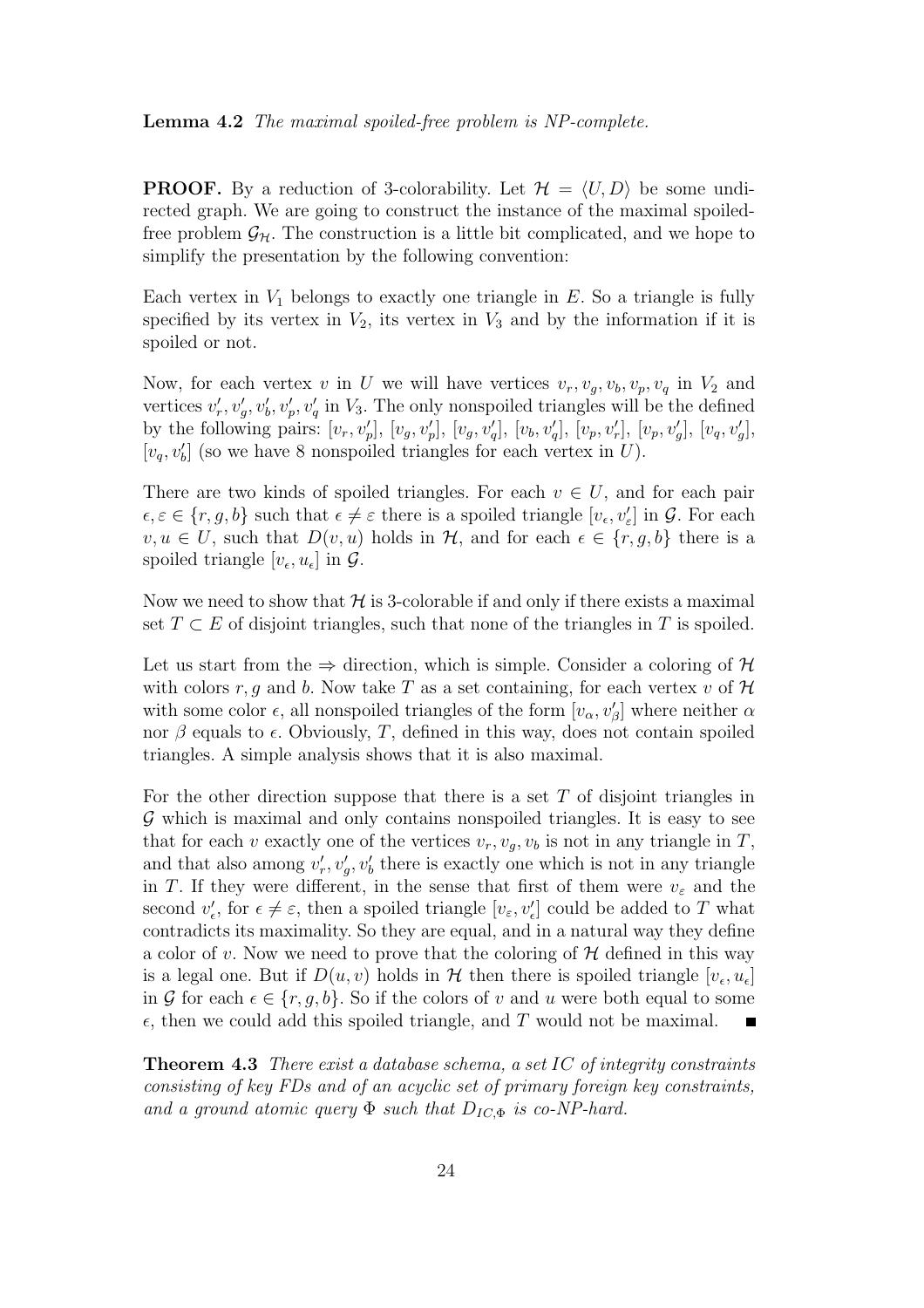#### Lemma 4.2 The maximal spoiled-free problem is NP-complete.

**PROOF.** By a reduction of 3-colorability. Let  $\mathcal{H} = \langle U, D \rangle$  be some undirected graph. We are going to construct the instance of the maximal spoiledfree problem  $\mathcal{G}_H$ . The construction is a little bit complicated, and we hope to simplify the presentation by the following convention:

Each vertex in  $V_1$  belongs to exactly one triangle in  $E$ . So a triangle is fully specified by its vertex in  $V_2$ , its vertex in  $V_3$  and by the information if it is spoiled or not.

Now, for each vertex v in U we will have vertices  $v_r, v_q, v_b, v_p, v_q$  in  $V_2$  and vertices  $v'_r, v'_g, v'_b, v'_p, v'_q$  in  $V_3$ . The only nonspoiled triangles will be the defined by the following pairs:  $[v_r, v'_p]$ ,  $[v_g, v'_p]$ ,  $[v_g, v'_q]$ ,  $[v_b, v'_q]$ ,  $[v_p, v'_r]$ ,  $[v_p, v'_g]$ ,  $[v_q, v'_g]$ ,  $[v_q, v'_b]$  (so we have 8 nonspoiled triangles for each vertex in U).

There are two kinds of spoiled triangles. For each  $v \in U$ , and for each pair  $\epsilon, \epsilon \in \{r, g, b\}$  such that  $\epsilon \neq \epsilon$  there is a spoiled triangle  $[v_{\epsilon}, v_{\epsilon}']$  in  $\mathcal{G}$ . For each  $v, u \in U$ , such that  $D(v, u)$  holds in  $H$ , and for each  $\epsilon \in \{r, g, b\}$  there is a spoiled triangle  $[v_{\epsilon}, u_{\epsilon}]$  in  $\mathcal{G}$ .

Now we need to show that  $H$  is 3-colorable if and only if there exists a maximal set  $T \subset E$  of disjoint triangles, such that none of the triangles in T is spoiled.

Let us start from the  $\Rightarrow$  direction, which is simple. Consider a coloring of H with colors r, g and b. Now take T as a set containing, for each vertex v of  $H$ with some color  $\epsilon$ , all nonspoiled triangles of the form  $[v_{\alpha}, v_{\beta}']$  where neither  $\alpha$ nor  $\beta$  equals to  $\epsilon$ . Obviously, T, defined in this way, does not contain spoiled triangles. A simple analysis shows that it is also maximal.

For the other direction suppose that there is a set T of disjoint triangles in G which is maximal and only contains nonspoiled triangles. It is easy to see that for each v exactly one of the vertices  $v_r, v_q, v_b$  is not in any triangle in T, and that also among  $v'_r, v'_g, v'_b$  there is exactly one which is not in any triangle in T. If they were different, in the sense that first of them were  $v_{\varepsilon}$  and the second  $v'_{\epsilon}$ , for  $\epsilon \neq \varepsilon$ , then a spoiled triangle  $[v_{\varepsilon}, v'_{\epsilon}]$  could be added to T what contradicts its maximality. So they are equal, and in a natural way they define a color of v. Now we need to prove that the coloring of  $H$  defined in this way is a legal one. But if  $D(u, v)$  holds in  $\mathcal H$  then there is spoiled triangle  $[v_{\epsilon}, u_{\epsilon}]$ in G for each  $\epsilon \in \{r, q, b\}$ . So if the colors of v and u were both equal to some  $\epsilon$ , then we could add this spoiled triangle, and T would not be maximal.

**Theorem 4.3** There exist a database schema, a set IC of integrity constraints consisting of key FDs and of an acyclic set of primary foreign key constraints, and a ground atomic query  $\Phi$  such that  $D_{IC, \Phi}$  is co-NP-hard.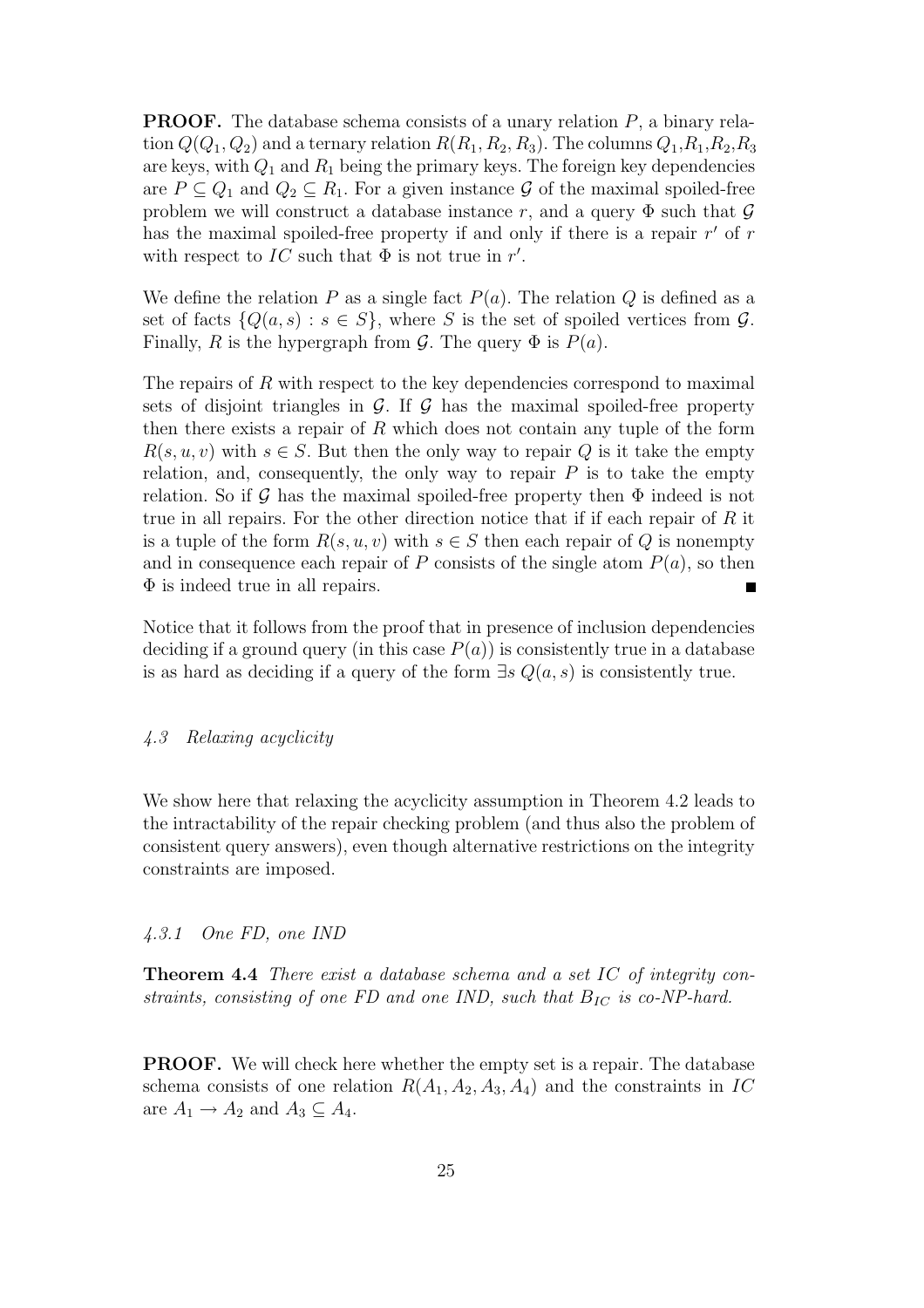**PROOF.** The database schema consists of a unary relation  $P$ , a binary relation  $Q(Q_1, Q_2)$  and a ternary relation  $R(R_1, R_2, R_3)$ . The columns  $Q_1, R_1, R_2, R_3$ are keys, with  $Q_1$  and  $R_1$  being the primary keys. The foreign key dependencies are  $P \subseteq Q_1$  and  $Q_2 \subseteq R_1$ . For a given instance G of the maximal spoiled-free problem we will construct a database instance r, and a query  $\Phi$  such that  $\mathcal G$ has the maximal spoiled-free property if and only if there is a repair  $r'$  of  $r$ with respect to  $IC$  such that  $\Phi$  is not true in r'.

We define the relation P as a single fact  $P(a)$ . The relation Q is defined as a set of facts  $\{Q(a, s) : s \in S\}$ , where S is the set of spoiled vertices from G. Finally, R is the hypergraph from G. The query  $\Phi$  is  $P(a)$ .

The repairs of R with respect to the key dependencies correspond to maximal sets of disjoint triangles in  $\mathcal{G}$ . If  $\mathcal{G}$  has the maximal spoiled-free property then there exists a repair of  $R$  which does not contain any tuple of the form  $R(s, u, v)$  with  $s \in S$ . But then the only way to repair Q is it take the empty relation, and, consequently, the only way to repair  $P$  is to take the empty relation. So if G has the maximal spoiled-free property then  $\Phi$  indeed is not true in all repairs. For the other direction notice that if if each repair of  $R$  it is a tuple of the form  $R(s, u, v)$  with  $s \in S$  then each repair of Q is nonempty and in consequence each repair of P consists of the single atom  $P(a)$ , so then  $\Phi$  is indeed true in all repairs.

Notice that it follows from the proof that in presence of inclusion dependencies deciding if a ground query (in this case  $P(a)$ ) is consistently true in a database is as hard as deciding if a query of the form  $\exists s \ Q(a, s)$  is consistently true.

# 4.3 Relaxing acyclicity

We show here that relaxing the acyclicity assumption in Theorem 4.2 leads to the intractability of the repair checking problem (and thus also the problem of consistent query answers), even though alternative restrictions on the integrity constraints are imposed.

#### 4.3.1 One FD, one IND

Theorem 4.4 There exist a database schema and a set IC of integrity constraints, consisting of one FD and one IND, such that  $B_{IC}$  is co-NP-hard.

PROOF. We will check here whether the empty set is a repair. The database schema consists of one relation  $R(A_1, A_2, A_3, A_4)$  and the constraints in IC are  $A_1 \rightarrow A_2$  and  $A_3 \subseteq A_4$ .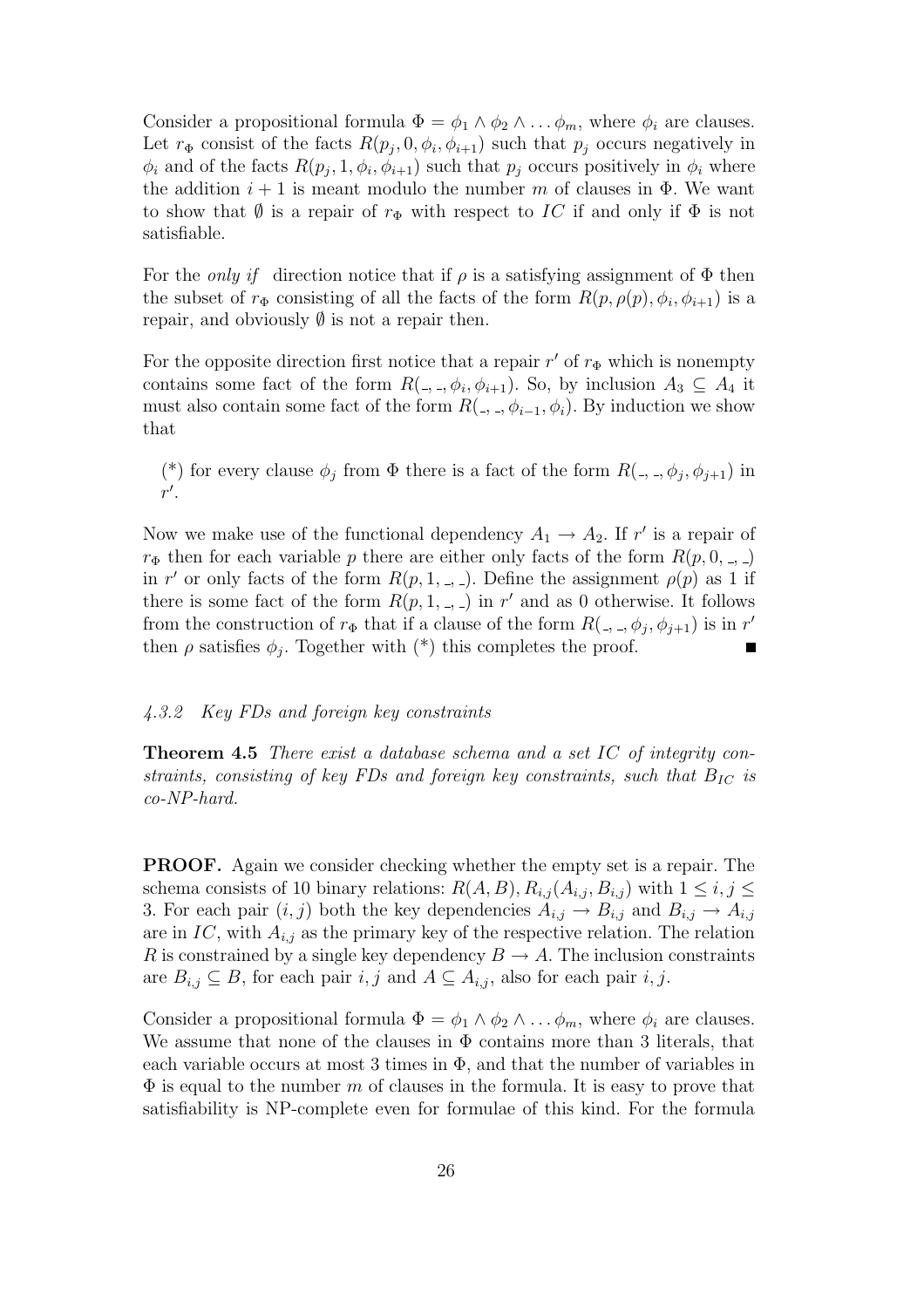Consider a propositional formula  $\Phi = \phi_1 \wedge \phi_2 \wedge \dots \phi_m$ , where  $\phi_i$  are clauses. Let  $r_{\Phi}$  consist of the facts  $R(p_j, 0, \phi_i, \phi_{i+1})$  such that  $p_j$  occurs negatively in  $\phi_i$  and of the facts  $R(p_j, 1, \phi_i, \phi_{i+1})$  such that  $p_j$  occurs positively in  $\phi_i$  where the addition  $i + 1$  is meant modulo the number m of clauses in  $\Phi$ . We want to show that  $\emptyset$  is a repair of  $r_{\Phi}$  with respect to IC if and only if  $\Phi$  is not satisfiable.

For the *only if* direction notice that if  $\rho$  is a satisfying assignment of  $\Phi$  then the subset of  $r_{\Phi}$  consisting of all the facts of the form  $R(p, \rho(p), \phi_i, \phi_{i+1})$  is a repair, and obviously  $\emptyset$  is not a repair then.

For the opposite direction first notice that a repair  $r'$  of  $r_{\Phi}$  which is nonempty contains some fact of the form  $R(\_,\_,\phi_i,\phi_{i+1})$ . So, by inclusion  $A_3 \subseteq A_4$  it must also contain some fact of the form  $R(\_,\_,\phi_{i-1},\phi_i)$ . By induction we show that

(\*) for every clause  $\phi_j$  from  $\Phi$  there is a fact of the form  $R(\_,\_,\phi_j,\phi_{j+1})$  in  $r^{\prime}$ .

Now we make use of the functional dependency  $A_1 \rightarrow A_2$ . If r' is a repair of  $r_{\Phi}$  then for each variable p there are either only facts of the form  $R(p, 0, \ldots)$ in r' or only facts of the form  $R(p, 1, \ldots)$ . Define the assignment  $\rho(p)$  as 1 if there is some fact of the form  $R(p, 1, \ldots)$  in r' and as 0 otherwise. It follows from the construction of  $r_{\Phi}$  that if a clause of the form  $R($ , ,  $\phi_j$ ,  $\phi_{j+1}$ ) is in r' then  $\rho$  satisfies  $\phi_j$ . Together with  $(*)$  this completes the proof.

# 4.3.2 Key FDs and foreign key constraints

Theorem 4.5 There exist a database schema and a set IC of integrity constraints, consisting of key FDs and foreign key constraints, such that  $B_{IC}$  is co-NP-hard.

PROOF. Again we consider checking whether the empty set is a repair. The schema consists of 10 binary relations:  $R(A, B), R_{i,j}(A_{i,j}, B_{i,j})$  with  $1 \leq i, j \leq j$ 3. For each pair  $(i, j)$  both the key dependencies  $A_{i,j} \to B_{i,j}$  and  $B_{i,j} \to A_{i,j}$ are in IC, with  $A_{i,j}$  as the primary key of the respective relation. The relation R is constrained by a single key dependency  $B \to A$ . The inclusion constraints are  $B_{i,j} \subseteq B$ , for each pair  $i, j$  and  $A \subseteq A_{i,j}$ , also for each pair  $i, j$ .

Consider a propositional formula  $\Phi = \phi_1 \wedge \phi_2 \wedge \dots \phi_m$ , where  $\phi_i$  are clauses. We assume that none of the clauses in  $\Phi$  contains more than 3 literals, that each variable occurs at most 3 times in  $\Phi$ , and that the number of variables in  $\Phi$  is equal to the number m of clauses in the formula. It is easy to prove that satisfiability is NP-complete even for formulae of this kind. For the formula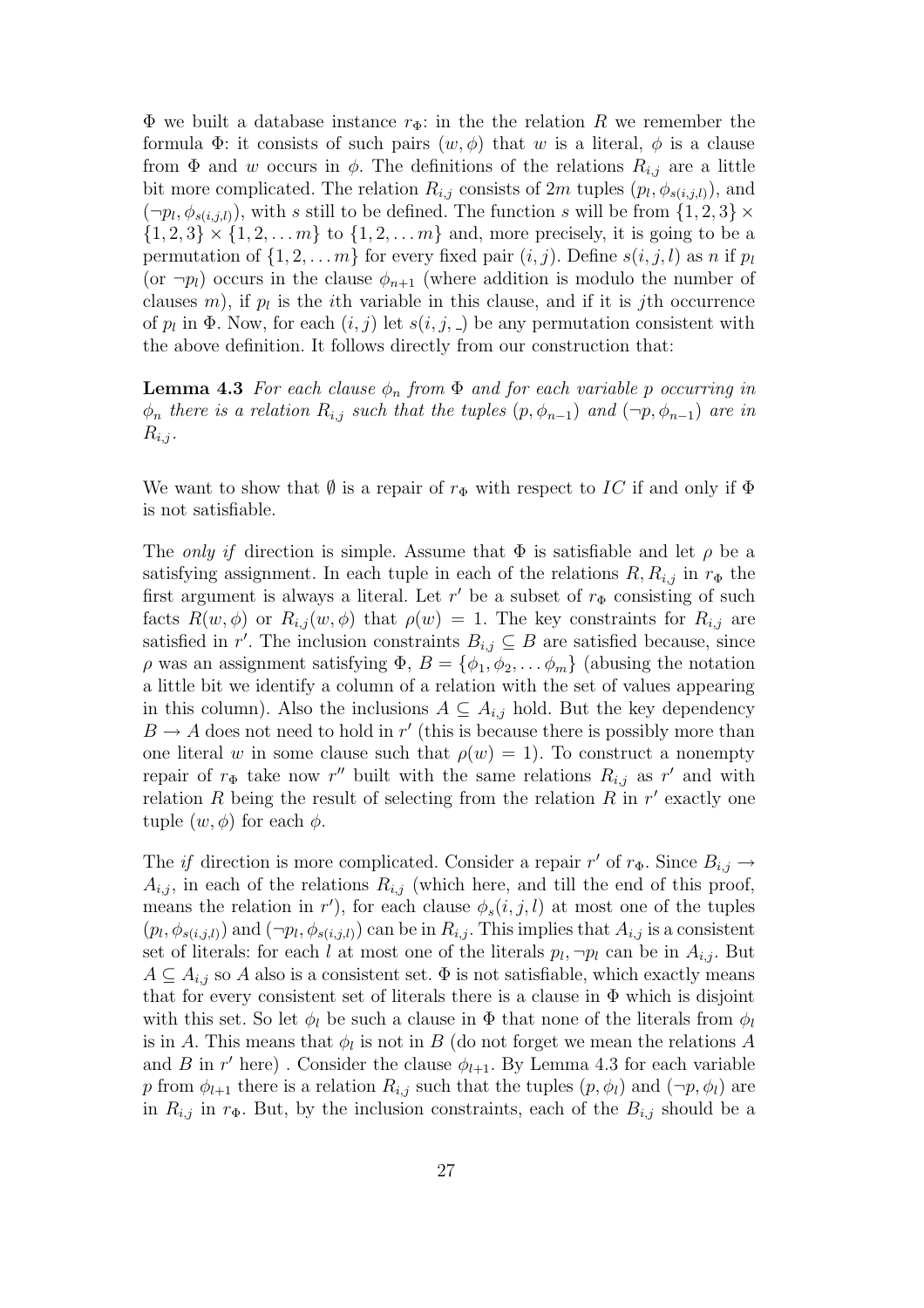$\Phi$  we built a database instance  $r_{\Phi}$ : in the the relation R we remember the formula  $\Phi$ : it consists of such pairs  $(w, \phi)$  that w is a literal,  $\phi$  is a clause from  $\Phi$  and w occurs in  $\phi$ . The definitions of the relations  $R_{i,j}$  are a little bit more complicated. The relation  $R_{i,j}$  consists of  $2m$  tuples  $(p_l, \phi_{s(i,j,l)})$ , and  $(\neg p_l, \phi_{s(i,j,l)})$ , with s still to be defined. The function s will be from  $\{1,2,3\} \times$  $\{1, 2, 3\} \times \{1, 2, \ldots m\}$  to  $\{1, 2, \ldots m\}$  and, more precisely, it is going to be a permutation of  $\{1, 2, \ldots m\}$  for every fixed pair  $(i, j)$ . Define  $s(i, j, l)$  as n if  $p_l$ (or  $\neg p_l$ ) occurs in the clause  $\phi_{n+1}$  (where addition is modulo the number of clauses  $m$ ), if  $p_l$  is the *i*th variable in this clause, and if it is *j*th occurrence of  $p_l$  in  $\Phi$ . Now, for each  $(i, j)$  let  $s(i, j, ...)$  be any permutation consistent with the above definition. It follows directly from our construction that:

**Lemma 4.3** For each clause  $\phi_n$  from  $\Phi$  and for each variable p occurring in  $\phi_n$  there is a relation  $R_{i,j}$  such that the tuples  $(p, \phi_{n-1})$  and  $(\neg p, \phi_{n-1})$  are in  $R_{i,j}$ .

We want to show that  $\emptyset$  is a repair of  $r_{\Phi}$  with respect to IC if and only if  $\Phi$ is not satisfiable.

The only if direction is simple. Assume that  $\Phi$  is satisfiable and let  $\rho$  be a satisfying assignment. In each tuple in each of the relations  $R, R_{i,j}$  in  $r_{\Phi}$  the first argument is always a literal. Let  $r'$  be a subset of  $r_{\Phi}$  consisting of such facts  $R(w, \phi)$  or  $R_{i,j}(w, \phi)$  that  $\rho(w) = 1$ . The key constraints for  $R_{i,j}$  are satisfied in r'. The inclusion constraints  $B_{i,j} \subseteq B$  are satisfied because, since  $\rho$  was an assignment satisfying  $\Phi$ ,  $B = {\phi_1, \phi_2, \dots, \phi_m}$  (abusing the notation a little bit we identify a column of a relation with the set of values appearing in this column). Also the inclusions  $A \subseteq A_{i,j}$  hold. But the key dependency  $B \to A$  does not need to hold in r' (this is because there is possibly more than one literal w in some clause such that  $\rho(w) = 1$ . To construct a nonempty repair of  $r_{\Phi}$  take now r'' built with the same relations  $R_{i,j}$  as r' and with relation R being the result of selecting from the relation R in  $r'$  exactly one tuple  $(w, \phi)$  for each  $\phi$ .

The *if* direction is more complicated. Consider a repair  $r'$  of  $r_{\Phi}$ . Since  $B_{i,j} \to$  $A_{i,j}$ , in each of the relations  $R_{i,j}$  (which here, and till the end of this proof, means the relation in r'), for each clause  $\phi_s(i,j,l)$  at most one of the tuples  $(p_l, \phi_{s(i,j,l)})$  and  $(\neg p_l, \phi_{s(i,j,l)})$  can be in  $R_{i,j}$ . This implies that  $A_{i,j}$  is a consistent set of literals: for each l at most one of the literals  $p_l, \neg p_l$  can be in  $A_{i,j}$ . But  $A \subseteq A_{i,j}$  so A also is a consistent set.  $\Phi$  is not satisfiable, which exactly means that for every consistent set of literals there is a clause in  $\Phi$  which is disjoint with this set. So let  $\phi_l$  be such a clause in  $\Phi$  that none of the literals from  $\phi_l$ is in A. This means that  $\phi_l$  is not in B (do not forget we mean the relations A and B in  $r'$  here). Consider the clause  $\phi_{l+1}$ . By Lemma 4.3 for each variable p from  $\phi_{l+1}$  there is a relation  $R_{i,j}$  such that the tuples  $(p, \phi_l)$  and  $(\neg p, \phi_l)$  are in  $R_{i,j}$  in  $r_{\Phi}$ . But, by the inclusion constraints, each of the  $B_{i,j}$  should be a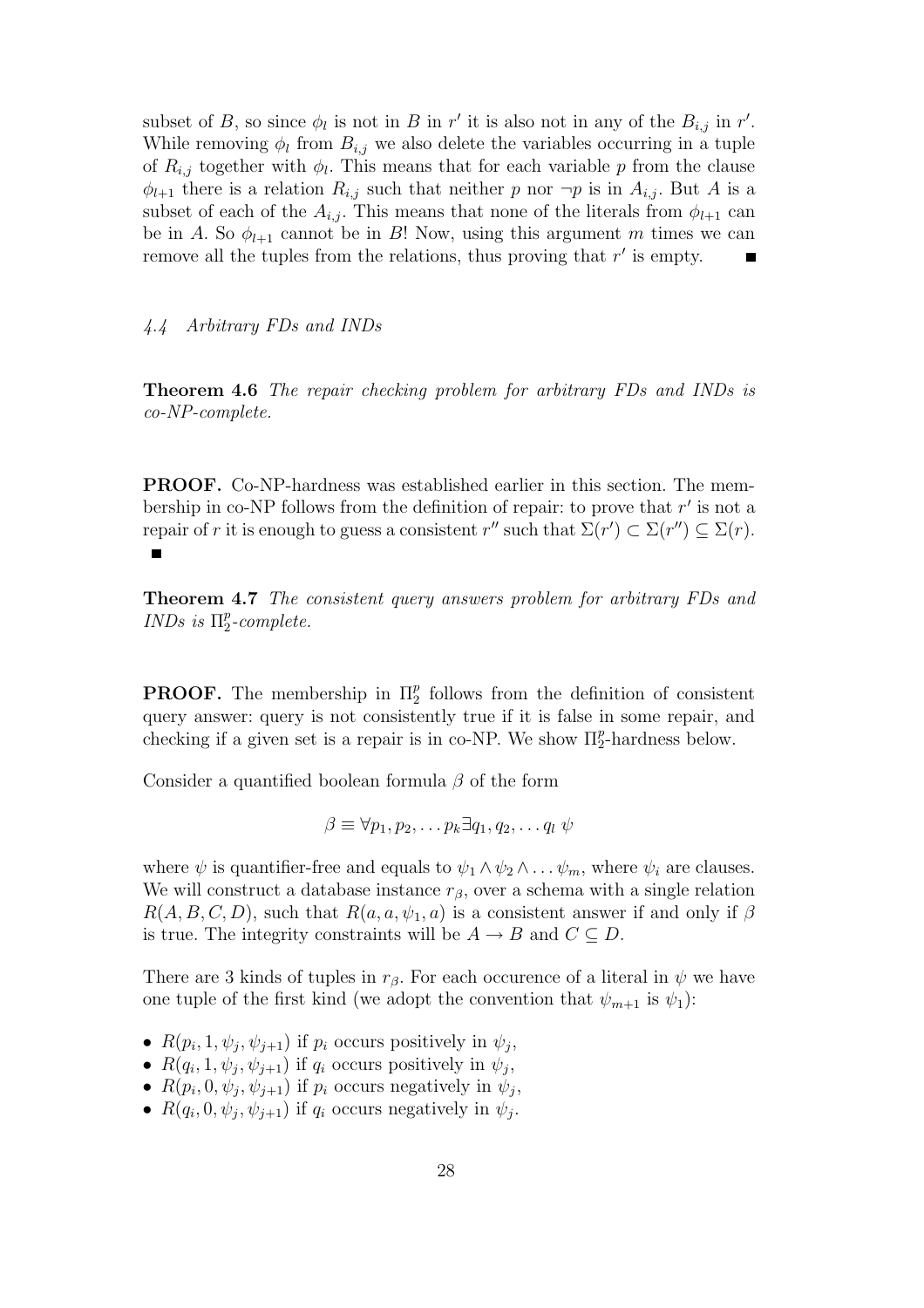subset of B, so since  $\phi_l$  is not in B in r' it is also not in any of the  $B_{i,j}$  in r'. While removing  $\phi_l$  from  $B_{i,j}$  we also delete the variables occurring in a tuple of  $R_{i,j}$  together with  $\phi_l$ . This means that for each variable p from the clause  $\phi_{l+1}$  there is a relation  $R_{i,j}$  such that neither p nor  $\neg p$  is in  $A_{i,j}$ . But A is a subset of each of the  $A_{i,j}$ . This means that none of the literals from  $\phi_{l+1}$  can be in A. So  $\phi_{l+1}$  cannot be in B! Now, using this argument m times we can remove all the tuples from the relations, thus proving that  $r'$  is empty.

### 4.4 Arbitrary FDs and INDs

Theorem 4.6 The repair checking problem for arbitrary FDs and INDs is co-NP-complete.

PROOF. Co-NP-hardness was established earlier in this section. The membership in co-NP follows from the definition of repair: to prove that  $r'$  is not a repair of r it is enough to guess a consistent  $r''$  such that  $\Sigma(r') \subset \Sigma(r'') \subseteq \Sigma(r)$ .  $\blacksquare$ 

Theorem 4.7 The consistent query answers problem for arbitrary FDs and INDs is  $\Pi_2^p$  $_{2}^{p}$ -complete.

**PROOF.** The membership in  $\Pi_2^p$  $_2^p$  follows from the definition of consistent query answer: query is not consistently true if it is false in some repair, and checking if a given set is a repair is in co-NP. We show  $\Pi_2^p$  $_2^p$ -hardness below.

Consider a quantified boolean formula  $\beta$  of the form

$$
\beta \equiv \forall p_1, p_2, \dots p_k \exists q_1, q_2, \dots q_l \psi
$$

where  $\psi$  is quantifier-free and equals to  $\psi_1 \wedge \psi_2 \wedge \dots \psi_m$ , where  $\psi_i$  are clauses. We will construct a database instance  $r_\beta$ , over a schema with a single relation  $R(A, B, C, D)$ , such that  $R(a, a, \psi_1, a)$  is a consistent answer if and only if  $\beta$ is true. The integrity constraints will be  $A \rightarrow B$  and  $C \subseteq D$ .

There are 3 kinds of tuples in  $r_\beta$ . For each occurence of a literal in  $\psi$  we have one tuple of the first kind (we adopt the convention that  $\psi_{m+1}$  is  $\psi_1$ ):

- $R(p_i, 1, \psi_j, \psi_{j+1})$  if  $p_i$  occurs positively in  $\psi_j$ ,
- $R(q_i, 1, \psi_j, \psi_{j+1})$  if  $q_i$  occurs positively in  $\psi_j$ ,
- $R(p_i, 0, \psi_j, \psi_{j+1})$  if  $p_i$  occurs negatively in  $\psi_j$ ,
- $R(q_i, 0, \psi_j, \psi_{j+1})$  if  $q_i$  occurs negatively in  $\psi_j$ .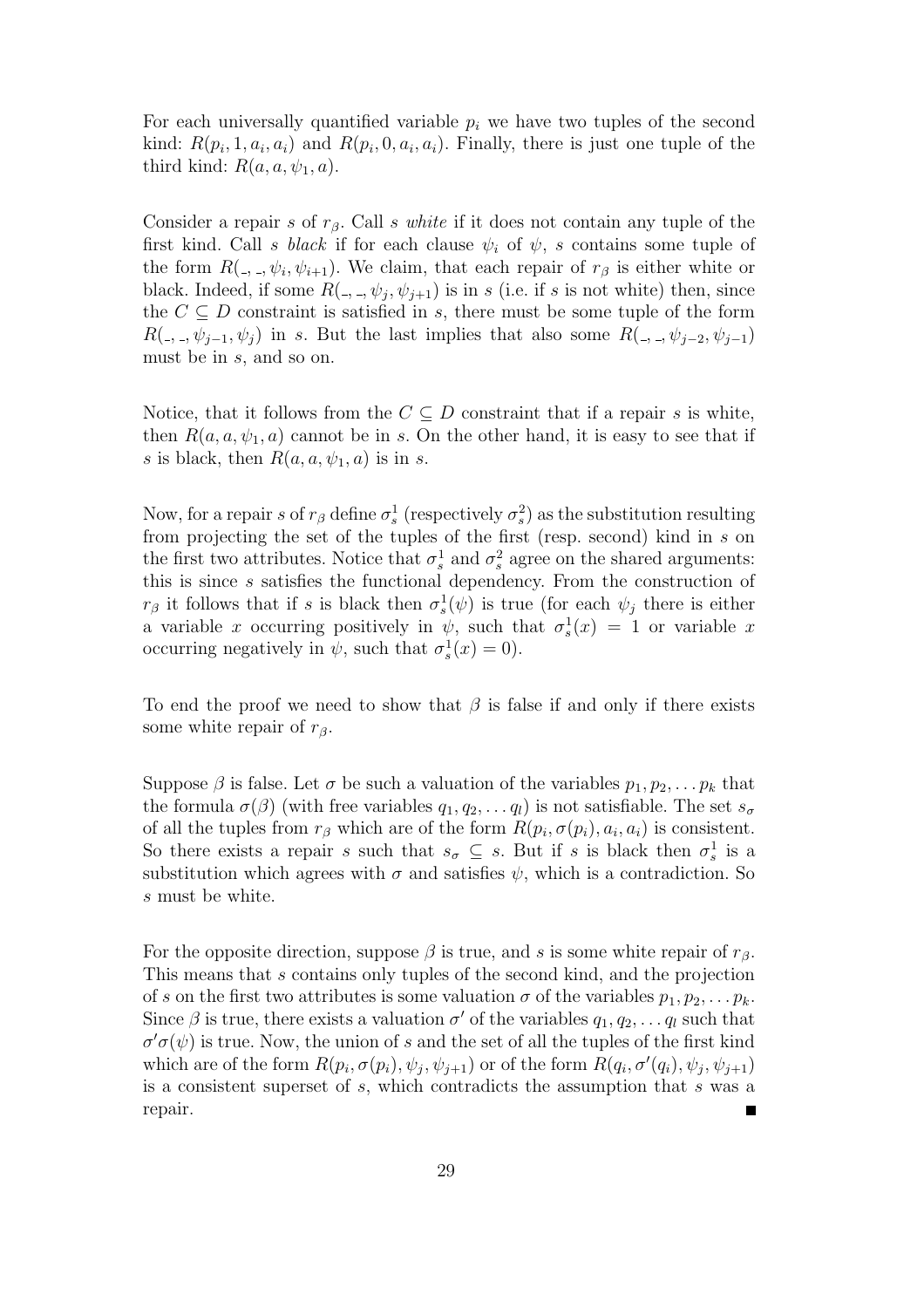For each universally quantified variable  $p_i$  we have two tuples of the second kind:  $R(p_i, 1, a_i, a_i)$  and  $R(p_i, 0, a_i, a_i)$ . Finally, there is just one tuple of the third kind:  $R(a, a, \psi_1, a)$ .

Consider a repair s of  $r_\beta$ . Call s white if it does not contain any tuple of the first kind. Call s black if for each clause  $\psi_i$  of  $\psi$ , s contains some tuple of the form  $R(\_,\_,\psi_i,\psi_{i+1})$ . We claim, that each repair of  $r_\beta$  is either white or black. Indeed, if some  $R(\_,\_,\psi_j,\psi_{j+1})$  is in s (i.e. if s is not white) then, since the  $C \subseteq D$  constraint is satisfied in s, there must be some tuple of the form  $R( \cdot, \cdot, \psi_{i-1}, \psi_i )$  in s. But the last implies that also some  $R( \cdot, \cdot, \psi_{i-2}, \psi_{i-1} )$ must be in s, and so on.

Notice, that it follows from the  $C \subseteq D$  constraint that if a repair s is white, then  $R(a, a, \psi_1, a)$  cannot be in s. On the other hand, it is easy to see that if s is black, then  $R(a, a, \psi_1, a)$  is in s.

Now, for a repair s of  $r_\beta$  define  $\sigma_s^1$  (respectively  $\sigma_s^2$ ) as the substitution resulting from projecting the set of the tuples of the first (resp. second) kind in s on the first two attributes. Notice that  $\sigma_s^1$  and  $\sigma_s^2$  agree on the shared arguments: this is since s satisfies the functional dependency. From the construction of  $r_\beta$  it follows that if s is black then  $\sigma_s^1(\psi)$  is true (for each  $\psi_j$  there is either a variable x occurring positively in  $\psi$ , such that  $\sigma_s^1(x) = 1$  or variable x occurring negatively in  $\psi$ , such that  $\sigma_s^1(x) = 0$ ).

To end the proof we need to show that  $\beta$  is false if and only if there exists some white repair of  $r_{\beta}$ .

Suppose  $\beta$  is false. Let  $\sigma$  be such a valuation of the variables  $p_1, p_2, \ldots p_k$  that the formula  $\sigma(\beta)$  (with free variables  $q_1, q_2, \ldots q_l$ ) is not satisfiable. The set  $s_{\sigma}$ of all the tuples from  $r_\beta$  which are of the form  $R(p_i, \sigma(p_i), a_i, a_i)$  is consistent. So there exists a repair s such that  $s_{\sigma} \subseteq s$ . But if s is black then  $\sigma_s^1$  is a substitution which agrees with  $\sigma$  and satisfies  $\psi$ , which is a contradiction. So s must be white.

For the opposite direction, suppose  $\beta$  is true, and s is some white repair of  $r_{\beta}$ . This means that s contains only tuples of the second kind, and the projection of s on the first two attributes is some valuation  $\sigma$  of the variables  $p_1, p_2, \ldots, p_k$ . Since  $\beta$  is true, there exists a valuation  $\sigma'$  of the variables  $q_1, q_2, \ldots q_l$  such that  $\sigma' \sigma(\psi)$  is true. Now, the union of s and the set of all the tuples of the first kind which are of the form  $R(p_i, \sigma(p_i), \psi_j, \psi_{j+1})$  or of the form  $R(q_i, \sigma'(q_i), \psi_j, \psi_{j+1})$ is a consistent superset of s, which contradicts the assumption that s was a repair.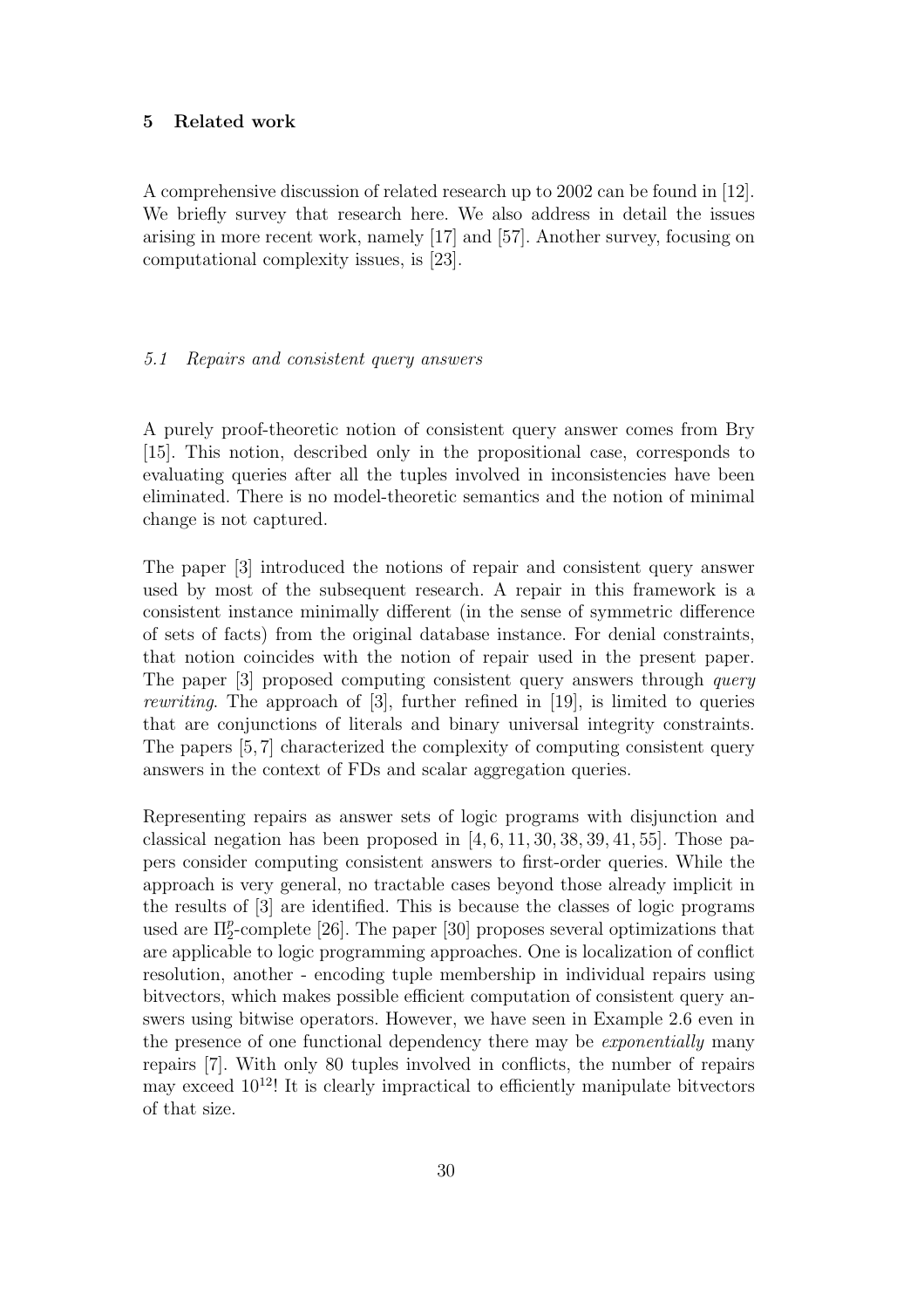## 5 Related work

A comprehensive discussion of related research up to 2002 can be found in [12]. We briefly survey that research here. We also address in detail the issues arising in more recent work, namely [17] and [57]. Another survey, focusing on computational complexity issues, is [23].

# 5.1 Repairs and consistent query answers

A purely proof-theoretic notion of consistent query answer comes from Bry [15]. This notion, described only in the propositional case, corresponds to evaluating queries after all the tuples involved in inconsistencies have been eliminated. There is no model-theoretic semantics and the notion of minimal change is not captured.

The paper [3] introduced the notions of repair and consistent query answer used by most of the subsequent research. A repair in this framework is a consistent instance minimally different (in the sense of symmetric difference of sets of facts) from the original database instance. For denial constraints, that notion coincides with the notion of repair used in the present paper. The paper [3] proposed computing consistent query answers through *query* rewriting. The approach of [3], further refined in [19], is limited to queries that are conjunctions of literals and binary universal integrity constraints. The papers [5, 7] characterized the complexity of computing consistent query answers in the context of FDs and scalar aggregation queries.

Representing repairs as answer sets of logic programs with disjunction and classical negation has been proposed in  $[4, 6, 11, 30, 38, 39, 41, 55]$ . Those papers consider computing consistent answers to first-order queries. While the approach is very general, no tractable cases beyond those already implicit in the results of [3] are identified. This is because the classes of logic programs used are  $\Pi_2^p$  $_{2}^{p}$ -complete [26]. The paper [30] proposes several optimizations that are applicable to logic programming approaches. One is localization of conflict resolution, another - encoding tuple membership in individual repairs using bitvectors, which makes possible efficient computation of consistent query answers using bitwise operators. However, we have seen in Example 2.6 even in the presence of one functional dependency there may be *exponentially* many repairs [7]. With only 80 tuples involved in conflicts, the number of repairs may exceed  $10^{12}$ ! It is clearly impractical to efficiently manipulate bitvectors of that size.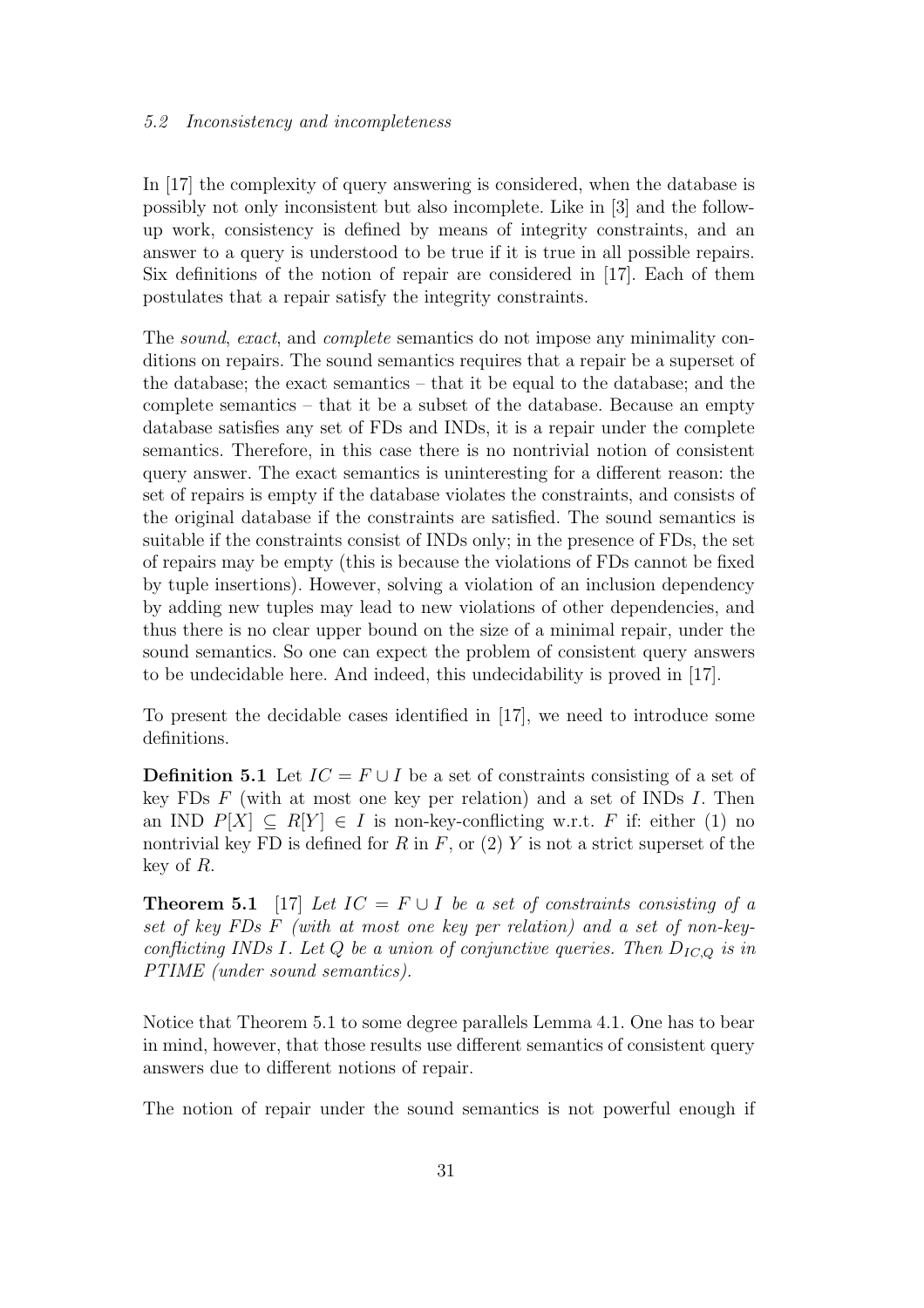#### 5.2 Inconsistency and incompleteness

In [17] the complexity of query answering is considered, when the database is possibly not only inconsistent but also incomplete. Like in [3] and the followup work, consistency is defined by means of integrity constraints, and an answer to a query is understood to be true if it is true in all possible repairs. Six definitions of the notion of repair are considered in [17]. Each of them postulates that a repair satisfy the integrity constraints.

The sound, exact, and complete semantics do not impose any minimality conditions on repairs. The sound semantics requires that a repair be a superset of the database; the exact semantics – that it be equal to the database; and the complete semantics – that it be a subset of the database. Because an empty database satisfies any set of FDs and INDs, it is a repair under the complete semantics. Therefore, in this case there is no nontrivial notion of consistent query answer. The exact semantics is uninteresting for a different reason: the set of repairs is empty if the database violates the constraints, and consists of the original database if the constraints are satisfied. The sound semantics is suitable if the constraints consist of INDs only; in the presence of FDs, the set of repairs may be empty (this is because the violations of FDs cannot be fixed by tuple insertions). However, solving a violation of an inclusion dependency by adding new tuples may lead to new violations of other dependencies, and thus there is no clear upper bound on the size of a minimal repair, under the sound semantics. So one can expect the problem of consistent query answers to be undecidable here. And indeed, this undecidability is proved in [17].

To present the decidable cases identified in [17], we need to introduce some definitions.

**Definition 5.1** Let  $IC = F \cup I$  be a set of constraints consisting of a set of key FDs  $F$  (with at most one key per relation) and a set of INDs  $I$ . Then an IND  $P[X] \subseteq R[Y] \in I$  is non-key-conflicting w.r.t. F if: either (1) no nontrivial key FD is defined for R in F, or  $(2)$  Y is not a strict superset of the key of R.

**Theorem 5.1** [17] Let  $IC = F \cup I$  be a set of constraints consisting of a set of key FDs F (with at most one key per relation) and a set of non-keyconflicting INDs I. Let Q be a union of conjunctive queries. Then  $D_{IC,Q}$  is in PTIME (under sound semantics).

Notice that Theorem 5.1 to some degree parallels Lemma 4.1. One has to bear in mind, however, that those results use different semantics of consistent query answers due to different notions of repair.

The notion of repair under the sound semantics is not powerful enough if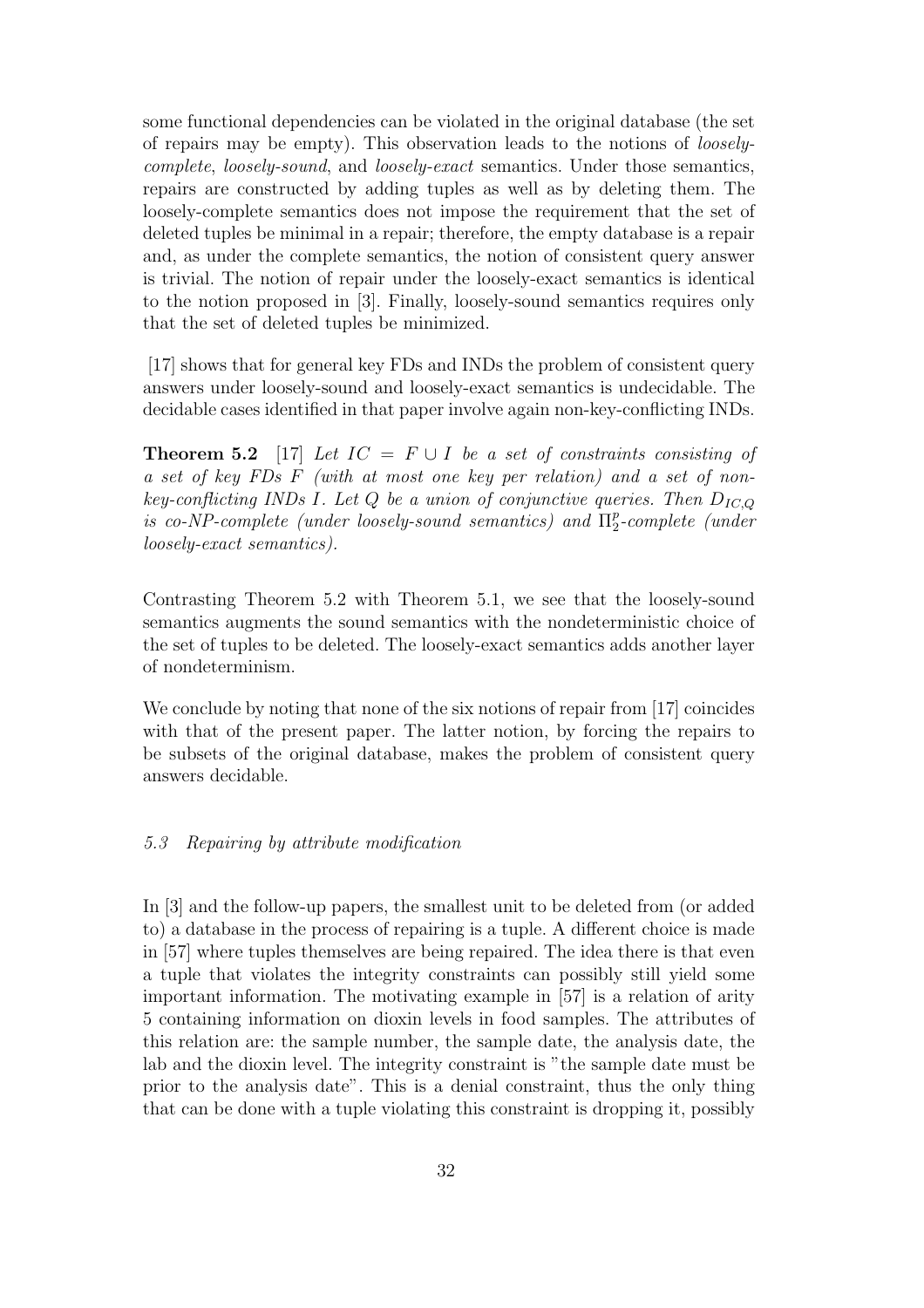some functional dependencies can be violated in the original database (the set of repairs may be empty). This observation leads to the notions of looselycomplete, loosely-sound, and loosely-exact semantics. Under those semantics, repairs are constructed by adding tuples as well as by deleting them. The loosely-complete semantics does not impose the requirement that the set of deleted tuples be minimal in a repair; therefore, the empty database is a repair and, as under the complete semantics, the notion of consistent query answer is trivial. The notion of repair under the loosely-exact semantics is identical to the notion proposed in [3]. Finally, loosely-sound semantics requires only that the set of deleted tuples be minimized.

[17] shows that for general key FDs and INDs the problem of consistent query answers under loosely-sound and loosely-exact semantics is undecidable. The decidable cases identified in that paper involve again non-key-conflicting INDs.

**Theorem 5.2** [17] Let  $IC = F \cup I$  be a set of constraints consisting of a set of key FDs F (with at most one key per relation) and a set of nonkey-conflicting INDs I. Let  $Q$  be a union of conjunctive queries. Then  $D_{IC,Q}$ is co-NP-complete (under loosely-sound semantics) and  $\Pi_2^p$  $\frac{p}{2}$ -complete (under loosely-exact semantics).

Contrasting Theorem 5.2 with Theorem 5.1, we see that the loosely-sound semantics augments the sound semantics with the nondeterministic choice of the set of tuples to be deleted. The loosely-exact semantics adds another layer of nondeterminism.

We conclude by noting that none of the six notions of repair from [17] coincides with that of the present paper. The latter notion, by forcing the repairs to be subsets of the original database, makes the problem of consistent query answers decidable.

## 5.3 Repairing by attribute modification

In [3] and the follow-up papers, the smallest unit to be deleted from (or added to) a database in the process of repairing is a tuple. A different choice is made in [57] where tuples themselves are being repaired. The idea there is that even a tuple that violates the integrity constraints can possibly still yield some important information. The motivating example in [57] is a relation of arity 5 containing information on dioxin levels in food samples. The attributes of this relation are: the sample number, the sample date, the analysis date, the lab and the dioxin level. The integrity constraint is "the sample date must be prior to the analysis date". This is a denial constraint, thus the only thing that can be done with a tuple violating this constraint is dropping it, possibly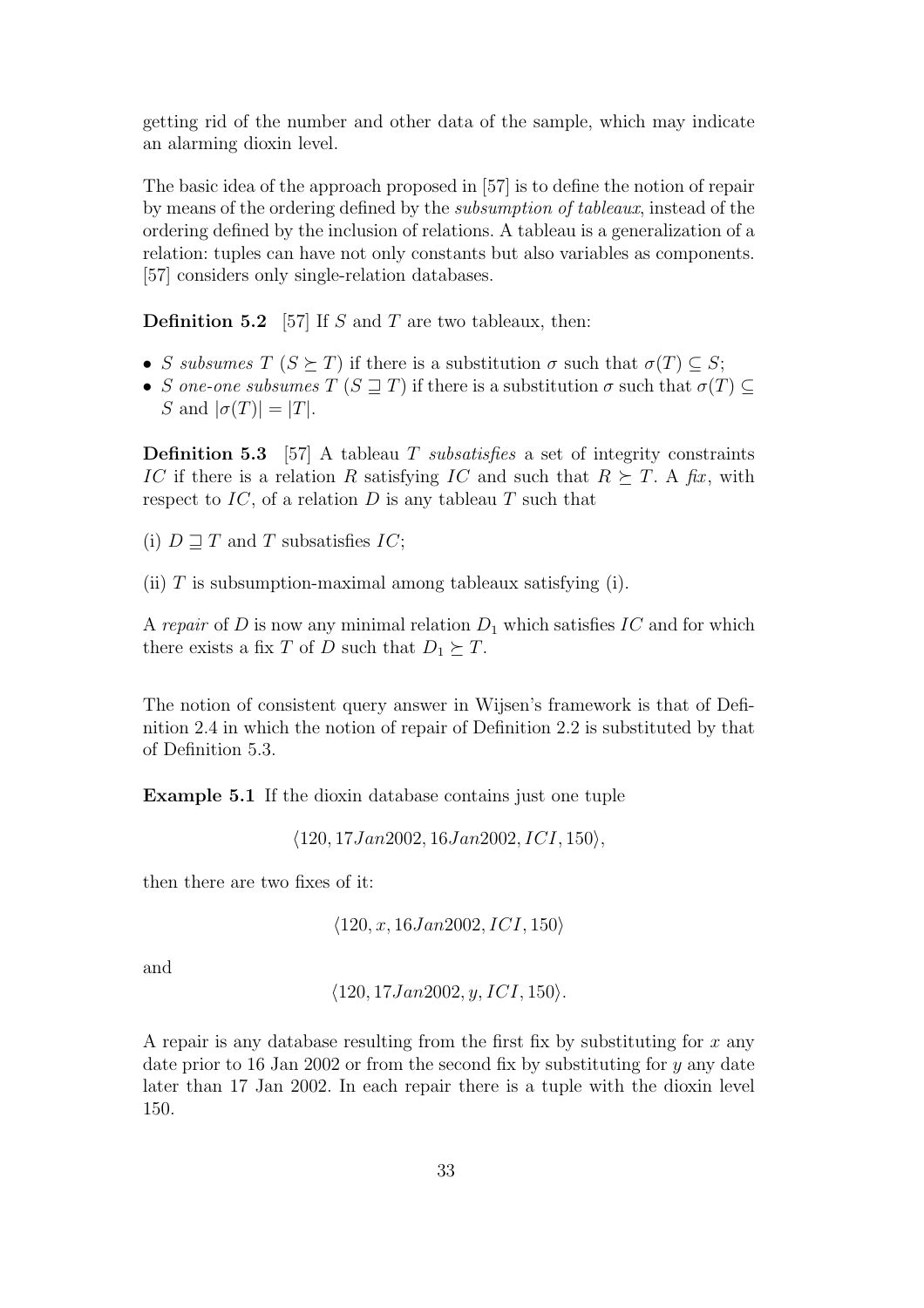getting rid of the number and other data of the sample, which may indicate an alarming dioxin level.

The basic idea of the approach proposed in [57] is to define the notion of repair by means of the ordering defined by the subsumption of tableaux, instead of the ordering defined by the inclusion of relations. A tableau is a generalization of a relation: tuples can have not only constants but also variables as components. [57] considers only single-relation databases.

**Definition 5.2** [57] If S and T are two tableaux, then:

- S subsumes  $T(S \succeq T)$  if there is a substitution  $\sigma$  such that  $\sigma(T) \subseteq S$ ;
- S one-one subsumes  $T(S \supseteq T)$  if there is a substitution  $\sigma$  such that  $\sigma(T) \subseteq$ S and  $|\sigma(T)| = |T|$ .

**Definition 5.3** [57] A tableau T subsatisfies a set of integrity constraints IC if there is a relation R satisfying IC and such that  $R \succeq T$ . A fix, with respect to  $IC$ , of a relation  $D$  is any tableau  $T$  such that

(i)  $D \sqsupset T$  and T subsatisfies IC;

(ii)  $T$  is subsumption-maximal among tableaux satisfying (i).

A repair of D is now any minimal relation  $D_1$  which satisfies IC and for which there exists a fix T of D such that  $D_1 \succeq T$ .

The notion of consistent query answer in Wijsen's framework is that of Definition 2.4 in which the notion of repair of Definition 2.2 is substituted by that of Definition 5.3.

Example 5.1 If the dioxin database contains just one tuple

 $\langle 120, 17Jan2002, 16Jan2002, ICI, 150 \rangle,$ 

then there are two fixes of it:

 $\langle 120, x, 16Jan2002, ICI, 150 \rangle$ 

and

$$
\langle 120, 17 Jan 2002, y, ICI, 150 \rangle
$$
.

A repair is any database resulting from the first fix by substituting for  $x$  any date prior to 16 Jan 2002 or from the second fix by substituting for  $\eta$  any date later than 17 Jan 2002. In each repair there is a tuple with the dioxin level 150.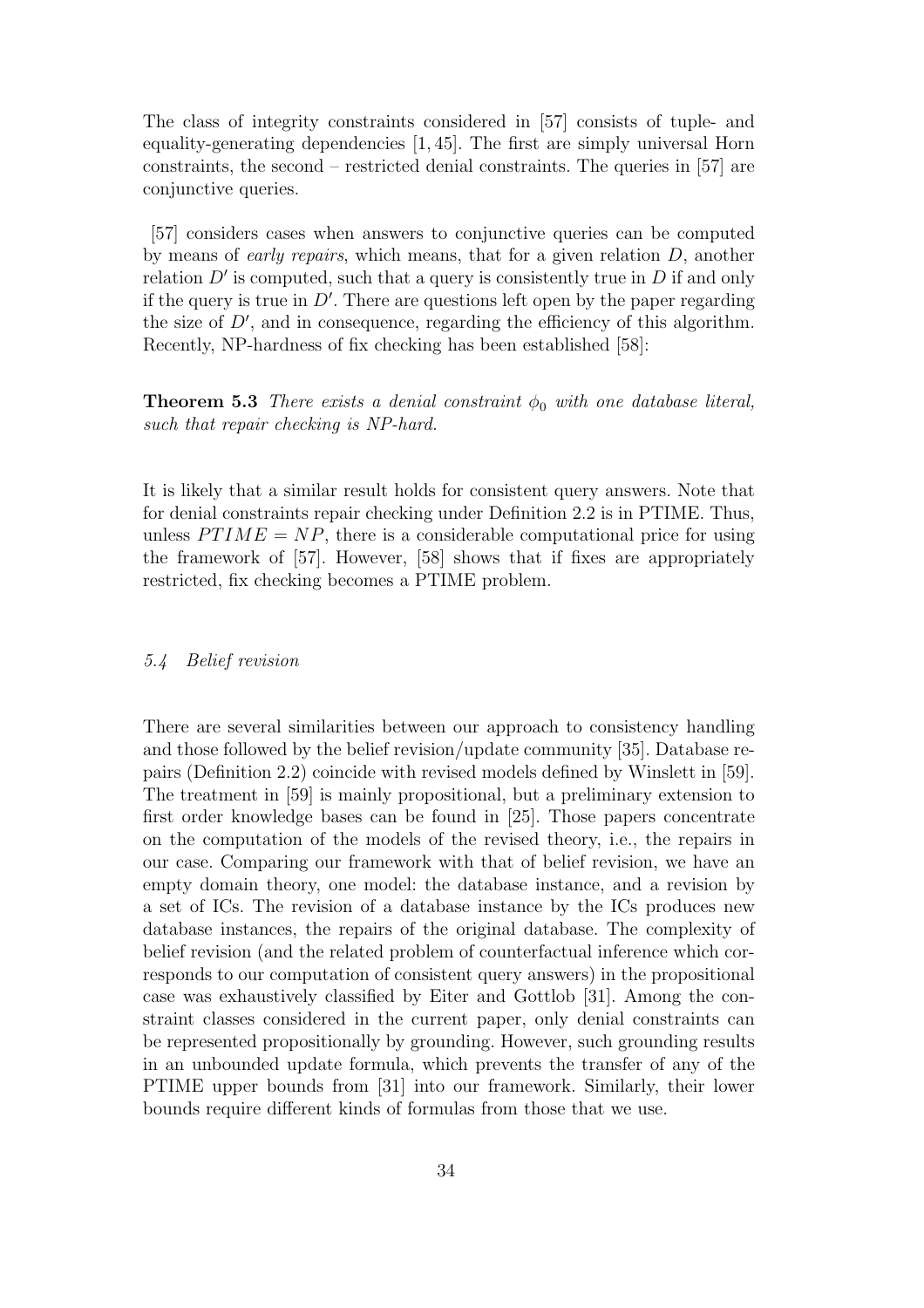The class of integrity constraints considered in [57] consists of tuple- and equality-generating dependencies [1, 45]. The first are simply universal Horn constraints, the second – restricted denial constraints. The queries in [57] are conjunctive queries.

[57] considers cases when answers to conjunctive queries can be computed by means of *early repairs*, which means, that for a given relation  $D$ , another relation  $D'$  is computed, such that a query is consistently true in  $D$  if and only if the query is true in  $D'$ . There are questions left open by the paper regarding the size of  $D'$ , and in consequence, regarding the efficiency of this algorithm. Recently, NP-hardness of fix checking has been established [58]:

**Theorem 5.3** There exists a denial constraint  $\phi_0$  with one database literal, such that repair checking is NP-hard.

It is likely that a similar result holds for consistent query answers. Note that for denial constraints repair checking under Definition 2.2 is in PTIME. Thus, unless  $PTIME = NP$ , there is a considerable computational price for using the framework of [57]. However, [58] shows that if fixes are appropriately restricted, fix checking becomes a PTIME problem.

#### 5.4 Belief revision

There are several similarities between our approach to consistency handling and those followed by the belief revision/update community [35]. Database repairs (Definition 2.2) coincide with revised models defined by Winslett in [59]. The treatment in [59] is mainly propositional, but a preliminary extension to first order knowledge bases can be found in [25]. Those papers concentrate on the computation of the models of the revised theory, i.e., the repairs in our case. Comparing our framework with that of belief revision, we have an empty domain theory, one model: the database instance, and a revision by a set of ICs. The revision of a database instance by the ICs produces new database instances, the repairs of the original database. The complexity of belief revision (and the related problem of counterfactual inference which corresponds to our computation of consistent query answers) in the propositional case was exhaustively classified by Eiter and Gottlob [31]. Among the constraint classes considered in the current paper, only denial constraints can be represented propositionally by grounding. However, such grounding results in an unbounded update formula, which prevents the transfer of any of the PTIME upper bounds from [31] into our framework. Similarly, their lower bounds require different kinds of formulas from those that we use.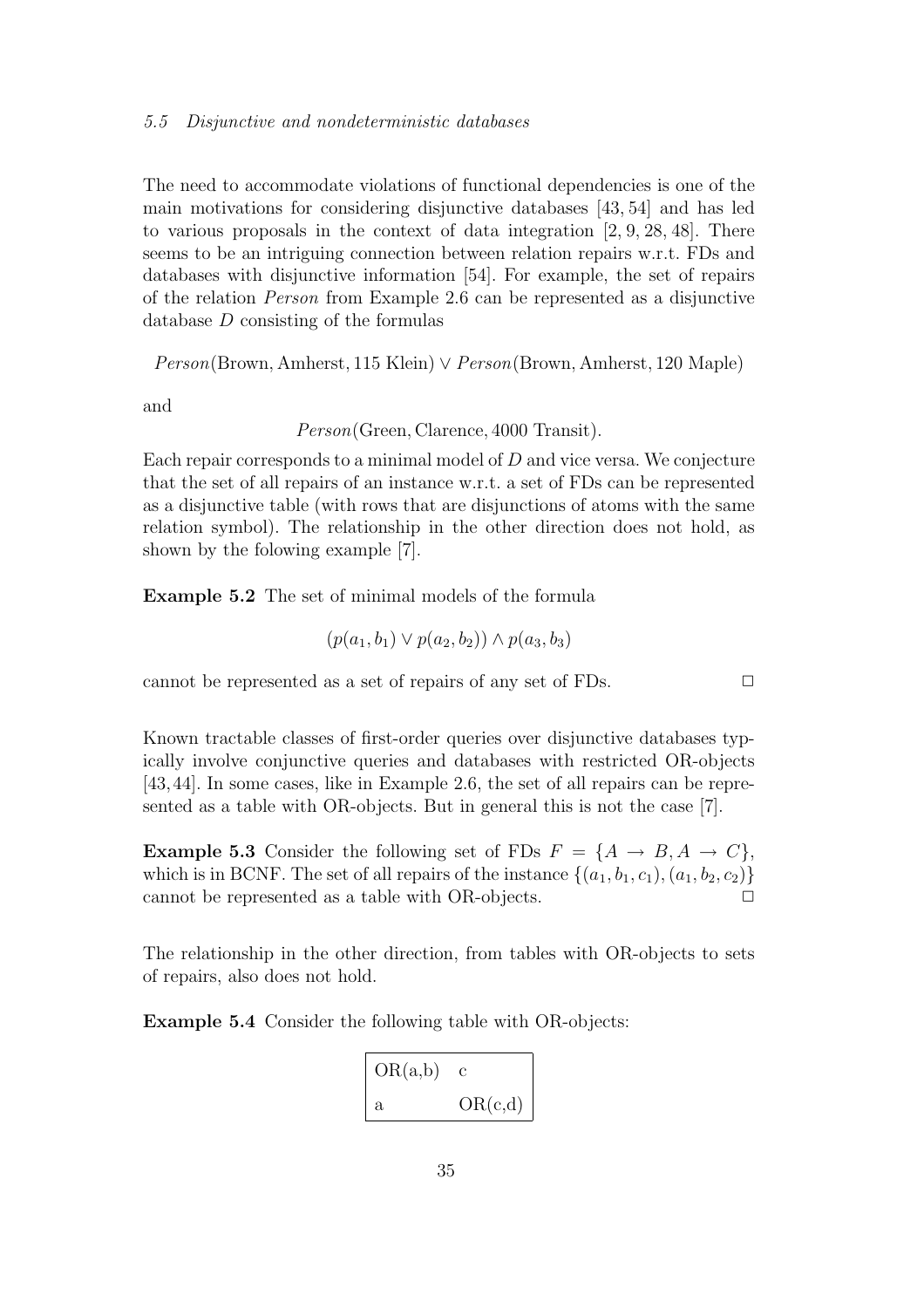The need to accommodate violations of functional dependencies is one of the main motivations for considering disjunctive databases [43, 54] and has led to various proposals in the context of data integration  $[2, 9, 28, 48]$ . There seems to be an intriguing connection between relation repairs w.r.t. FDs and databases with disjunctive information [54]. For example, the set of repairs of the relation Person from Example 2.6 can be represented as a disjunctive database D consisting of the formulas

Person(Brown, Amherst, 115 Klein) ∨ Person(Brown, Amherst, 120 Maple)

and

Person(Green, Clarence, 4000 Transit).

Each repair corresponds to a minimal model of  $D$  and vice versa. We conjecture that the set of all repairs of an instance w.r.t. a set of FDs can be represented as a disjunctive table (with rows that are disjunctions of atoms with the same relation symbol). The relationship in the other direction does not hold, as shown by the folowing example [7].

Example 5.2 The set of minimal models of the formula

$$
(p(a_1, b_1) \lor p(a_2, b_2)) \land p(a_3, b_3)
$$

cannot be represented as a set of repairs of any set of FDs.  $\Box$ 

Known tractable classes of first-order queries over disjunctive databases typically involve conjunctive queries and databases with restricted OR-objects [43,44]. In some cases, like in Example 2.6, the set of all repairs can be represented as a table with OR-objects. But in general this is not the case [7].

**Example 5.3** Consider the following set of FDs  $F = \{A \rightarrow B, A \rightarrow C\},\$ which is in BCNF. The set of all repairs of the instance  $\{(a_1, b_1, c_1), (a_1, b_2, c_2)\}$ cannot be represented as a table with OR-objects.  $\Box$ 

The relationship in the other direction, from tables with OR-objects to sets of repairs, also does not hold.

Example 5.4 Consider the following table with OR-objects:

| OR(a,b) |         |
|---------|---------|
| a       | OR(c,d) |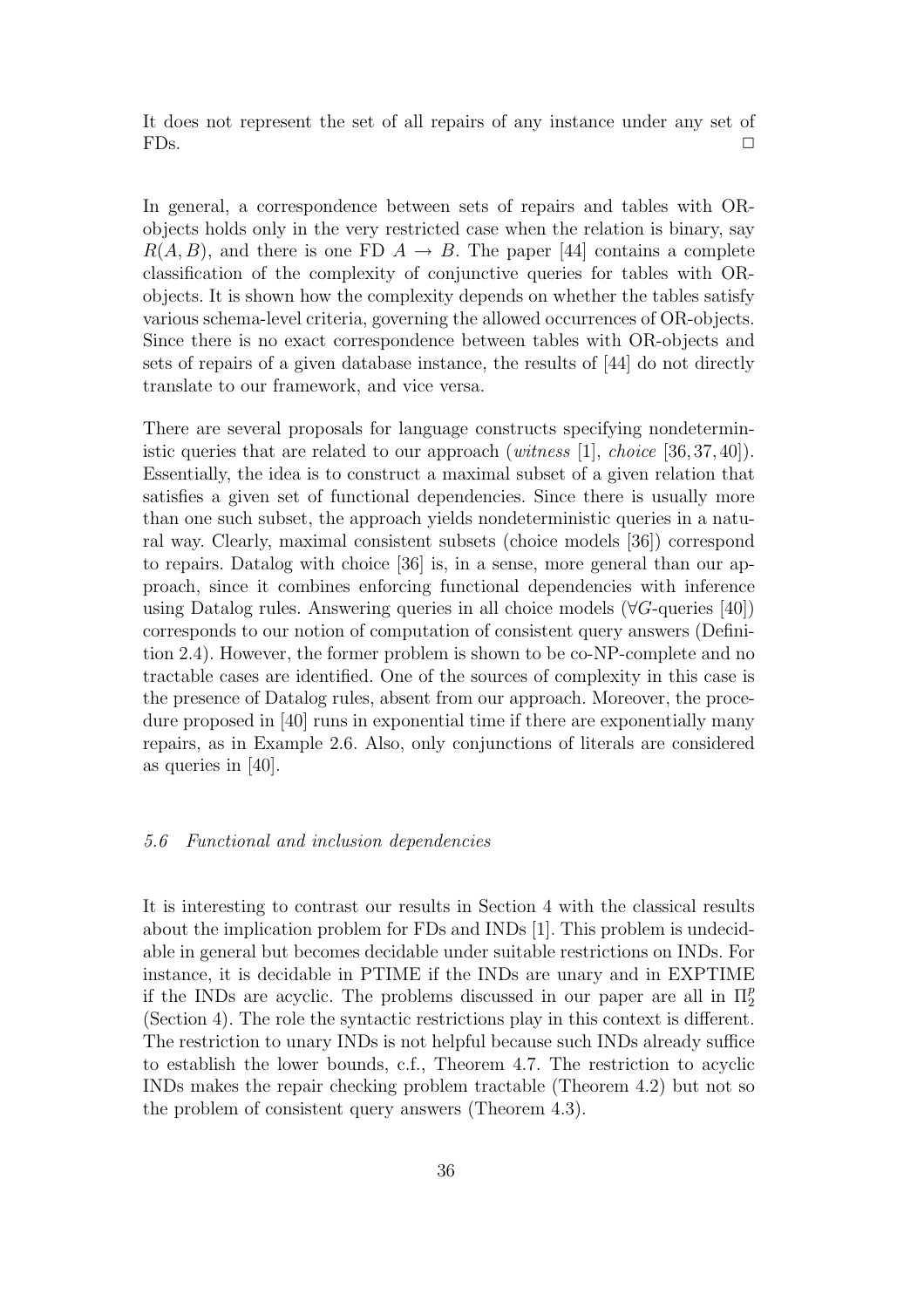It does not represent the set of all repairs of any instance under any set of  $FDs.$ 

In general, a correspondence between sets of repairs and tables with ORobjects holds only in the very restricted case when the relation is binary, say  $R(A, B)$ , and there is one FD  $A \rightarrow B$ . The paper [44] contains a complete classification of the complexity of conjunctive queries for tables with ORobjects. It is shown how the complexity depends on whether the tables satisfy various schema-level criteria, governing the allowed occurrences of OR-objects. Since there is no exact correspondence between tables with OR-objects and sets of repairs of a given database instance, the results of [44] do not directly translate to our framework, and vice versa.

There are several proposals for language constructs specifying nondeterministic queries that are related to our approach (*witness* [1], *choice* [36, 37, 40]). Essentially, the idea is to construct a maximal subset of a given relation that satisfies a given set of functional dependencies. Since there is usually more than one such subset, the approach yields nondeterministic queries in a natural way. Clearly, maximal consistent subsets (choice models [36]) correspond to repairs. Datalog with choice [36] is, in a sense, more general than our approach, since it combines enforcing functional dependencies with inference using Datalog rules. Answering queries in all choice models ( $\forall G$ -queries [40]) corresponds to our notion of computation of consistent query answers (Definition 2.4). However, the former problem is shown to be co-NP-complete and no tractable cases are identified. One of the sources of complexity in this case is the presence of Datalog rules, absent from our approach. Moreover, the procedure proposed in [40] runs in exponential time if there are exponentially many repairs, as in Example 2.6. Also, only conjunctions of literals are considered as queries in [40].

#### 5.6 Functional and inclusion dependencies

It is interesting to contrast our results in Section 4 with the classical results about the implication problem for FDs and INDs [1]. This problem is undecidable in general but becomes decidable under suitable restrictions on INDs. For instance, it is decidable in PTIME if the INDs are unary and in EXPTIME if the INDs are acyclic. The problems discussed in our paper are all in  $\Pi_2^p$ 2 (Section 4). The role the syntactic restrictions play in this context is different. The restriction to unary INDs is not helpful because such INDs already suffice to establish the lower bounds, c.f., Theorem 4.7. The restriction to acyclic INDs makes the repair checking problem tractable (Theorem 4.2) but not so the problem of consistent query answers (Theorem 4.3).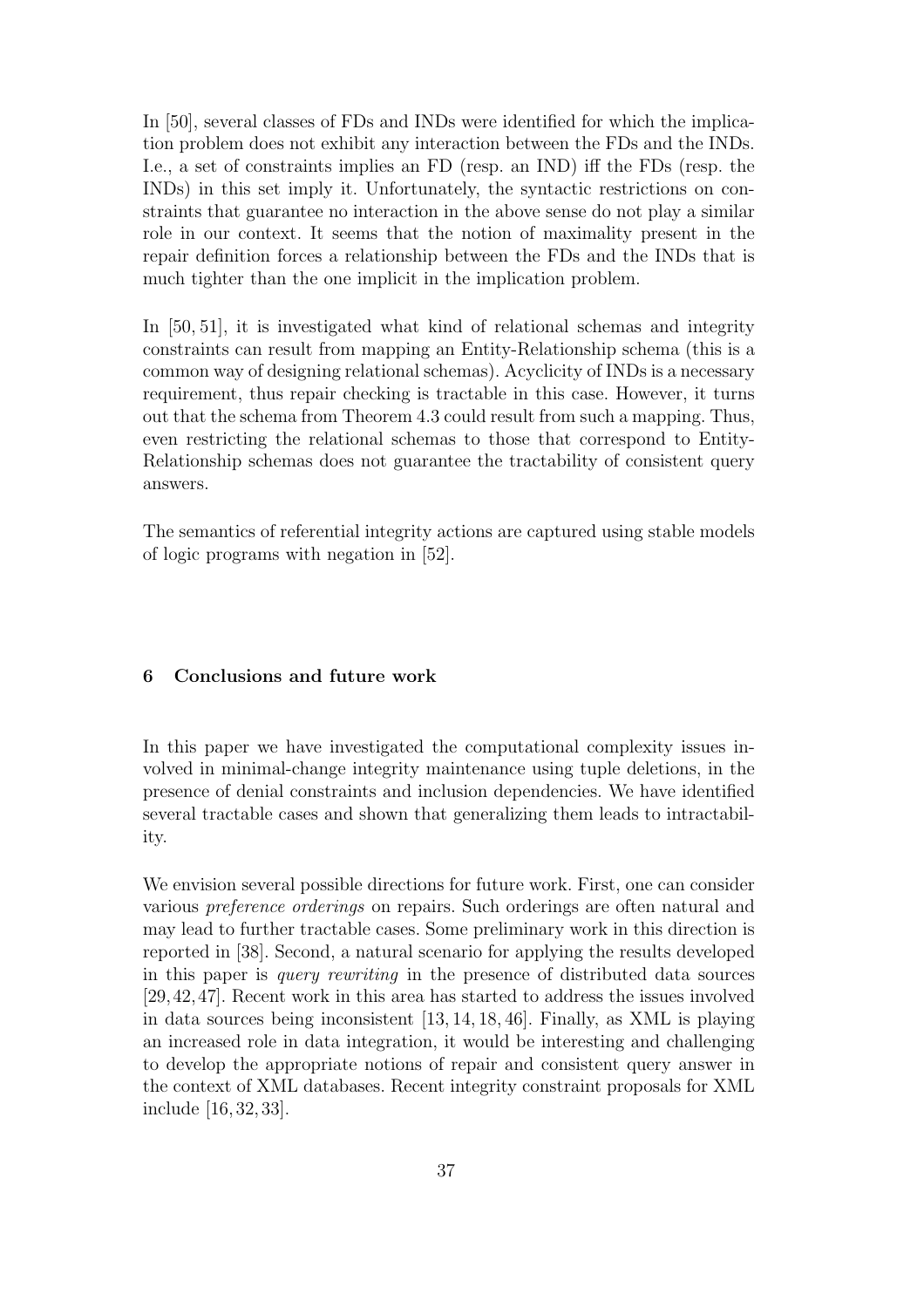In [50], several classes of FDs and INDs were identified for which the implication problem does not exhibit any interaction between the FDs and the INDs. I.e., a set of constraints implies an FD (resp. an IND) iff the FDs (resp. the INDs) in this set imply it. Unfortunately, the syntactic restrictions on constraints that guarantee no interaction in the above sense do not play a similar role in our context. It seems that the notion of maximality present in the repair definition forces a relationship between the FDs and the INDs that is much tighter than the one implicit in the implication problem.

In [50, 51], it is investigated what kind of relational schemas and integrity constraints can result from mapping an Entity-Relationship schema (this is a common way of designing relational schemas). Acyclicity of INDs is a necessary requirement, thus repair checking is tractable in this case. However, it turns out that the schema from Theorem 4.3 could result from such a mapping. Thus, even restricting the relational schemas to those that correspond to Entity-Relationship schemas does not guarantee the tractability of consistent query answers.

The semantics of referential integrity actions are captured using stable models of logic programs with negation in [52].

# 6 Conclusions and future work

In this paper we have investigated the computational complexity issues involved in minimal-change integrity maintenance using tuple deletions, in the presence of denial constraints and inclusion dependencies. We have identified several tractable cases and shown that generalizing them leads to intractability.

We envision several possible directions for future work. First, one can consider various preference orderings on repairs. Such orderings are often natural and may lead to further tractable cases. Some preliminary work in this direction is reported in [38]. Second, a natural scenario for applying the results developed in this paper is query rewriting in the presence of distributed data sources [29,42,47]. Recent work in this area has started to address the issues involved in data sources being inconsistent [13, 14, 18, 46]. Finally, as XML is playing an increased role in data integration, it would be interesting and challenging to develop the appropriate notions of repair and consistent query answer in the context of XML databases. Recent integrity constraint proposals for XML include [16, 32, 33].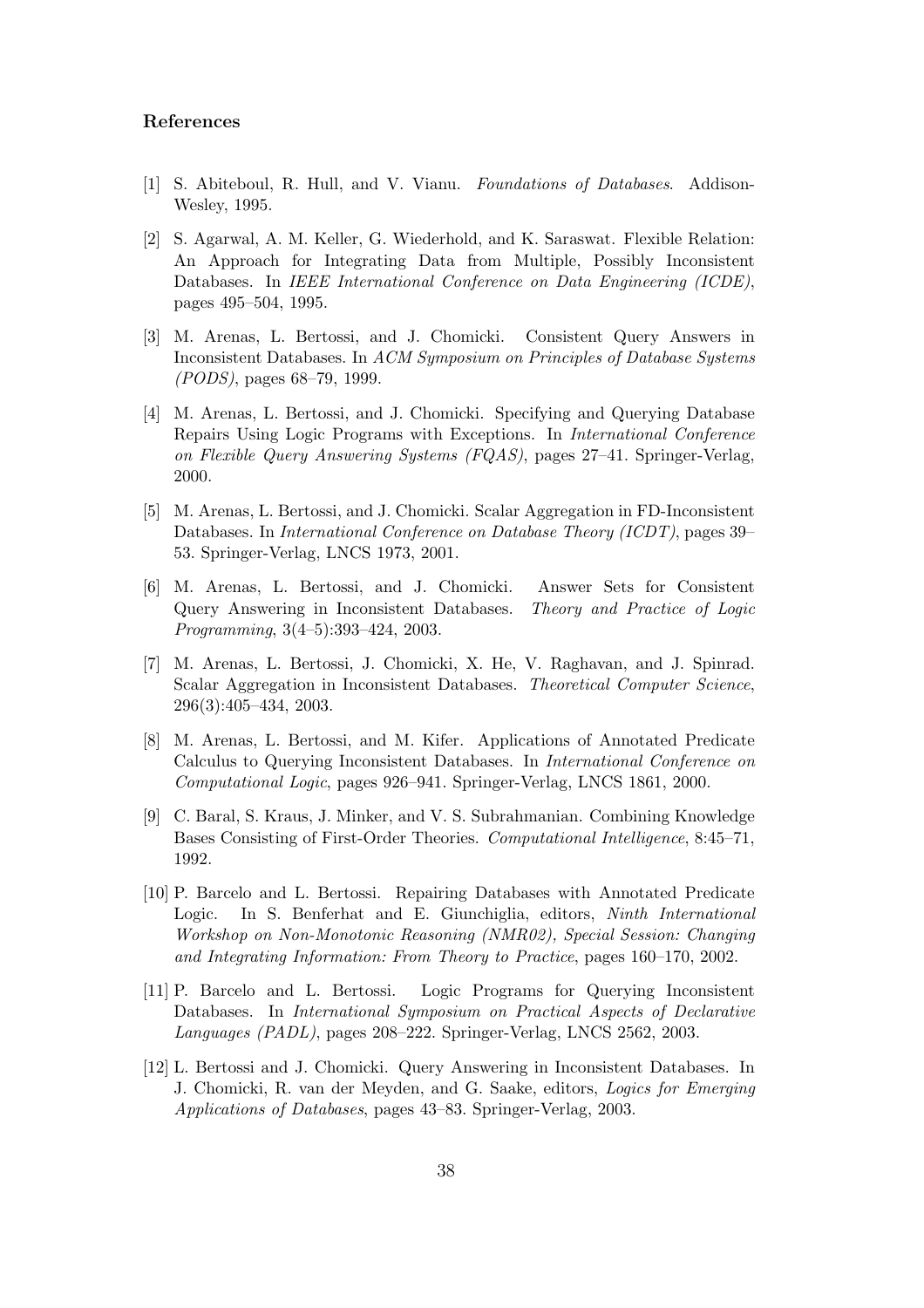## References

- [1] S. Abiteboul, R. Hull, and V. Vianu. Foundations of Databases. Addison-Wesley, 1995.
- [2] S. Agarwal, A. M. Keller, G. Wiederhold, and K. Saraswat. Flexible Relation: An Approach for Integrating Data from Multiple, Possibly Inconsistent Databases. In IEEE International Conference on Data Engineering (ICDE), pages 495–504, 1995.
- [3] M. Arenas, L. Bertossi, and J. Chomicki. Consistent Query Answers in Inconsistent Databases. In ACM Symposium on Principles of Database Systems (PODS), pages 68–79, 1999.
- [4] M. Arenas, L. Bertossi, and J. Chomicki. Specifying and Querying Database Repairs Using Logic Programs with Exceptions. In International Conference on Flexible Query Answering Systems (FQAS), pages 27–41. Springer-Verlag, 2000.
- [5] M. Arenas, L. Bertossi, and J. Chomicki. Scalar Aggregation in FD-Inconsistent Databases. In International Conference on Database Theory (ICDT), pages 39– 53. Springer-Verlag, LNCS 1973, 2001.
- [6] M. Arenas, L. Bertossi, and J. Chomicki. Answer Sets for Consistent Query Answering in Inconsistent Databases. Theory and Practice of Logic Programming, 3(4–5):393–424, 2003.
- [7] M. Arenas, L. Bertossi, J. Chomicki, X. He, V. Raghavan, and J. Spinrad. Scalar Aggregation in Inconsistent Databases. Theoretical Computer Science, 296(3):405–434, 2003.
- [8] M. Arenas, L. Bertossi, and M. Kifer. Applications of Annotated Predicate Calculus to Querying Inconsistent Databases. In International Conference on Computational Logic, pages 926–941. Springer-Verlag, LNCS 1861, 2000.
- [9] C. Baral, S. Kraus, J. Minker, and V. S. Subrahmanian. Combining Knowledge Bases Consisting of First-Order Theories. Computational Intelligence, 8:45–71, 1992.
- [10] P. Barcelo and L. Bertossi. Repairing Databases with Annotated Predicate Logic. In S. Benferhat and E. Giunchiglia, editors, Ninth International Workshop on Non-Monotonic Reasoning (NMR02), Special Session: Changing and Integrating Information: From Theory to Practice, pages 160–170, 2002.
- [11] P. Barcelo and L. Bertossi. Logic Programs for Querying Inconsistent Databases. In International Symposium on Practical Aspects of Declarative Languages (PADL), pages 208–222. Springer-Verlag, LNCS 2562, 2003.
- [12] L. Bertossi and J. Chomicki. Query Answering in Inconsistent Databases. In J. Chomicki, R. van der Meyden, and G. Saake, editors, Logics for Emerging Applications of Databases, pages 43–83. Springer-Verlag, 2003.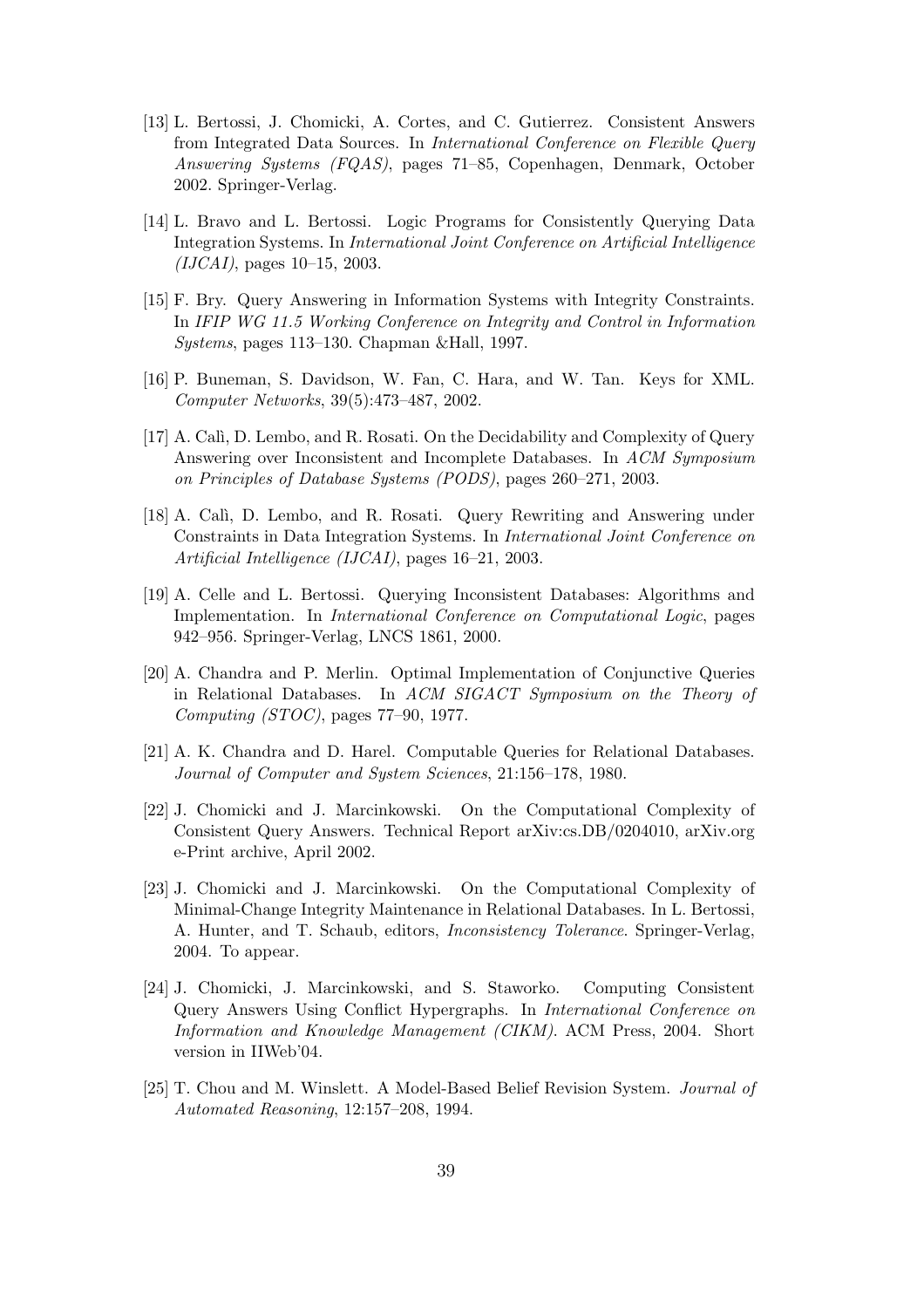- [13] L. Bertossi, J. Chomicki, A. Cortes, and C. Gutierrez. Consistent Answers from Integrated Data Sources. In International Conference on Flexible Query Answering Systems (FQAS), pages 71–85, Copenhagen, Denmark, October 2002. Springer-Verlag.
- [14] L. Bravo and L. Bertossi. Logic Programs for Consistently Querying Data Integration Systems. In International Joint Conference on Artificial Intelligence  $(IJCAI)$ , pages 10–15, 2003.
- [15] F. Bry. Query Answering in Information Systems with Integrity Constraints. In IFIP WG 11.5 Working Conference on Integrity and Control in Information Systems, pages 113–130. Chapman &Hall, 1997.
- [16] P. Buneman, S. Davidson, W. Fan, C. Hara, and W. Tan. Keys for XML. Computer Networks, 39(5):473–487, 2002.
- [17] A. Cal`ı, D. Lembo, and R. Rosati. On the Decidability and Complexity of Query Answering over Inconsistent and Incomplete Databases. In ACM Symposium on Principles of Database Systems (PODS), pages 260–271, 2003.
- [18] A. Cal`ı, D. Lembo, and R. Rosati. Query Rewriting and Answering under Constraints in Data Integration Systems. In International Joint Conference on Artificial Intelligence (IJCAI), pages 16–21, 2003.
- [19] A. Celle and L. Bertossi. Querying Inconsistent Databases: Algorithms and Implementation. In International Conference on Computational Logic, pages 942–956. Springer-Verlag, LNCS 1861, 2000.
- [20] A. Chandra and P. Merlin. Optimal Implementation of Conjunctive Queries in Relational Databases. In ACM SIGACT Symposium on the Theory of Computing (STOC), pages 77–90, 1977.
- [21] A. K. Chandra and D. Harel. Computable Queries for Relational Databases. Journal of Computer and System Sciences, 21:156–178, 1980.
- [22] J. Chomicki and J. Marcinkowski. On the Computational Complexity of Consistent Query Answers. Technical Report arXiv:cs.DB/0204010, arXiv.org e-Print archive, April 2002.
- [23] J. Chomicki and J. Marcinkowski. On the Computational Complexity of Minimal-Change Integrity Maintenance in Relational Databases. In L. Bertossi, A. Hunter, and T. Schaub, editors, Inconsistency Tolerance. Springer-Verlag, 2004. To appear.
- [24] J. Chomicki, J. Marcinkowski, and S. Staworko. Computing Consistent Query Answers Using Conflict Hypergraphs. In International Conference on Information and Knowledge Management (CIKM). ACM Press, 2004. Short version in IIWeb'04.
- [25] T. Chou and M. Winslett. A Model-Based Belief Revision System. Journal of Automated Reasoning, 12:157–208, 1994.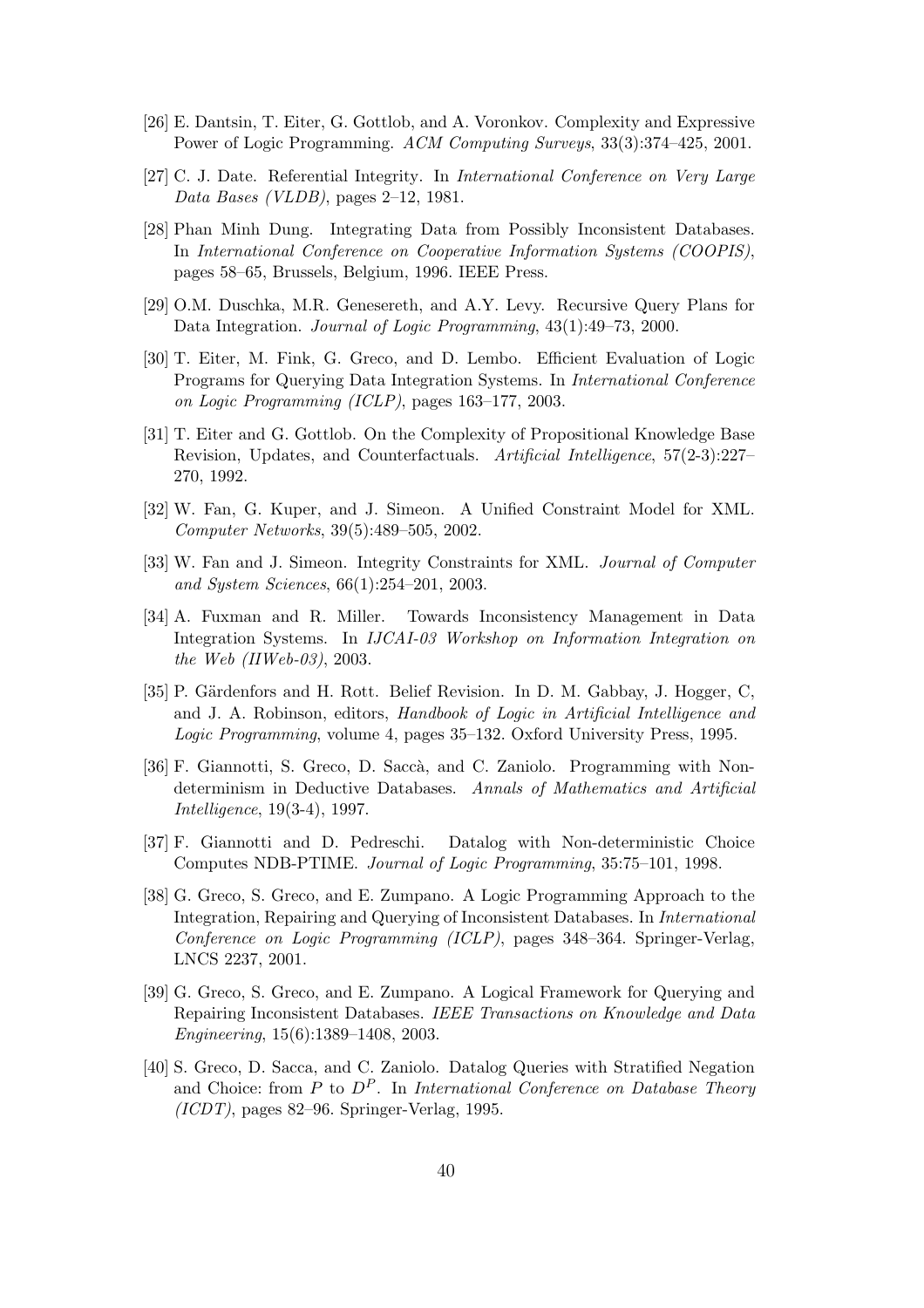- [26] E. Dantsin, T. Eiter, G. Gottlob, and A. Voronkov. Complexity and Expressive Power of Logic Programming. ACM Computing Surveys, 33(3):374–425, 2001.
- [27] C. J. Date. Referential Integrity. In International Conference on Very Large Data Bases (VLDB), pages 2–12, 1981.
- [28] Phan Minh Dung. Integrating Data from Possibly Inconsistent Databases. In International Conference on Cooperative Information Systems (COOPIS), pages 58–65, Brussels, Belgium, 1996. IEEE Press.
- [29] O.M. Duschka, M.R. Genesereth, and A.Y. Levy. Recursive Query Plans for Data Integration. Journal of Logic Programming, 43(1):49–73, 2000.
- [30] T. Eiter, M. Fink, G. Greco, and D. Lembo. Efficient Evaluation of Logic Programs for Querying Data Integration Systems. In International Conference on Logic Programming (ICLP), pages 163–177, 2003.
- [31] T. Eiter and G. Gottlob. On the Complexity of Propositional Knowledge Base Revision, Updates, and Counterfactuals. Artificial Intelligence, 57(2-3):227– 270, 1992.
- [32] W. Fan, G. Kuper, and J. Simeon. A Unified Constraint Model for XML. Computer Networks, 39(5):489–505, 2002.
- [33] W. Fan and J. Simeon. Integrity Constraints for XML. Journal of Computer and System Sciences, 66(1):254–201, 2003.
- [34] A. Fuxman and R. Miller. Towards Inconsistency Management in Data Integration Systems. In IJCAI-03 Workshop on Information Integration on the Web (IIWeb-03), 2003.
- [35] P. Gärdenfors and H. Rott. Belief Revision. In D. M. Gabbay, J. Hogger, C. and J. A. Robinson, editors, Handbook of Logic in Artificial Intelligence and Logic Programming, volume 4, pages 35–132. Oxford University Press, 1995.
- [36] F. Giannotti, S. Greco, D. Saccà, and C. Zaniolo. Programming with Nondeterminism in Deductive Databases. Annals of Mathematics and Artificial Intelligence, 19(3-4), 1997.
- [37] F. Giannotti and D. Pedreschi. Datalog with Non-deterministic Choice Computes NDB-PTIME. Journal of Logic Programming, 35:75–101, 1998.
- [38] G. Greco, S. Greco, and E. Zumpano. A Logic Programming Approach to the Integration, Repairing and Querying of Inconsistent Databases. In International Conference on Logic Programming (ICLP), pages 348–364. Springer-Verlag, LNCS 2237, 2001.
- [39] G. Greco, S. Greco, and E. Zumpano. A Logical Framework for Querying and Repairing Inconsistent Databases. IEEE Transactions on Knowledge and Data Engineering, 15(6):1389–1408, 2003.
- [40] S. Greco, D. Sacca, and C. Zaniolo. Datalog Queries with Stratified Negation and Choice: from P to  $D^P$ . In International Conference on Database Theory  $(ICDT)$ , pages 82–96. Springer-Verlag, 1995.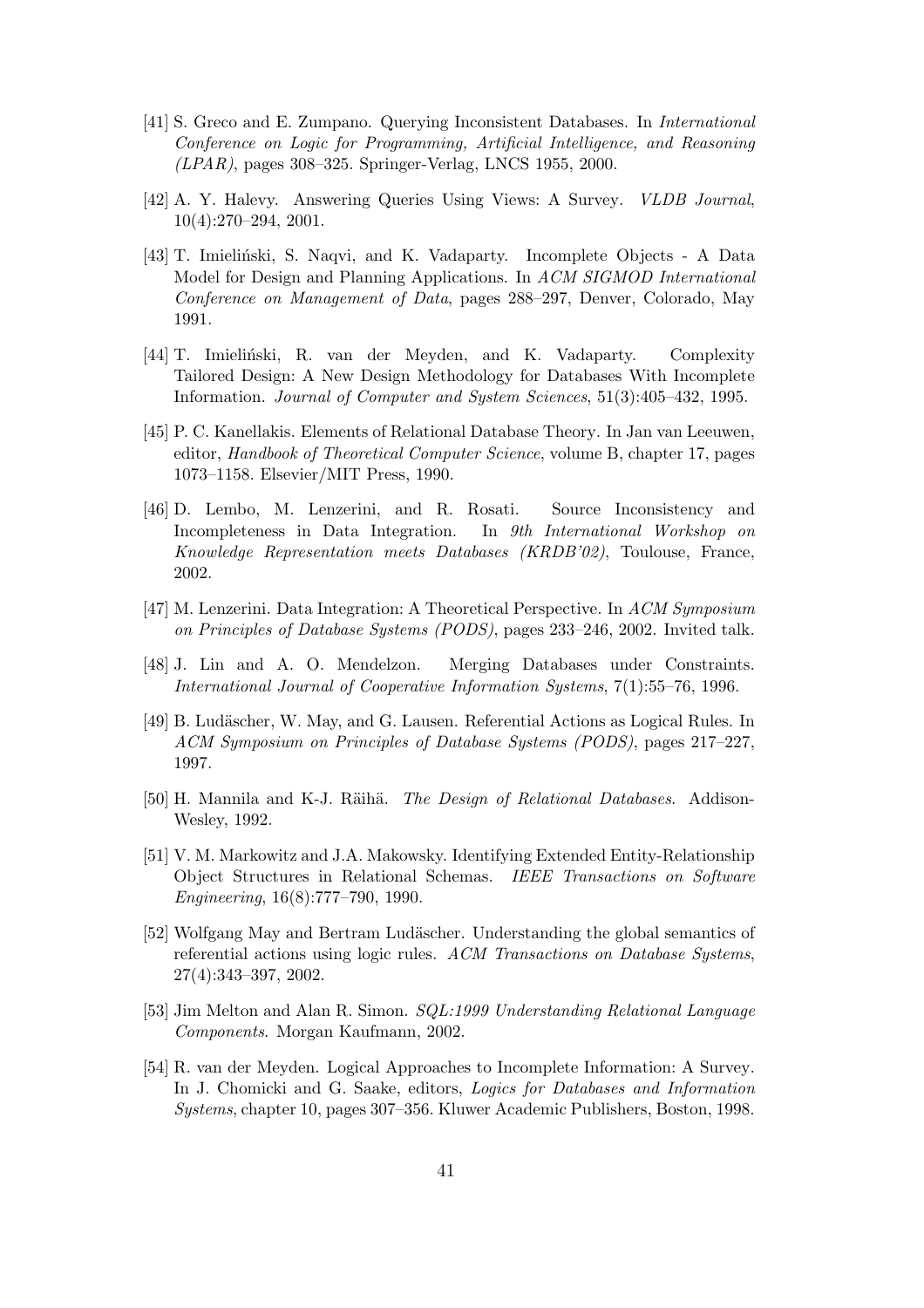- [41] S. Greco and E. Zumpano. Querying Inconsistent Databases. In International Conference on Logic for Programming, Artificial Intelligence, and Reasoning (LPAR), pages 308–325. Springer-Verlag, LNCS 1955, 2000.
- [42] A. Y. Halevy. Answering Queries Using Views: A Survey. VLDB Journal, 10(4):270–294, 2001.
- [43] T. Imieliński, S. Naqvi, and K. Vadaparty. Incomplete Objects A Data Model for Design and Planning Applications. In ACM SIGMOD International Conference on Management of Data, pages 288–297, Denver, Colorado, May 1991.
- [44] T. Imieliński, R. van der Meyden, and K. Vadaparty. Complexity Tailored Design: A New Design Methodology for Databases With Incomplete Information. Journal of Computer and System Sciences, 51(3):405–432, 1995.
- [45] P. C. Kanellakis. Elements of Relational Database Theory. In Jan van Leeuwen, editor, Handbook of Theoretical Computer Science, volume B, chapter 17, pages 1073–1158. Elsevier/MIT Press, 1990.
- [46] D. Lembo, M. Lenzerini, and R. Rosati. Source Inconsistency and Incompleteness in Data Integration. In 9th International Workshop on Knowledge Representation meets Databases (KRDB'02), Toulouse, France, 2002.
- [47] M. Lenzerini. Data Integration: A Theoretical Perspective. In ACM Symposium on Principles of Database Systems (PODS), pages 233–246, 2002. Invited talk.
- [48] J. Lin and A. O. Mendelzon. Merging Databases under Constraints. International Journal of Cooperative Information Systems, 7(1):55–76, 1996.
- [49] B. Ludäscher, W. May, and G. Lausen. Referential Actions as Logical Rules. In ACM Symposium on Principles of Database Systems (PODS), pages 217–227, 1997.
- [50] H. Mannila and K-J. Räihä. *The Design of Relational Databases*. Addison-Wesley, 1992.
- [51] V. M. Markowitz and J.A. Makowsky. Identifying Extended Entity-Relationship Object Structures in Relational Schemas. IEEE Transactions on Software Engineering, 16(8):777–790, 1990.
- [52] Wolfgang May and Bertram Ludäscher. Understanding the global semantics of referential actions using logic rules. ACM Transactions on Database Systems, 27(4):343–397, 2002.
- [53] Jim Melton and Alan R. Simon. SQL:1999 Understanding Relational Language Components. Morgan Kaufmann, 2002.
- [54] R. van der Meyden. Logical Approaches to Incomplete Information: A Survey. In J. Chomicki and G. Saake, editors, Logics for Databases and Information Systems, chapter 10, pages 307–356. Kluwer Academic Publishers, Boston, 1998.